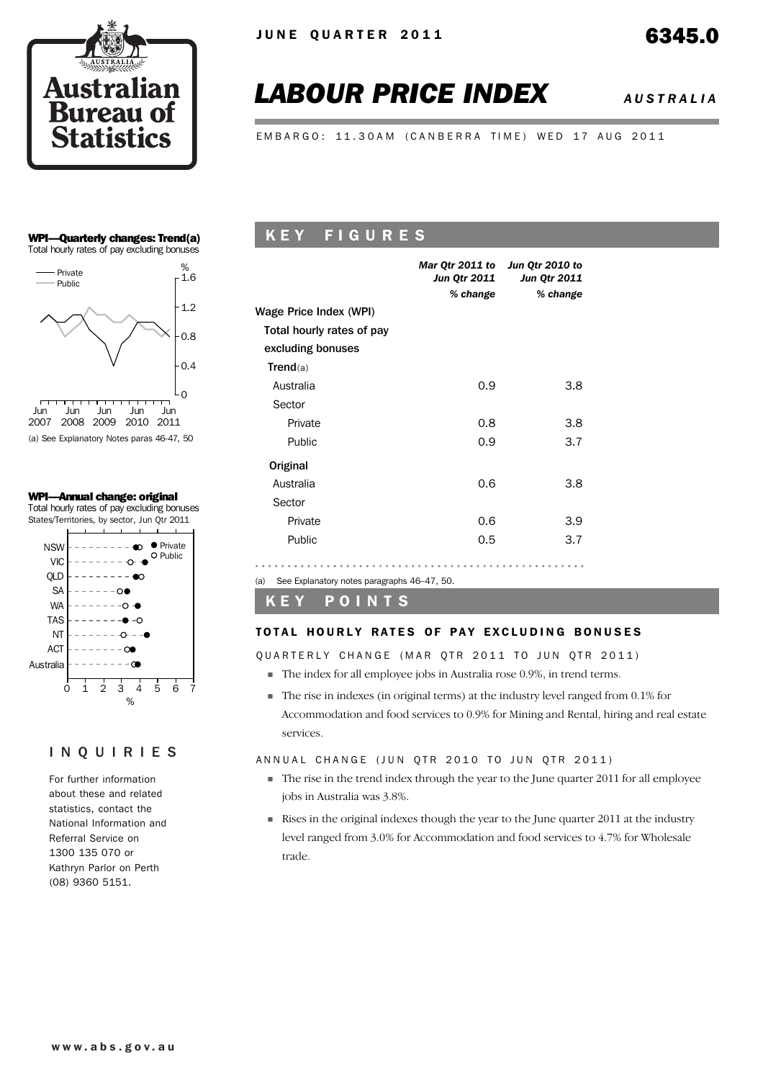

# *LABOUR PRICE INDEX AUSTRALIA*

EMBARGO: 11.30AM (CANBERRA TIME) WED 17 AUG 2011

### WPI—Quarterly changes: Trend(a) Total hourly rates of pay excluding bonuses



(a) See Explanatory Notes paras 46-47, 50

### WPI—Annual change: original

Total hourly rates of pay excluding bonuses States/Territories, by sector, Jun Qtr 2011



### INQUIRIES

For further information about these and related statistics, contact the National Information and Referral Service on 1300 135 070 or Kathryn Parlor on Perth (08) 9360 5151.

# K E Y F I G U R E S

|                           | Mar Qtr 2011 to Jun Qtr 2010 to<br>Jun Qtr 2011<br>% change | <b>Jun Qtr 2011</b><br>% change |
|---------------------------|-------------------------------------------------------------|---------------------------------|
| Wage Price Index (WPI)    |                                                             |                                 |
| Total hourly rates of pay |                                                             |                                 |
| excluding bonuses         |                                                             |                                 |
| Trend(a)                  |                                                             |                                 |
| Australia                 | 0.9                                                         | 3.8                             |
| Sector                    |                                                             |                                 |
| Private                   | 0.8                                                         | 3.8                             |
| Public                    | 0.9                                                         | 3.7                             |
| Original                  |                                                             |                                 |
| Australia                 | 0.6                                                         | 3.8                             |
| Sector                    |                                                             |                                 |
| Private                   | 0.6                                                         | 3.9                             |
| Public                    | 0.5                                                         | 3.7                             |
|                           |                                                             |                                 |

### K E Y P O I N T S

(a) See Explanatory notes paragraphs 46–47, 50.

### TOTAL HOURLY RATES OF PAY EXCLUDING BONUSES

OUARTERLY CHANGE (MAR OTR 2011 TO JUN OTR 2011)

- ! The index for all employee jobs in Australia rose 0.9%, in trend terms.
- ! The rise in indexes (in original terms) at the industry level ranged from 0.1% for Accommodation and food services to 0.9% for Mining and Rental, hiring and real estate services.

### ANNUAL CHANGE (JUN QTR 2010 TO JUN QTR 2011)

- $\blacksquare$  The rise in the trend index through the year to the June quarter 2011 for all employee jobs in Australia was 3.8%.
- ! Rises in the original indexes though the year to the June quarter 2011 at the industry level ranged from 3.0% for Accommodation and food services to 4.7% for Wholesale trade.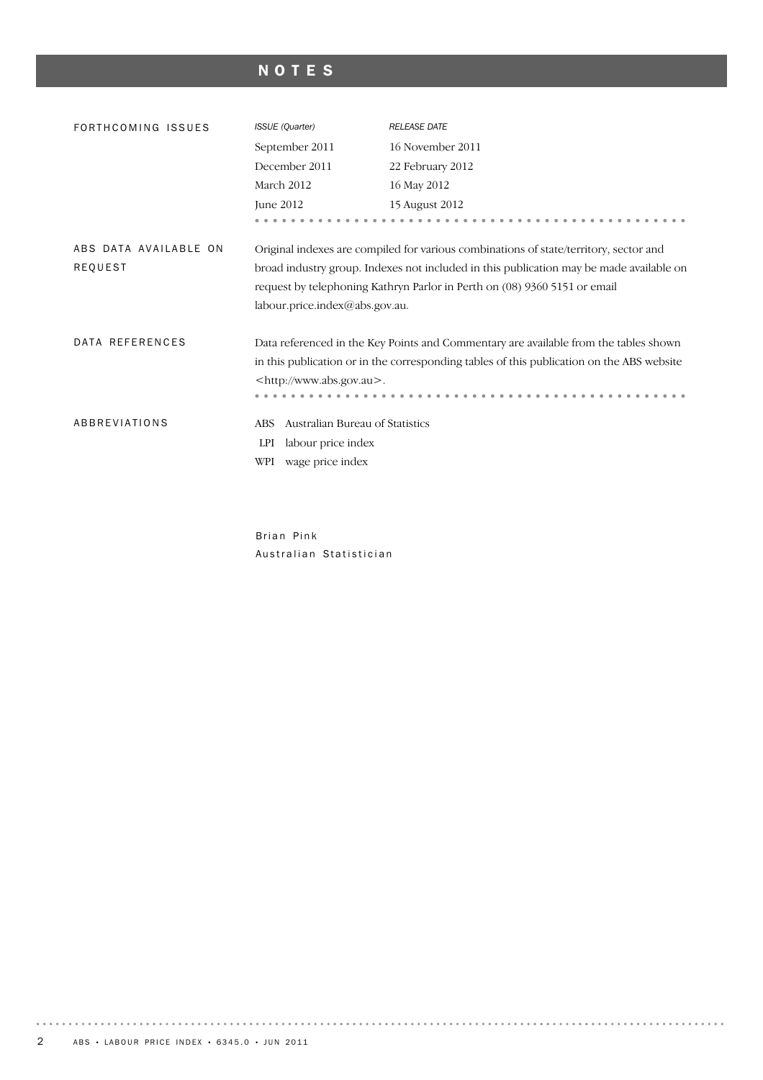# NOTES

| FORTHCOMING ISSUES                      | <b>ISSUE</b> (Quarter)                                                                                | <b>RELEASE DATE</b>                                                                                                                                                                                                                                           |
|-----------------------------------------|-------------------------------------------------------------------------------------------------------|---------------------------------------------------------------------------------------------------------------------------------------------------------------------------------------------------------------------------------------------------------------|
|                                         | September 2011                                                                                        | 16 November 2011                                                                                                                                                                                                                                              |
|                                         | December 2011                                                                                         | 22 February 2012                                                                                                                                                                                                                                              |
|                                         | March 2012                                                                                            | 16 May 2012                                                                                                                                                                                                                                                   |
|                                         | June 2012                                                                                             | 15 August 2012                                                                                                                                                                                                                                                |
|                                         |                                                                                                       |                                                                                                                                                                                                                                                               |
| ABS DATA AVAILABLE ON<br><b>REQUEST</b> | labour.price.index@abs.gov.au.                                                                        | Original indexes are compiled for various combinations of state/territory, sector and<br>broad industry group. Indexes not included in this publication may be made available on<br>request by telephoning Kathryn Parlor in Perth on (08) 9360 5151 or email |
| DATA REFERENCES                         | <http: www.abs.gov.au="">.</http:>                                                                    | Data referenced in the Key Points and Commentary are available from the tables shown<br>in this publication or in the corresponding tables of this publication on the ABS website                                                                             |
| ABBREVIATIONS                           | Australian Bureau of Statistics<br><b>ABS</b><br>LPI<br>labour price index<br>WPI<br>wage price index |                                                                                                                                                                                                                                                               |

Brian Pink Australian Statistician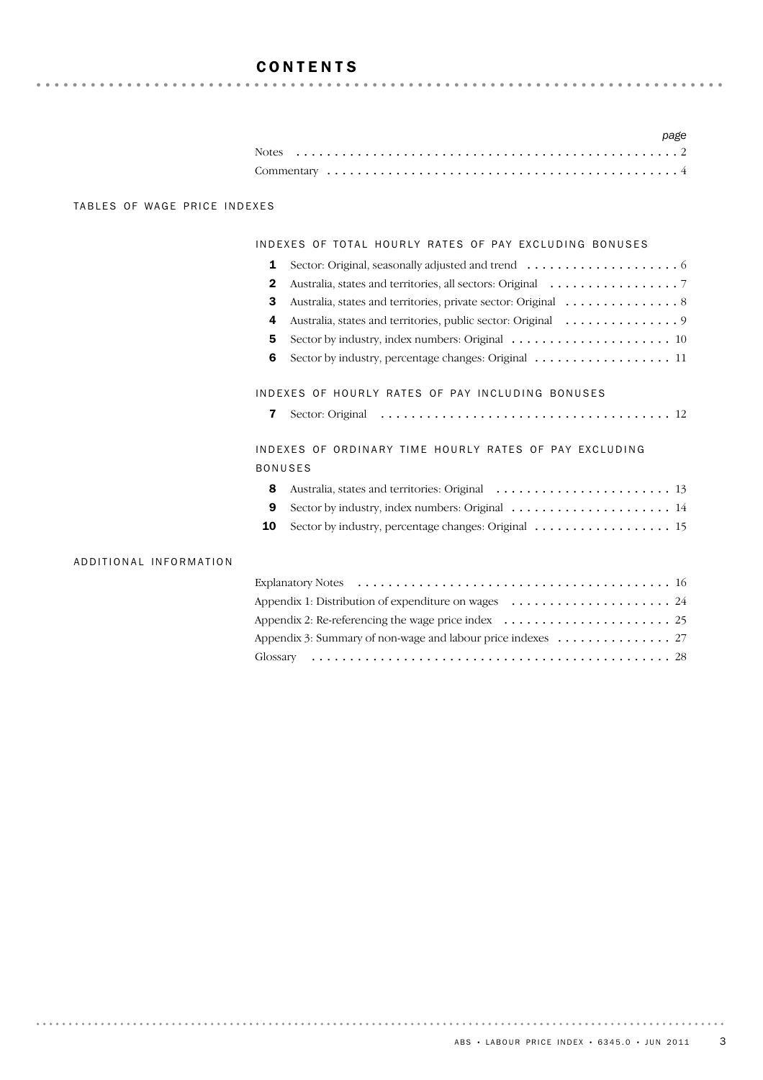# **CONTENTS**

|  |  |  |  |  |  |  |  |  |  |  |  |  |  |  |  |  |  |  |  | $P^{\alpha}P^{\alpha}$ |  |
|--|--|--|--|--|--|--|--|--|--|--|--|--|--|--|--|--|--|--|--|------------------------|--|
|  |  |  |  |  |  |  |  |  |  |  |  |  |  |  |  |  |  |  |  |                        |  |
|  |  |  |  |  |  |  |  |  |  |  |  |  |  |  |  |  |  |  |  |                        |  |

*page*

### TABLES OF WAGE PRICE INDEXES

### INDEXES OF TOTAL HOURLY RATES OF PAY EXCLUDING BONUSES

| $\mathbf{2}$ | Australia, states and territories, all sectors: Original 7                                        |
|--------------|---------------------------------------------------------------------------------------------------|
| 3            | Australia, states and territories, private sector: Original 8                                     |
|              | 4 Australia, states and territories, public sector: Original 9                                    |
| 5.           | Sector by industry, index numbers: Original $\ldots \ldots \ldots \ldots \ldots \ldots \ldots 10$ |
| 6            | Sector by industry, percentage changes: Original 11                                               |
|              |                                                                                                   |

### IN DEXES OF HOURLY RATES OF PAY INCLUDING BONUSES

|  | <b>7</b> Sector: Original |  |  |
|--|---------------------------|--|--|
|--|---------------------------|--|--|

### INDEXES OF ORDINARY TIME HOURLY RATES OF PAY EXCLUDING BONUSES

| 9 Sector by industry, index numbers: Original $\ldots \ldots \ldots \ldots \ldots \ldots \ldots$ |  |
|--------------------------------------------------------------------------------------------------|--|

10 Sector by industry, percentage changes: Original ........................... 15

### ADDITIONAL INFORMATION

| Appendix 2: Re-referencing the wage price index $\dots \dots \dots \dots \dots \dots \dots \dots$ |  |
|---------------------------------------------------------------------------------------------------|--|
|                                                                                                   |  |
|                                                                                                   |  |
|                                                                                                   |  |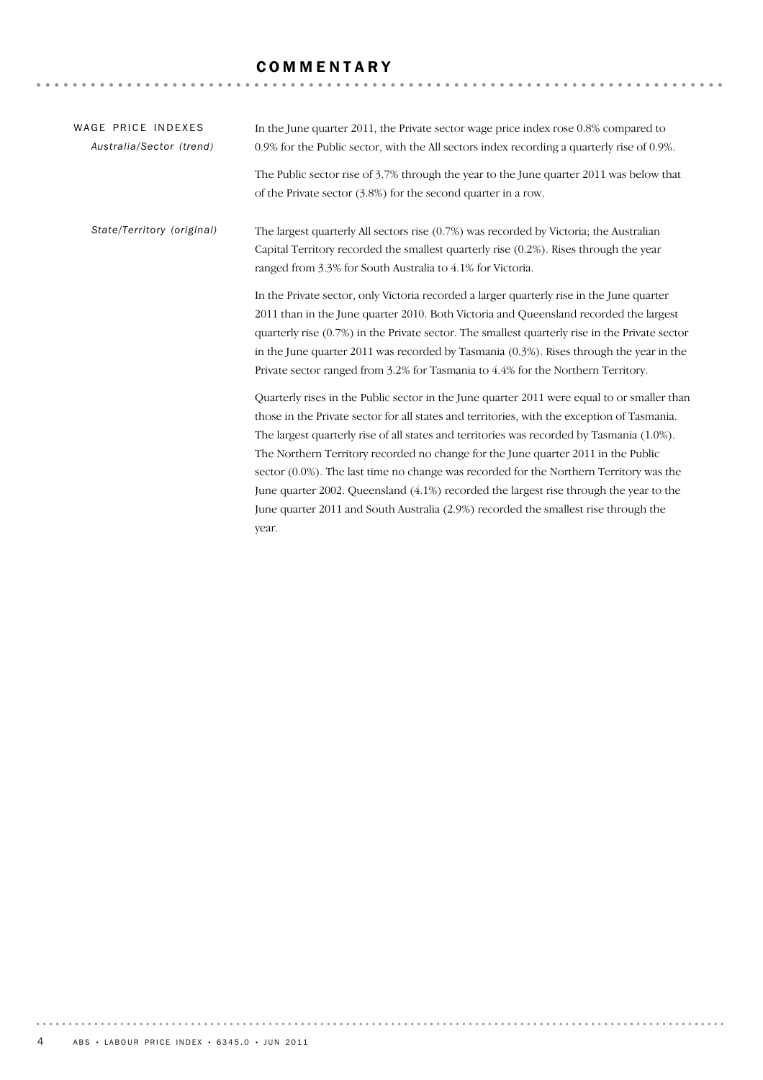# **COMMENTARY**

| WAGE PRICE INDEXES         | In the June quarter 2011, the Private sector wage price index rose 0.8% compared to              |
|----------------------------|--------------------------------------------------------------------------------------------------|
| Australia/Sector (trend)   | 0.9% for the Public sector, with the All sectors index recording a quarterly rise of 0.9%.       |
|                            | The Public sector rise of $3.7\%$ through the year to the June quarter 2011 was below that       |
|                            | of the Private sector $(3.8\%)$ for the second quarter in a row.                                 |
| State/Territory (original) | The largest quarterly All sectors rise $(0.7%)$ was recorded by Victoria; the Australian         |
|                            | Capital Territory recorded the smallest quarterly rise (0.2%). Rises through the year            |
|                            | ranged from 3.3% for South Australia to 4.1% for Victoria.                                       |
|                            | In the Private sector, only Victoria recorded a larger quarterly rise in the June quarter        |
|                            | 2011 than in the June quarter 2010. Both Victoria and Queensland recorded the largest            |
|                            | quarterly rise $(0.7%)$ in the Private sector. The smallest quarterly rise in the Private sector |
|                            | in the June quarter 2011 was recorded by Tasmania $(0.3\%)$ . Rises through the year in the      |
|                            | Private sector ranged from 3.2% for Tasmania to 4.4% for the Northern Territory.                 |
|                            | Quarterly rises in the Public sector in the June quarter 2011 were equal to or smaller than      |
|                            | those in the Private sector for all states and territories, with the exception of Tasmania.      |
|                            | The largest quarterly rise of all states and territories was recorded by Tasmania (1.0%).        |
|                            | The Northern Territory recorded no change for the June quarter 2011 in the Public                |
|                            | sector (0.0%). The last time no change was recorded for the Northern Territory was the           |
|                            | June quarter 2002. Queensland (4.1%) recorded the largest rise through the year to the           |
|                            | June quarter 2011 and South Australia (2.9%) recorded the smallest rise through the              |
|                            | year.                                                                                            |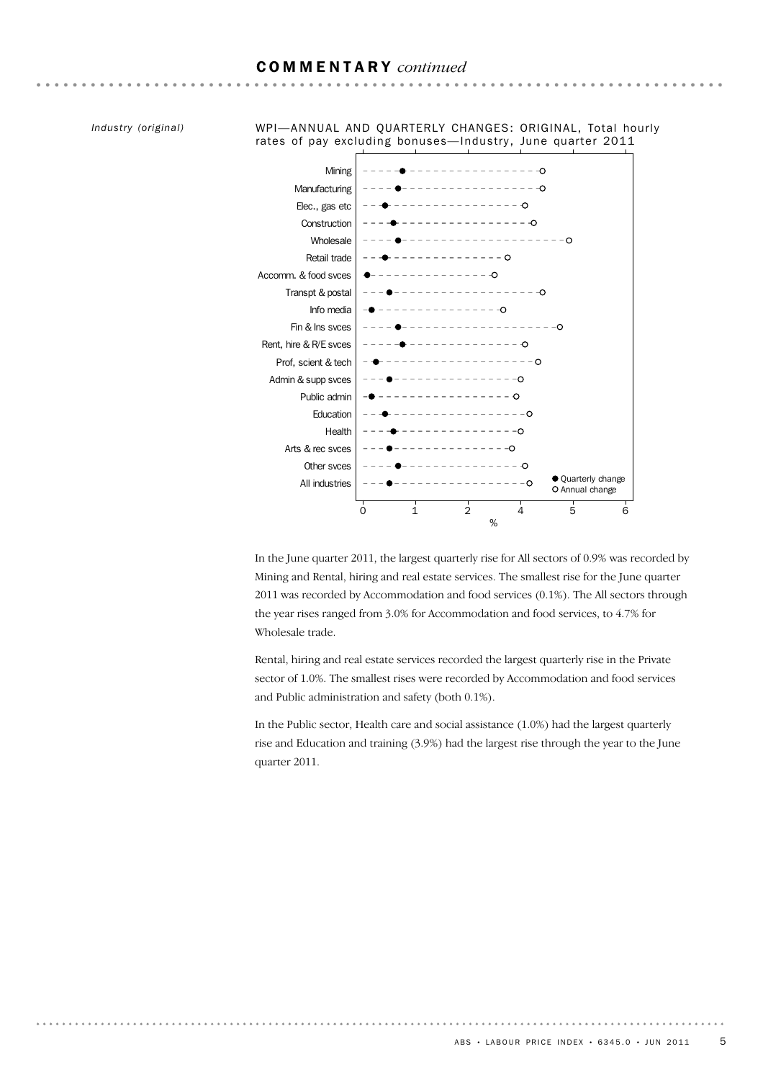### COMMENTARY *continued*

*Industry (original)*



WPI—ANNUAL AND QUARTERLY CHANGES: ORIGINAL, Total hourly rates of pay excluding bonuses—Industry, June quarter 2011

In the June quarter 2011, the largest quarterly rise for All sectors of 0.9% was recorded by Mining and Rental, hiring and real estate services. The smallest rise for the June quarter 2011 was recorded by Accommodation and food services (0.1%). The All sectors through the year rises ranged from 3.0% for Accommodation and food services, to 4.7% for Wholesale trade.

Rental, hiring and real estate services recorded the largest quarterly rise in the Private sector of 1.0%. The smallest rises were recorded by Accommodation and food services and Public administration and safety (both 0.1%).

In the Public sector, Health care and social assistance (1.0%) had the largest quarterly rise and Education and training (3.9%) had the largest rise through the year to the June quarter 2011.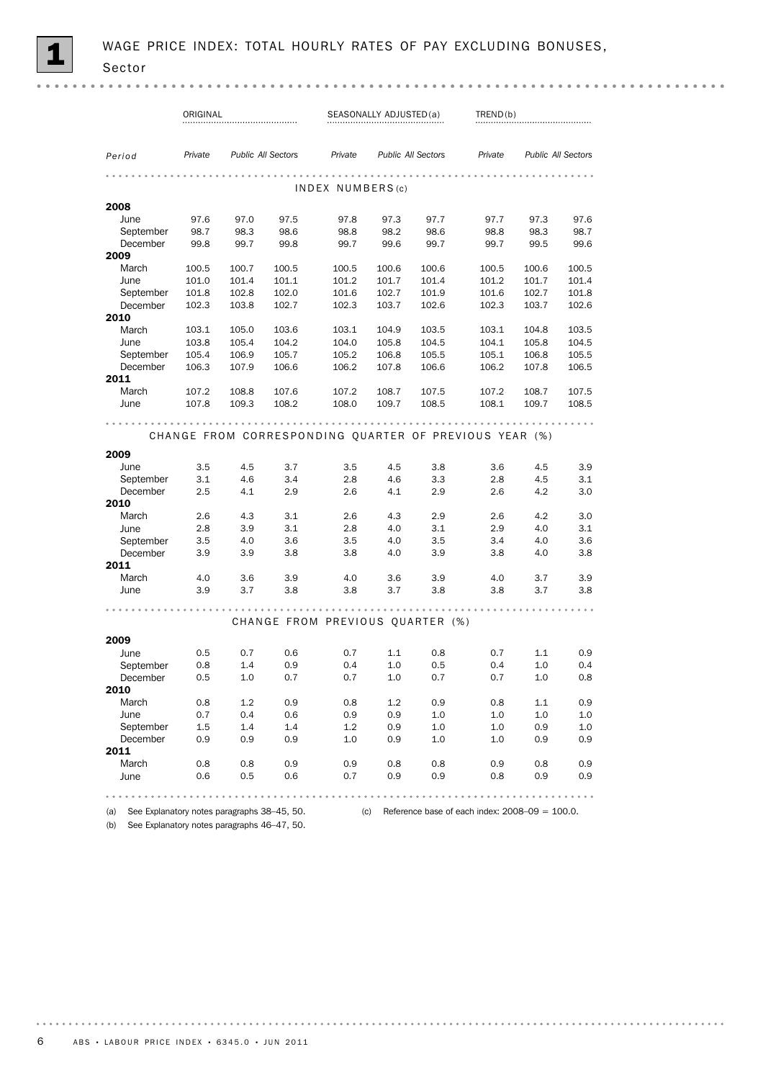|                                                        | ORIGINAL |       |                           |                                  | SEASONALLY ADJUSTED(a) |                           | TREND(b) |       |                           |  |  |  |
|--------------------------------------------------------|----------|-------|---------------------------|----------------------------------|------------------------|---------------------------|----------|-------|---------------------------|--|--|--|
|                                                        |          |       |                           |                                  |                        |                           |          |       |                           |  |  |  |
|                                                        |          |       |                           |                                  |                        |                           |          |       |                           |  |  |  |
| Period                                                 | Private  |       | <b>Public All Sectors</b> | Private                          |                        | <b>Public All Sectors</b> | Private  |       | <b>Public All Sectors</b> |  |  |  |
|                                                        |          |       |                           |                                  |                        |                           |          |       |                           |  |  |  |
|                                                        |          |       |                           | INDEX NUMBERS(c)                 |                        |                           |          |       |                           |  |  |  |
| 2008                                                   |          |       |                           |                                  |                        |                           |          |       |                           |  |  |  |
| June                                                   | 97.6     | 97.0  | 97.5                      | 97.8                             | 97.3                   | 97.7                      | 97.7     | 97.3  | 97.6                      |  |  |  |
| September                                              | 98.7     | 98.3  | 98.6                      | 98.8                             | 98.2                   | 98.6                      | 98.8     | 98.3  | 98.7                      |  |  |  |
| December                                               | 99.8     | 99.7  | 99.8                      | 99.7                             | 99.6                   | 99.7                      | 99.7     | 99.5  | 99.6                      |  |  |  |
| 2009                                                   |          |       |                           |                                  |                        |                           |          |       |                           |  |  |  |
| March                                                  | 100.5    | 100.7 | 100.5                     | 100.5                            | 100.6                  | 100.6                     | 100.5    | 100.6 | 100.5                     |  |  |  |
| June                                                   | 101.0    | 101.4 | 101.1                     | 101.2                            | 101.7                  | 101.4                     | 101.2    | 101.7 | 101.4                     |  |  |  |
| September                                              | 101.8    | 102.8 | 102.0                     | 101.6                            | 102.7                  | 101.9                     | 101.6    | 102.7 | 101.8                     |  |  |  |
| December                                               | 102.3    | 103.8 | 102.7                     | 102.3                            | 103.7                  | 102.6                     | 102.3    | 103.7 | 102.6                     |  |  |  |
| 2010                                                   |          |       |                           |                                  |                        |                           |          |       |                           |  |  |  |
| March                                                  | 103.1    | 105.0 | 103.6                     | 103.1                            | 104.9                  | 103.5                     | 103.1    | 104.8 | 103.5                     |  |  |  |
| June                                                   | 103.8    | 105.4 | 104.2                     | 104.0                            | 105.8                  | 104.5                     | 104.1    | 105.8 | 104.5                     |  |  |  |
| September                                              | 105.4    | 106.9 | 105.7                     | 105.2                            | 106.8                  | 105.5                     | 105.1    | 106.8 | 105.5                     |  |  |  |
| December<br>2011                                       | 106.3    | 107.9 | 106.6                     | 106.2                            | 107.8                  | 106.6                     | 106.2    | 107.8 | 106.5                     |  |  |  |
| March                                                  | 107.2    | 108.8 | 107.6                     | 107.2                            | 108.7                  | 107.5                     | 107.2    | 108.7 | 107.5                     |  |  |  |
| June                                                   | 107.8    | 109.3 | 108.2                     | 108.0                            | 109.7                  | 108.5                     | 108.1    | 109.7 | 108.5                     |  |  |  |
|                                                        |          |       |                           |                                  |                        |                           |          |       |                           |  |  |  |
|                                                        |          |       |                           |                                  |                        |                           |          |       |                           |  |  |  |
| CHANGE FROM CORRESPONDING QUARTER OF PREVIOUS YEAR (%) |          |       |                           |                                  |                        |                           |          |       |                           |  |  |  |
| 2009                                                   |          |       |                           |                                  |                        |                           |          |       |                           |  |  |  |
| June                                                   | 3.5      | 4.5   | 3.7                       | 3.5                              | 4.5                    | 3.8                       | 3.6      | 4.5   | 3.9                       |  |  |  |
| September                                              | 3.1      | 4.6   | 3.4                       | 2.8                              | 4.6                    | 3.3                       | 2.8      | 4.5   | 3.1                       |  |  |  |
| December                                               | 2.5      | 4.1   | 2.9                       | 2.6                              | 4.1                    | 2.9                       | 2.6      | 4.2   | 3.0                       |  |  |  |
| 2010                                                   |          |       |                           |                                  |                        |                           |          |       |                           |  |  |  |
| March                                                  | 2.6      | 4.3   | 3.1                       | 2.6                              | 4.3                    | 2.9                       | 2.6      | 4.2   | 3.0                       |  |  |  |
| June                                                   | 2.8      | 3.9   | 3.1                       | 2.8                              | 4.0                    | 3.1                       | 2.9      | 4.0   | 3.1                       |  |  |  |
| September                                              | 3.5      | 4.0   | 3.6                       | 3.5                              | 4.0                    | 3.5                       | 3.4      | 4.0   | 3.6                       |  |  |  |
| December                                               | 3.9      | 3.9   | 3.8                       | 3.8                              | 4.0                    | 3.9                       | 3.8      | 4.0   | 3.8                       |  |  |  |
| 2011                                                   |          |       |                           |                                  |                        |                           |          |       |                           |  |  |  |
| March                                                  | 4.0      | 3.6   | 3.9                       | 4.0                              | 3.6                    | 3.9                       | 4.0      | 3.7   | 3.9                       |  |  |  |
| June                                                   | 3.9      | 3.7   | 3.8                       | 3.8                              | 3.7                    | 3.8                       | 3.8      | 3.7   | 3.8                       |  |  |  |
|                                                        |          |       |                           |                                  |                        |                           |          |       |                           |  |  |  |
|                                                        |          |       |                           | CHANGE FROM PREVIOUS QUARTER (%) |                        |                           |          |       |                           |  |  |  |
| 2009                                                   |          |       |                           |                                  |                        |                           |          |       |                           |  |  |  |
| June                                                   | 0.5      | 0.7   | 0.6                       | 0.7                              | 1.1                    | 0.8                       | 0.7      | 1.1   | 0.9                       |  |  |  |
| September                                              | 0.8      | 1.4   | 0.9                       | 0.4                              | 1.0                    | 0.5                       | 0.4      | 1.0   | 0.4                       |  |  |  |
| December                                               | 0.5      | 1.0   | 0.7                       | 0.7                              | 1.0                    | 0.7                       | 0.7      | 1.0   | 0.8                       |  |  |  |
| 2010                                                   |          |       |                           |                                  |                        |                           |          |       |                           |  |  |  |
| March                                                  | 0.8      | 1.2   | 0.9                       | 0.8                              | 1.2                    | 0.9                       | 0.8      | 1.1   | 0.9                       |  |  |  |
| June                                                   | 0.7      | 0.4   | 0.6                       | 0.9                              | 0.9                    | 1.0                       | 1.0      | 1.0   | 1.0                       |  |  |  |
| September                                              | 1.5      | 1.4   | 1.4                       | 1.2                              | 0.9                    | 1.0                       | 1.0      | 0.9   | 1.0                       |  |  |  |
| December                                               | 0.9      | 0.9   | 0.9                       | 1.0                              | 0.9                    | 1.0                       | 1.0      | 0.9   | 0.9                       |  |  |  |
| 2011                                                   |          |       |                           |                                  |                        |                           |          |       |                           |  |  |  |
| March                                                  | 0.8      | 0.8   | 0.9                       | 0.9                              | 0.8                    | 0.8                       | 0.9      | 0.8   | 0.9                       |  |  |  |
| June                                                   | 0.6      | 0.5   | 0.6                       | 0.7                              | 0.9                    | 0.9                       | 0.8      | 0.9   | 0.9                       |  |  |  |
|                                                        |          |       |                           |                                  |                        |                           |          |       |                           |  |  |  |
|                                                        |          |       |                           |                                  |                        |                           |          |       |                           |  |  |  |

(b) See Explanatory notes paragraphs 46–47, 50.

(a) See Explanatory notes paragraphs 38–45, 50. (c) Reference base of each index: 2008–09 = 100.0.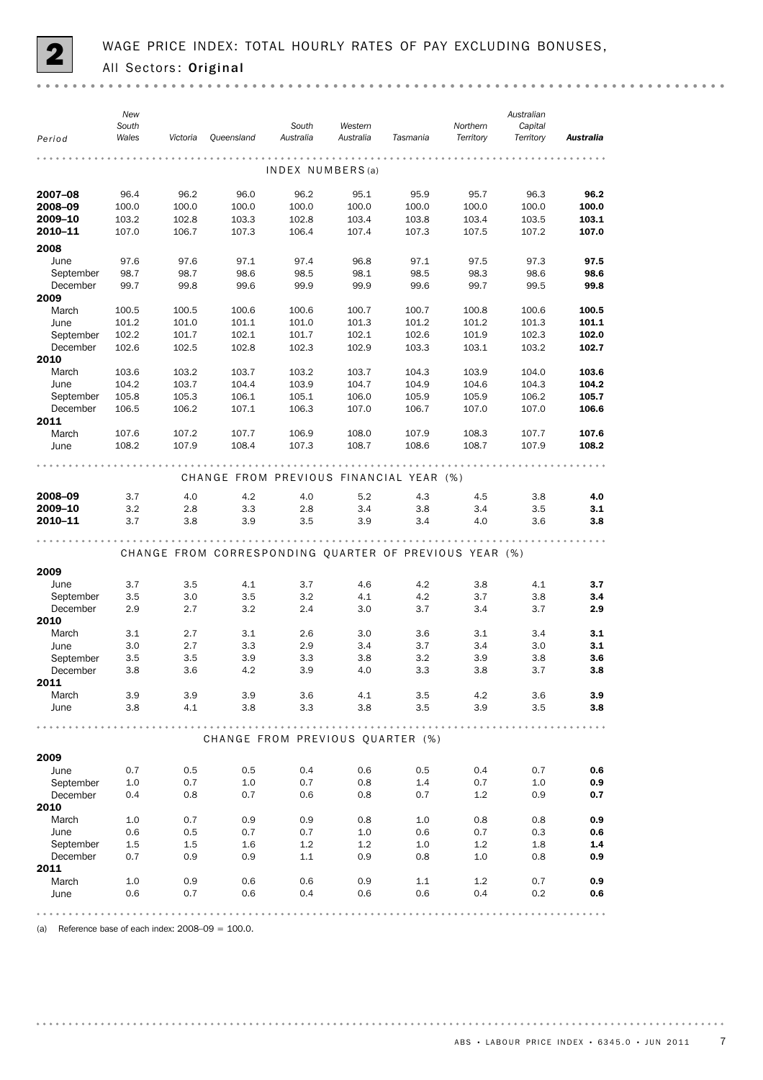

|                       | New<br>South   |                |                                                        | South            | Western        |                | Northern       | Australian<br>Capital |                |
|-----------------------|----------------|----------------|--------------------------------------------------------|------------------|----------------|----------------|----------------|-----------------------|----------------|
| Period                | Wales          | Victoria       | Queensland                                             | Australia        | Australia      | Tasmania       | Territory      | Territory             | Australia      |
|                       |                |                |                                                        | INDEX NUMBERS(a) |                |                |                |                       |                |
| 2007-08               | 96.4           | 96.2           | 96.0                                                   | 96.2             | 95.1           | 95.9           | 95.7           | 96.3                  | 96.2           |
| 2008-09               | 100.0          | 100.0          | 100.0                                                  | 100.0            | 100.0          | 100.0          | 100.0          | 100.0                 | 100.0          |
| 2009-10<br>2010-11    | 103.2<br>107.0 | 102.8<br>106.7 | 103.3<br>107.3                                         | 102.8<br>106.4   | 103.4<br>107.4 | 103.8<br>107.3 | 103.4<br>107.5 | 103.5<br>107.2        | 103.1<br>107.0 |
|                       |                |                |                                                        |                  |                |                |                |                       |                |
| 2008                  |                |                |                                                        |                  |                |                |                |                       |                |
| June                  | 97.6           | 97.6           | 97.1                                                   | 97.4             | 96.8           | 97.1           | 97.5           | 97.3                  | 97.5           |
| September<br>December | 98.7<br>99.7   | 98.7<br>99.8   | 98.6<br>99.6                                           | 98.5<br>99.9     | 98.1<br>99.9   | 98.5<br>99.6   | 98.3<br>99.7   | 98.6<br>99.5          | 98.6<br>99.8   |
| 2009                  |                |                |                                                        |                  |                |                |                |                       |                |
| March                 | 100.5          | 100.5          | 100.6                                                  | 100.6            | 100.7          | 100.7          | 100.8          | 100.6                 | 100.5          |
| June                  | 101.2          | 101.0          | 101.1                                                  | 101.0            | 101.3          | 101.2          | 101.2          | 101.3                 | 101.1          |
| September<br>December | 102.2<br>102.6 | 101.7<br>102.5 | 102.1<br>102.8                                         | 101.7<br>102.3   | 102.1<br>102.9 | 102.6<br>103.3 | 101.9<br>103.1 | 102.3<br>103.2        | 102.0<br>102.7 |
| 2010                  |                |                |                                                        |                  |                |                |                |                       |                |
| March                 | 103.6          | 103.2          | 103.7                                                  | 103.2            | 103.7          | 104.3          | 103.9          | 104.0                 | 103.6          |
| June<br>September     | 104.2<br>105.8 | 103.7<br>105.3 | 104.4<br>106.1                                         | 103.9<br>105.1   | 104.7<br>106.0 | 104.9<br>105.9 | 104.6<br>105.9 | 104.3<br>106.2        | 104.2<br>105.7 |
| December              | 106.5          | 106.2          | 107.1                                                  | 106.3            | 107.0          | 106.7          | 107.0          | 107.0                 | 106.6          |
| 2011                  |                |                |                                                        |                  |                |                |                |                       |                |
| March<br>June         | 107.6<br>108.2 | 107.2<br>107.9 | 107.7<br>108.4                                         | 106.9<br>107.3   | 108.0<br>108.7 | 107.9<br>108.6 | 108.3<br>108.7 | 107.7<br>107.9        | 107.6<br>108.2 |
|                       |                |                |                                                        |                  |                |                |                |                       |                |
|                       |                |                | CHANGE FROM PREVIOUS FINANCIAL YEAR (%)                |                  |                |                |                |                       |                |
| 2008-09               | 3.7            | 4.0            | 4.2                                                    | 4.0              | 5.2            | 4.3            | 4.5            | 3.8                   | 4.0            |
| 2009-10               | 3.2            | 2.8            | 3.3                                                    | 2.8              | 3.4            | 3.8            | 3.4            | 3.5                   | 3.1            |
| 2010-11               | 3.7            | 3.8            | 3.9                                                    | 3.5              | 3.9            | 3.4            | 4.0            | 3.6                   | 3.8            |
|                       |                |                | CHANGE FROM CORRESPONDING QUARTER OF PREVIOUS YEAR (%) |                  |                |                |                |                       |                |
| 2009                  |                |                |                                                        |                  |                |                |                |                       |                |
| June                  | 3.7            | 3.5            | 4.1                                                    | 3.7              | 4.6            | 4.2            | 3.8            | 4.1                   | 3.7            |
| September             | 3.5            | 3.0            | 3.5                                                    | 3.2              | 4.1            | 4.2            | 3.7            | 3.8                   | 3.4            |
| December              | 2.9            | 2.7            | 3.2                                                    | 2.4              | 3.0            | 3.7            | 3.4            | 3.7                   | 2.9            |
| 2010<br>March         | 3.1            | 2.7            |                                                        | 2.6              |                |                | 3.1            |                       | 3.1            |
| June                  | 3.0            | 2.7            | 3.1<br>3.3                                             | 2.9              | 3.0<br>3.4     | 3.6<br>3.7     | 3.4            | 3.4<br>3.0            | 3.1            |
| September             | 3.5            | 3.5            | 3.9                                                    | 3.3              | 3.8            | 3.2            | 3.9            | 3.8                   | 3.6            |
| December              | 3.8            | 3.6            | 4.2                                                    | 3.9              | 4.0            | 3.3            | 3.8            | 3.7                   | 3.8            |
| 2011                  |                |                |                                                        |                  |                |                |                |                       |                |
| March                 | 3.9            | 3.9            | 3.9                                                    | 3.6              | 4.1            | 3.5            | 4.2            | 3.6                   | 3.9            |
| June                  | 3.8            | 4.1            | 3.8                                                    | 3.3              | 3.8            | 3.5            | 3.9            | 3.5                   | 3.8            |
|                       |                |                | CHANGE FROM PREVIOUS QUARTER (%)                       |                  |                |                |                |                       |                |
| 2009                  |                |                |                                                        |                  |                |                |                |                       |                |
| June                  | 0.7            | 0.5            | 0.5                                                    | 0.4              | 0.6            | 0.5            | 0.4            | 0.7                   | 0.6            |
| September             | 1.0            | 0.7            | 1.0                                                    | 0.7              | 0.8            | 1.4            | 0.7            | 1.0                   | 0.9            |
| December              | 0.4            | 0.8            | 0.7                                                    | 0.6              | 0.8            | 0.7            | 1.2            | 0.9                   | 0.7            |
| 2010                  |                |                |                                                        |                  |                |                |                |                       |                |
| March                 | 1.0            | 0.7            | 0.9                                                    | 0.9              | 0.8            | 1.0            | 0.8            | 0.8                   | 0.9            |
| June                  | 0.6            | 0.5            | 0.7                                                    | 0.7              | 1.0            | 0.6            | 0.7            | 0.3                   | 0.6            |
| September<br>December | 1.5<br>0.7     | 1.5<br>0.9     | 1.6<br>0.9                                             | 1.2<br>1.1       | 1.2<br>0.9     | 1.0<br>0.8     | 1.2<br>1.0     | 1.8<br>0.8            | 1.4<br>0.9     |
| 2011                  |                |                |                                                        |                  |                |                |                |                       |                |
| March                 | 1.0            | 0.9            | 0.6                                                    | 0.6              | 0.9            | 1.1            | 1.2            | 0.7                   | 0.9            |
| June                  | 0.6            | 0.7            | 0.6                                                    | 0.4              | 0.6            | 0.6            | 0.4            | 0.2                   | 0.6            |
|                       |                |                |                                                        |                  |                |                |                |                       |                |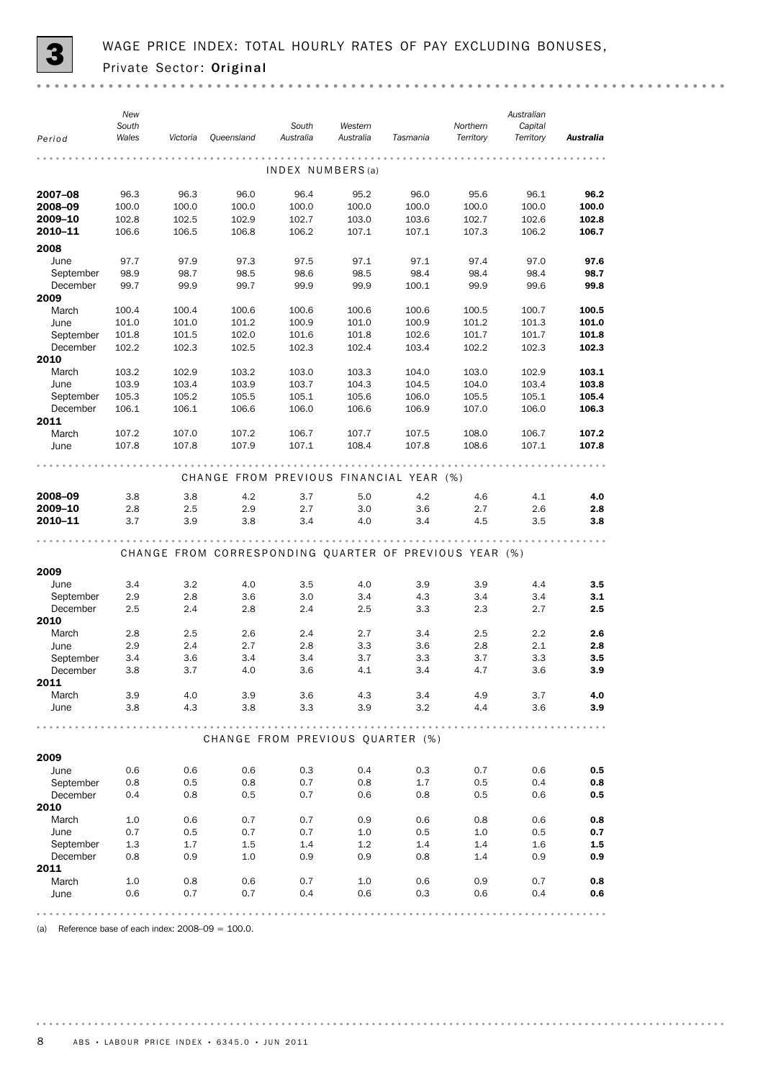

| INDEX NUMBERS(a)<br>2007-08<br>96.3<br>96.4<br>96.0<br>96.1<br>96.3<br>96.0<br>95.2<br>95.6<br>2008-09<br>100.0<br>100.0<br>100.0<br>100.0<br>100.0<br>100.0<br>100.0<br>100.0<br>2009-10<br>102.8<br>102.5<br>102.9<br>103.0<br>103.6<br>102.7<br>102.6<br>102.7<br>102.8<br>2010-11<br>106.6<br>106.5<br>106.8<br>106.2<br>107.1<br>107.1<br>107.3<br>106.2<br>106.7<br>2008<br>June<br>97.7<br>97.9<br>97.3<br>97.5<br>97.1<br>97.1<br>97.4<br>97.0<br>September<br>98.9<br>98.7<br>98.5<br>98.5<br>98.4<br>98.4<br>98.4<br>98.6<br>December<br>99.7<br>99.9<br>99.7<br>99.9<br>99.9<br>100.1<br>99.9<br>99.6<br>99.8<br>2009<br>March<br>100.4<br>100.4<br>100.6<br>100.6<br>100.6<br>100.6<br>100.5<br>100.7<br>101.0<br>100.9<br>101.2<br>June<br>101.0<br>101.2<br>100.9<br>101.0<br>101.3<br>102.6<br>101.7<br>September<br>101.8<br>101.5<br>102.0<br>101.6<br>101.8<br>101.7<br>December<br>102.2<br>102.3<br>102.5<br>102.3<br>102.4<br>103.4<br>102.2<br>102.3<br>2010<br>March<br>103.2<br>102.9<br>103.2<br>103.0<br>103.3<br>104.0<br>103.0<br>102.9<br>103.9<br>103.4<br>103.7<br>104.3<br>103.4<br>June<br>103.9<br>104.5<br>104.0<br>105.6<br>106.0<br>September<br>105.3<br>105.2<br>105.5<br>105.1<br>105.5<br>105.1<br>December<br>106.1<br>106.1<br>106.6<br>106.0<br>106.6<br>106.9<br>107.0<br>106.0<br>2011<br>March<br>107.2<br>107.0<br>107.2<br>106.7<br>107.7<br>107.5<br>108.0<br>106.7<br>107.8<br>107.8<br>108.4<br>107.8<br>108.6<br>107.9<br>107.1<br>107.1<br>June<br>CHANGE FROM PREVIOUS FINANCIAL YEAR (%)<br>2008-09<br>3.8<br>5.0<br>4.2<br>3.8<br>4.2<br>3.7<br>4.6<br>4.1<br>2009-10<br>2.8<br>3.0<br>2.5<br>2.9<br>2.7<br>3.6<br>2.7<br>2.6<br>2010-11<br>3.7<br>3.9<br>3.4<br>4.0<br>3.4<br>3.8<br>4.5<br>3.5<br>CHANGE FROM CORRESPONDING QUARTER OF PREVIOUS YEAR (%)<br>2009<br>3.2<br>4.0<br>3.9<br>June<br>3.4<br>4.0<br>3.5<br>3.9<br>4.4<br>3.5<br>2.8<br>3.0<br>3.4<br>3.4<br>3.4<br>September<br>2.9<br>3.6<br>4.3<br>3.1<br>December<br>2.5<br>2.4<br>2.8<br>2.4<br>2.5<br>3.3<br>2.3<br>2.7<br>2.5<br>2010<br>March<br>2.8<br>2.5<br>2.6<br>2.4<br>2.7<br>3.4<br>2.5<br>$2.2\,$<br>2.4<br>2.7<br>2.8<br>3.3<br>June<br>2.9<br>3.6<br>2.8<br>2.1<br>3.4<br>3.7<br>3.3<br>3.7<br>September<br>3.4<br>3.6<br>3.4<br>3.3<br>3.8<br>3.7<br>4.0<br>3.6<br>4.1<br>3.4<br>4.7<br>3.6<br>December<br>2011<br>March<br>3.9<br>4.0<br>3.9<br>3.6<br>4.3<br>3.4<br>4.9<br>3.7<br>4.3<br>3.8<br>3.3<br>3.9<br>3.2<br>4.4<br>3.6<br>June<br>3.8<br>CHANGE FROM PREVIOUS QUARTER (%)<br>2009<br>June<br>0.6<br>0.6<br>0.6<br>0.3<br>0.4<br>0.3<br>0.7<br>0.6<br>September<br>0.8<br>0.5<br>0.8<br>0.7<br>0.8<br>1.7<br>0.5<br>0.4<br>0.7<br>December<br>0.4<br>0.8<br>0.5<br>0.6<br>0.8<br>0.5<br>0.6<br>2010<br>March<br>1.0<br>0.6<br>0.7<br>0.7<br>0.9<br>0.6<br>0.8<br>0.6<br>0.7<br>0.5<br>0.7<br>0.7<br>1.0<br>0.5<br>1.0<br>0.5<br>June<br>September<br>1.3<br>1.7<br>$1.5\,$<br>1.4<br>1.2<br>1.4<br>1.4<br>1.6<br>December<br>0.8<br>0.9<br>1.0<br>0.9<br>0.9<br>0.8<br>1.4<br>0.9<br>2011<br>March<br>1.0<br>0.8<br>0.7<br>1.0<br>0.6<br>0.9<br>0.7<br>0.6<br>0.6<br>0.7<br>0.7<br>0.4<br>0.6<br>0.3<br>0.6<br>0.4<br>June | Period | New<br>South<br>Wales | Victoria | Queensland | South<br>Australia | Western<br>Australia | Tasmania | Northern<br>Territory | Australian<br>Capital<br>Territory | Australia |
|------------------------------------------------------------------------------------------------------------------------------------------------------------------------------------------------------------------------------------------------------------------------------------------------------------------------------------------------------------------------------------------------------------------------------------------------------------------------------------------------------------------------------------------------------------------------------------------------------------------------------------------------------------------------------------------------------------------------------------------------------------------------------------------------------------------------------------------------------------------------------------------------------------------------------------------------------------------------------------------------------------------------------------------------------------------------------------------------------------------------------------------------------------------------------------------------------------------------------------------------------------------------------------------------------------------------------------------------------------------------------------------------------------------------------------------------------------------------------------------------------------------------------------------------------------------------------------------------------------------------------------------------------------------------------------------------------------------------------------------------------------------------------------------------------------------------------------------------------------------------------------------------------------------------------------------------------------------------------------------------------------------------------------------------------------------------------------------------------------------------------------------------------------------------------------------------------------------------------------------------------------------------------------------------------------------------------------------------------------------------------------------------------------------------------------------------------------------------------------------------------------------------------------------------------------------------------------------------------------------------------------------------------------------------------------------------------------------------------------------------------------------------------------------------------------------------------------------------------------------------------------------------------------------------------------------------------------------------------------------------------------------------------------------------------------------------------------------------------------------------------------------------------------------------------|--------|-----------------------|----------|------------|--------------------|----------------------|----------|-----------------------|------------------------------------|-----------|
|                                                                                                                                                                                                                                                                                                                                                                                                                                                                                                                                                                                                                                                                                                                                                                                                                                                                                                                                                                                                                                                                                                                                                                                                                                                                                                                                                                                                                                                                                                                                                                                                                                                                                                                                                                                                                                                                                                                                                                                                                                                                                                                                                                                                                                                                                                                                                                                                                                                                                                                                                                                                                                                                                                                                                                                                                                                                                                                                                                                                                                                                                                                                                                              |        |                       |          |            |                    |                      |          |                       |                                    |           |
|                                                                                                                                                                                                                                                                                                                                                                                                                                                                                                                                                                                                                                                                                                                                                                                                                                                                                                                                                                                                                                                                                                                                                                                                                                                                                                                                                                                                                                                                                                                                                                                                                                                                                                                                                                                                                                                                                                                                                                                                                                                                                                                                                                                                                                                                                                                                                                                                                                                                                                                                                                                                                                                                                                                                                                                                                                                                                                                                                                                                                                                                                                                                                                              |        |                       |          |            |                    |                      |          |                       |                                    |           |
|                                                                                                                                                                                                                                                                                                                                                                                                                                                                                                                                                                                                                                                                                                                                                                                                                                                                                                                                                                                                                                                                                                                                                                                                                                                                                                                                                                                                                                                                                                                                                                                                                                                                                                                                                                                                                                                                                                                                                                                                                                                                                                                                                                                                                                                                                                                                                                                                                                                                                                                                                                                                                                                                                                                                                                                                                                                                                                                                                                                                                                                                                                                                                                              |        |                       |          |            |                    |                      |          |                       |                                    | 96.2      |
|                                                                                                                                                                                                                                                                                                                                                                                                                                                                                                                                                                                                                                                                                                                                                                                                                                                                                                                                                                                                                                                                                                                                                                                                                                                                                                                                                                                                                                                                                                                                                                                                                                                                                                                                                                                                                                                                                                                                                                                                                                                                                                                                                                                                                                                                                                                                                                                                                                                                                                                                                                                                                                                                                                                                                                                                                                                                                                                                                                                                                                                                                                                                                                              |        |                       |          |            |                    |                      |          |                       |                                    | 100.0     |
|                                                                                                                                                                                                                                                                                                                                                                                                                                                                                                                                                                                                                                                                                                                                                                                                                                                                                                                                                                                                                                                                                                                                                                                                                                                                                                                                                                                                                                                                                                                                                                                                                                                                                                                                                                                                                                                                                                                                                                                                                                                                                                                                                                                                                                                                                                                                                                                                                                                                                                                                                                                                                                                                                                                                                                                                                                                                                                                                                                                                                                                                                                                                                                              |        |                       |          |            |                    |                      |          |                       |                                    |           |
|                                                                                                                                                                                                                                                                                                                                                                                                                                                                                                                                                                                                                                                                                                                                                                                                                                                                                                                                                                                                                                                                                                                                                                                                                                                                                                                                                                                                                                                                                                                                                                                                                                                                                                                                                                                                                                                                                                                                                                                                                                                                                                                                                                                                                                                                                                                                                                                                                                                                                                                                                                                                                                                                                                                                                                                                                                                                                                                                                                                                                                                                                                                                                                              |        |                       |          |            |                    |                      |          |                       |                                    |           |
|                                                                                                                                                                                                                                                                                                                                                                                                                                                                                                                                                                                                                                                                                                                                                                                                                                                                                                                                                                                                                                                                                                                                                                                                                                                                                                                                                                                                                                                                                                                                                                                                                                                                                                                                                                                                                                                                                                                                                                                                                                                                                                                                                                                                                                                                                                                                                                                                                                                                                                                                                                                                                                                                                                                                                                                                                                                                                                                                                                                                                                                                                                                                                                              |        |                       |          |            |                    |                      |          |                       |                                    |           |
|                                                                                                                                                                                                                                                                                                                                                                                                                                                                                                                                                                                                                                                                                                                                                                                                                                                                                                                                                                                                                                                                                                                                                                                                                                                                                                                                                                                                                                                                                                                                                                                                                                                                                                                                                                                                                                                                                                                                                                                                                                                                                                                                                                                                                                                                                                                                                                                                                                                                                                                                                                                                                                                                                                                                                                                                                                                                                                                                                                                                                                                                                                                                                                              |        |                       |          |            |                    |                      |          |                       |                                    | 97.6      |
|                                                                                                                                                                                                                                                                                                                                                                                                                                                                                                                                                                                                                                                                                                                                                                                                                                                                                                                                                                                                                                                                                                                                                                                                                                                                                                                                                                                                                                                                                                                                                                                                                                                                                                                                                                                                                                                                                                                                                                                                                                                                                                                                                                                                                                                                                                                                                                                                                                                                                                                                                                                                                                                                                                                                                                                                                                                                                                                                                                                                                                                                                                                                                                              |        |                       |          |            |                    |                      |          |                       |                                    | 98.7      |
|                                                                                                                                                                                                                                                                                                                                                                                                                                                                                                                                                                                                                                                                                                                                                                                                                                                                                                                                                                                                                                                                                                                                                                                                                                                                                                                                                                                                                                                                                                                                                                                                                                                                                                                                                                                                                                                                                                                                                                                                                                                                                                                                                                                                                                                                                                                                                                                                                                                                                                                                                                                                                                                                                                                                                                                                                                                                                                                                                                                                                                                                                                                                                                              |        |                       |          |            |                    |                      |          |                       |                                    |           |
|                                                                                                                                                                                                                                                                                                                                                                                                                                                                                                                                                                                                                                                                                                                                                                                                                                                                                                                                                                                                                                                                                                                                                                                                                                                                                                                                                                                                                                                                                                                                                                                                                                                                                                                                                                                                                                                                                                                                                                                                                                                                                                                                                                                                                                                                                                                                                                                                                                                                                                                                                                                                                                                                                                                                                                                                                                                                                                                                                                                                                                                                                                                                                                              |        |                       |          |            |                    |                      |          |                       |                                    | 100.5     |
|                                                                                                                                                                                                                                                                                                                                                                                                                                                                                                                                                                                                                                                                                                                                                                                                                                                                                                                                                                                                                                                                                                                                                                                                                                                                                                                                                                                                                                                                                                                                                                                                                                                                                                                                                                                                                                                                                                                                                                                                                                                                                                                                                                                                                                                                                                                                                                                                                                                                                                                                                                                                                                                                                                                                                                                                                                                                                                                                                                                                                                                                                                                                                                              |        |                       |          |            |                    |                      |          |                       |                                    | 101.0     |
|                                                                                                                                                                                                                                                                                                                                                                                                                                                                                                                                                                                                                                                                                                                                                                                                                                                                                                                                                                                                                                                                                                                                                                                                                                                                                                                                                                                                                                                                                                                                                                                                                                                                                                                                                                                                                                                                                                                                                                                                                                                                                                                                                                                                                                                                                                                                                                                                                                                                                                                                                                                                                                                                                                                                                                                                                                                                                                                                                                                                                                                                                                                                                                              |        |                       |          |            |                    |                      |          |                       |                                    | 101.8     |
|                                                                                                                                                                                                                                                                                                                                                                                                                                                                                                                                                                                                                                                                                                                                                                                                                                                                                                                                                                                                                                                                                                                                                                                                                                                                                                                                                                                                                                                                                                                                                                                                                                                                                                                                                                                                                                                                                                                                                                                                                                                                                                                                                                                                                                                                                                                                                                                                                                                                                                                                                                                                                                                                                                                                                                                                                                                                                                                                                                                                                                                                                                                                                                              |        |                       |          |            |                    |                      |          |                       |                                    | 102.3     |
|                                                                                                                                                                                                                                                                                                                                                                                                                                                                                                                                                                                                                                                                                                                                                                                                                                                                                                                                                                                                                                                                                                                                                                                                                                                                                                                                                                                                                                                                                                                                                                                                                                                                                                                                                                                                                                                                                                                                                                                                                                                                                                                                                                                                                                                                                                                                                                                                                                                                                                                                                                                                                                                                                                                                                                                                                                                                                                                                                                                                                                                                                                                                                                              |        |                       |          |            |                    |                      |          |                       |                                    | 103.1     |
|                                                                                                                                                                                                                                                                                                                                                                                                                                                                                                                                                                                                                                                                                                                                                                                                                                                                                                                                                                                                                                                                                                                                                                                                                                                                                                                                                                                                                                                                                                                                                                                                                                                                                                                                                                                                                                                                                                                                                                                                                                                                                                                                                                                                                                                                                                                                                                                                                                                                                                                                                                                                                                                                                                                                                                                                                                                                                                                                                                                                                                                                                                                                                                              |        |                       |          |            |                    |                      |          |                       |                                    | 103.8     |
|                                                                                                                                                                                                                                                                                                                                                                                                                                                                                                                                                                                                                                                                                                                                                                                                                                                                                                                                                                                                                                                                                                                                                                                                                                                                                                                                                                                                                                                                                                                                                                                                                                                                                                                                                                                                                                                                                                                                                                                                                                                                                                                                                                                                                                                                                                                                                                                                                                                                                                                                                                                                                                                                                                                                                                                                                                                                                                                                                                                                                                                                                                                                                                              |        |                       |          |            |                    |                      |          |                       |                                    | 105.4     |
|                                                                                                                                                                                                                                                                                                                                                                                                                                                                                                                                                                                                                                                                                                                                                                                                                                                                                                                                                                                                                                                                                                                                                                                                                                                                                                                                                                                                                                                                                                                                                                                                                                                                                                                                                                                                                                                                                                                                                                                                                                                                                                                                                                                                                                                                                                                                                                                                                                                                                                                                                                                                                                                                                                                                                                                                                                                                                                                                                                                                                                                                                                                                                                              |        |                       |          |            |                    |                      |          |                       |                                    | 106.3     |
|                                                                                                                                                                                                                                                                                                                                                                                                                                                                                                                                                                                                                                                                                                                                                                                                                                                                                                                                                                                                                                                                                                                                                                                                                                                                                                                                                                                                                                                                                                                                                                                                                                                                                                                                                                                                                                                                                                                                                                                                                                                                                                                                                                                                                                                                                                                                                                                                                                                                                                                                                                                                                                                                                                                                                                                                                                                                                                                                                                                                                                                                                                                                                                              |        |                       |          |            |                    |                      |          |                       |                                    | 107.2     |
|                                                                                                                                                                                                                                                                                                                                                                                                                                                                                                                                                                                                                                                                                                                                                                                                                                                                                                                                                                                                                                                                                                                                                                                                                                                                                                                                                                                                                                                                                                                                                                                                                                                                                                                                                                                                                                                                                                                                                                                                                                                                                                                                                                                                                                                                                                                                                                                                                                                                                                                                                                                                                                                                                                                                                                                                                                                                                                                                                                                                                                                                                                                                                                              |        |                       |          |            |                    |                      |          |                       |                                    | 107.8     |
|                                                                                                                                                                                                                                                                                                                                                                                                                                                                                                                                                                                                                                                                                                                                                                                                                                                                                                                                                                                                                                                                                                                                                                                                                                                                                                                                                                                                                                                                                                                                                                                                                                                                                                                                                                                                                                                                                                                                                                                                                                                                                                                                                                                                                                                                                                                                                                                                                                                                                                                                                                                                                                                                                                                                                                                                                                                                                                                                                                                                                                                                                                                                                                              |        |                       |          |            |                    |                      |          |                       |                                    |           |
|                                                                                                                                                                                                                                                                                                                                                                                                                                                                                                                                                                                                                                                                                                                                                                                                                                                                                                                                                                                                                                                                                                                                                                                                                                                                                                                                                                                                                                                                                                                                                                                                                                                                                                                                                                                                                                                                                                                                                                                                                                                                                                                                                                                                                                                                                                                                                                                                                                                                                                                                                                                                                                                                                                                                                                                                                                                                                                                                                                                                                                                                                                                                                                              |        |                       |          |            |                    |                      |          |                       |                                    | 4.0       |
|                                                                                                                                                                                                                                                                                                                                                                                                                                                                                                                                                                                                                                                                                                                                                                                                                                                                                                                                                                                                                                                                                                                                                                                                                                                                                                                                                                                                                                                                                                                                                                                                                                                                                                                                                                                                                                                                                                                                                                                                                                                                                                                                                                                                                                                                                                                                                                                                                                                                                                                                                                                                                                                                                                                                                                                                                                                                                                                                                                                                                                                                                                                                                                              |        |                       |          |            |                    |                      |          |                       |                                    | 2.8       |
|                                                                                                                                                                                                                                                                                                                                                                                                                                                                                                                                                                                                                                                                                                                                                                                                                                                                                                                                                                                                                                                                                                                                                                                                                                                                                                                                                                                                                                                                                                                                                                                                                                                                                                                                                                                                                                                                                                                                                                                                                                                                                                                                                                                                                                                                                                                                                                                                                                                                                                                                                                                                                                                                                                                                                                                                                                                                                                                                                                                                                                                                                                                                                                              |        |                       |          |            |                    |                      |          |                       |                                    | 3.8       |
|                                                                                                                                                                                                                                                                                                                                                                                                                                                                                                                                                                                                                                                                                                                                                                                                                                                                                                                                                                                                                                                                                                                                                                                                                                                                                                                                                                                                                                                                                                                                                                                                                                                                                                                                                                                                                                                                                                                                                                                                                                                                                                                                                                                                                                                                                                                                                                                                                                                                                                                                                                                                                                                                                                                                                                                                                                                                                                                                                                                                                                                                                                                                                                              |        |                       |          |            |                    |                      |          |                       |                                    |           |
|                                                                                                                                                                                                                                                                                                                                                                                                                                                                                                                                                                                                                                                                                                                                                                                                                                                                                                                                                                                                                                                                                                                                                                                                                                                                                                                                                                                                                                                                                                                                                                                                                                                                                                                                                                                                                                                                                                                                                                                                                                                                                                                                                                                                                                                                                                                                                                                                                                                                                                                                                                                                                                                                                                                                                                                                                                                                                                                                                                                                                                                                                                                                                                              |        |                       |          |            |                    |                      |          |                       |                                    |           |
|                                                                                                                                                                                                                                                                                                                                                                                                                                                                                                                                                                                                                                                                                                                                                                                                                                                                                                                                                                                                                                                                                                                                                                                                                                                                                                                                                                                                                                                                                                                                                                                                                                                                                                                                                                                                                                                                                                                                                                                                                                                                                                                                                                                                                                                                                                                                                                                                                                                                                                                                                                                                                                                                                                                                                                                                                                                                                                                                                                                                                                                                                                                                                                              |        |                       |          |            |                    |                      |          |                       |                                    |           |
|                                                                                                                                                                                                                                                                                                                                                                                                                                                                                                                                                                                                                                                                                                                                                                                                                                                                                                                                                                                                                                                                                                                                                                                                                                                                                                                                                                                                                                                                                                                                                                                                                                                                                                                                                                                                                                                                                                                                                                                                                                                                                                                                                                                                                                                                                                                                                                                                                                                                                                                                                                                                                                                                                                                                                                                                                                                                                                                                                                                                                                                                                                                                                                              |        |                       |          |            |                    |                      |          |                       |                                    |           |
|                                                                                                                                                                                                                                                                                                                                                                                                                                                                                                                                                                                                                                                                                                                                                                                                                                                                                                                                                                                                                                                                                                                                                                                                                                                                                                                                                                                                                                                                                                                                                                                                                                                                                                                                                                                                                                                                                                                                                                                                                                                                                                                                                                                                                                                                                                                                                                                                                                                                                                                                                                                                                                                                                                                                                                                                                                                                                                                                                                                                                                                                                                                                                                              |        |                       |          |            |                    |                      |          |                       |                                    |           |
|                                                                                                                                                                                                                                                                                                                                                                                                                                                                                                                                                                                                                                                                                                                                                                                                                                                                                                                                                                                                                                                                                                                                                                                                                                                                                                                                                                                                                                                                                                                                                                                                                                                                                                                                                                                                                                                                                                                                                                                                                                                                                                                                                                                                                                                                                                                                                                                                                                                                                                                                                                                                                                                                                                                                                                                                                                                                                                                                                                                                                                                                                                                                                                              |        |                       |          |            |                    |                      |          |                       |                                    |           |
|                                                                                                                                                                                                                                                                                                                                                                                                                                                                                                                                                                                                                                                                                                                                                                                                                                                                                                                                                                                                                                                                                                                                                                                                                                                                                                                                                                                                                                                                                                                                                                                                                                                                                                                                                                                                                                                                                                                                                                                                                                                                                                                                                                                                                                                                                                                                                                                                                                                                                                                                                                                                                                                                                                                                                                                                                                                                                                                                                                                                                                                                                                                                                                              |        |                       |          |            |                    |                      |          |                       |                                    | 2.6       |
|                                                                                                                                                                                                                                                                                                                                                                                                                                                                                                                                                                                                                                                                                                                                                                                                                                                                                                                                                                                                                                                                                                                                                                                                                                                                                                                                                                                                                                                                                                                                                                                                                                                                                                                                                                                                                                                                                                                                                                                                                                                                                                                                                                                                                                                                                                                                                                                                                                                                                                                                                                                                                                                                                                                                                                                                                                                                                                                                                                                                                                                                                                                                                                              |        |                       |          |            |                    |                      |          |                       |                                    | 2.8       |
|                                                                                                                                                                                                                                                                                                                                                                                                                                                                                                                                                                                                                                                                                                                                                                                                                                                                                                                                                                                                                                                                                                                                                                                                                                                                                                                                                                                                                                                                                                                                                                                                                                                                                                                                                                                                                                                                                                                                                                                                                                                                                                                                                                                                                                                                                                                                                                                                                                                                                                                                                                                                                                                                                                                                                                                                                                                                                                                                                                                                                                                                                                                                                                              |        |                       |          |            |                    |                      |          |                       |                                    | 3.5       |
|                                                                                                                                                                                                                                                                                                                                                                                                                                                                                                                                                                                                                                                                                                                                                                                                                                                                                                                                                                                                                                                                                                                                                                                                                                                                                                                                                                                                                                                                                                                                                                                                                                                                                                                                                                                                                                                                                                                                                                                                                                                                                                                                                                                                                                                                                                                                                                                                                                                                                                                                                                                                                                                                                                                                                                                                                                                                                                                                                                                                                                                                                                                                                                              |        |                       |          |            |                    |                      |          |                       |                                    | 3.9       |
|                                                                                                                                                                                                                                                                                                                                                                                                                                                                                                                                                                                                                                                                                                                                                                                                                                                                                                                                                                                                                                                                                                                                                                                                                                                                                                                                                                                                                                                                                                                                                                                                                                                                                                                                                                                                                                                                                                                                                                                                                                                                                                                                                                                                                                                                                                                                                                                                                                                                                                                                                                                                                                                                                                                                                                                                                                                                                                                                                                                                                                                                                                                                                                              |        |                       |          |            |                    |                      |          |                       |                                    | 4.0       |
|                                                                                                                                                                                                                                                                                                                                                                                                                                                                                                                                                                                                                                                                                                                                                                                                                                                                                                                                                                                                                                                                                                                                                                                                                                                                                                                                                                                                                                                                                                                                                                                                                                                                                                                                                                                                                                                                                                                                                                                                                                                                                                                                                                                                                                                                                                                                                                                                                                                                                                                                                                                                                                                                                                                                                                                                                                                                                                                                                                                                                                                                                                                                                                              |        |                       |          |            |                    |                      |          |                       |                                    | 3.9       |
|                                                                                                                                                                                                                                                                                                                                                                                                                                                                                                                                                                                                                                                                                                                                                                                                                                                                                                                                                                                                                                                                                                                                                                                                                                                                                                                                                                                                                                                                                                                                                                                                                                                                                                                                                                                                                                                                                                                                                                                                                                                                                                                                                                                                                                                                                                                                                                                                                                                                                                                                                                                                                                                                                                                                                                                                                                                                                                                                                                                                                                                                                                                                                                              |        |                       |          |            |                    |                      |          |                       |                                    |           |
|                                                                                                                                                                                                                                                                                                                                                                                                                                                                                                                                                                                                                                                                                                                                                                                                                                                                                                                                                                                                                                                                                                                                                                                                                                                                                                                                                                                                                                                                                                                                                                                                                                                                                                                                                                                                                                                                                                                                                                                                                                                                                                                                                                                                                                                                                                                                                                                                                                                                                                                                                                                                                                                                                                                                                                                                                                                                                                                                                                                                                                                                                                                                                                              |        |                       |          |            |                    |                      |          |                       |                                    |           |
|                                                                                                                                                                                                                                                                                                                                                                                                                                                                                                                                                                                                                                                                                                                                                                                                                                                                                                                                                                                                                                                                                                                                                                                                                                                                                                                                                                                                                                                                                                                                                                                                                                                                                                                                                                                                                                                                                                                                                                                                                                                                                                                                                                                                                                                                                                                                                                                                                                                                                                                                                                                                                                                                                                                                                                                                                                                                                                                                                                                                                                                                                                                                                                              |        |                       |          |            |                    |                      |          |                       |                                    | 0.5       |
|                                                                                                                                                                                                                                                                                                                                                                                                                                                                                                                                                                                                                                                                                                                                                                                                                                                                                                                                                                                                                                                                                                                                                                                                                                                                                                                                                                                                                                                                                                                                                                                                                                                                                                                                                                                                                                                                                                                                                                                                                                                                                                                                                                                                                                                                                                                                                                                                                                                                                                                                                                                                                                                                                                                                                                                                                                                                                                                                                                                                                                                                                                                                                                              |        |                       |          |            |                    |                      |          |                       |                                    | 0.8       |
|                                                                                                                                                                                                                                                                                                                                                                                                                                                                                                                                                                                                                                                                                                                                                                                                                                                                                                                                                                                                                                                                                                                                                                                                                                                                                                                                                                                                                                                                                                                                                                                                                                                                                                                                                                                                                                                                                                                                                                                                                                                                                                                                                                                                                                                                                                                                                                                                                                                                                                                                                                                                                                                                                                                                                                                                                                                                                                                                                                                                                                                                                                                                                                              |        |                       |          |            |                    |                      |          |                       |                                    | 0.5       |
|                                                                                                                                                                                                                                                                                                                                                                                                                                                                                                                                                                                                                                                                                                                                                                                                                                                                                                                                                                                                                                                                                                                                                                                                                                                                                                                                                                                                                                                                                                                                                                                                                                                                                                                                                                                                                                                                                                                                                                                                                                                                                                                                                                                                                                                                                                                                                                                                                                                                                                                                                                                                                                                                                                                                                                                                                                                                                                                                                                                                                                                                                                                                                                              |        |                       |          |            |                    |                      |          |                       |                                    |           |
|                                                                                                                                                                                                                                                                                                                                                                                                                                                                                                                                                                                                                                                                                                                                                                                                                                                                                                                                                                                                                                                                                                                                                                                                                                                                                                                                                                                                                                                                                                                                                                                                                                                                                                                                                                                                                                                                                                                                                                                                                                                                                                                                                                                                                                                                                                                                                                                                                                                                                                                                                                                                                                                                                                                                                                                                                                                                                                                                                                                                                                                                                                                                                                              |        |                       |          |            |                    |                      |          |                       |                                    | 0.8       |
|                                                                                                                                                                                                                                                                                                                                                                                                                                                                                                                                                                                                                                                                                                                                                                                                                                                                                                                                                                                                                                                                                                                                                                                                                                                                                                                                                                                                                                                                                                                                                                                                                                                                                                                                                                                                                                                                                                                                                                                                                                                                                                                                                                                                                                                                                                                                                                                                                                                                                                                                                                                                                                                                                                                                                                                                                                                                                                                                                                                                                                                                                                                                                                              |        |                       |          |            |                    |                      |          |                       |                                    | 0.7       |
|                                                                                                                                                                                                                                                                                                                                                                                                                                                                                                                                                                                                                                                                                                                                                                                                                                                                                                                                                                                                                                                                                                                                                                                                                                                                                                                                                                                                                                                                                                                                                                                                                                                                                                                                                                                                                                                                                                                                                                                                                                                                                                                                                                                                                                                                                                                                                                                                                                                                                                                                                                                                                                                                                                                                                                                                                                                                                                                                                                                                                                                                                                                                                                              |        |                       |          |            |                    |                      |          |                       |                                    | 1.5       |
|                                                                                                                                                                                                                                                                                                                                                                                                                                                                                                                                                                                                                                                                                                                                                                                                                                                                                                                                                                                                                                                                                                                                                                                                                                                                                                                                                                                                                                                                                                                                                                                                                                                                                                                                                                                                                                                                                                                                                                                                                                                                                                                                                                                                                                                                                                                                                                                                                                                                                                                                                                                                                                                                                                                                                                                                                                                                                                                                                                                                                                                                                                                                                                              |        |                       |          |            |                    |                      |          |                       |                                    | 0.9       |
|                                                                                                                                                                                                                                                                                                                                                                                                                                                                                                                                                                                                                                                                                                                                                                                                                                                                                                                                                                                                                                                                                                                                                                                                                                                                                                                                                                                                                                                                                                                                                                                                                                                                                                                                                                                                                                                                                                                                                                                                                                                                                                                                                                                                                                                                                                                                                                                                                                                                                                                                                                                                                                                                                                                                                                                                                                                                                                                                                                                                                                                                                                                                                                              |        |                       |          |            |                    |                      |          |                       |                                    |           |
|                                                                                                                                                                                                                                                                                                                                                                                                                                                                                                                                                                                                                                                                                                                                                                                                                                                                                                                                                                                                                                                                                                                                                                                                                                                                                                                                                                                                                                                                                                                                                                                                                                                                                                                                                                                                                                                                                                                                                                                                                                                                                                                                                                                                                                                                                                                                                                                                                                                                                                                                                                                                                                                                                                                                                                                                                                                                                                                                                                                                                                                                                                                                                                              |        |                       |          |            |                    |                      |          |                       |                                    | 0.8       |
|                                                                                                                                                                                                                                                                                                                                                                                                                                                                                                                                                                                                                                                                                                                                                                                                                                                                                                                                                                                                                                                                                                                                                                                                                                                                                                                                                                                                                                                                                                                                                                                                                                                                                                                                                                                                                                                                                                                                                                                                                                                                                                                                                                                                                                                                                                                                                                                                                                                                                                                                                                                                                                                                                                                                                                                                                                                                                                                                                                                                                                                                                                                                                                              |        |                       |          |            |                    |                      |          |                       |                                    | 0.6       |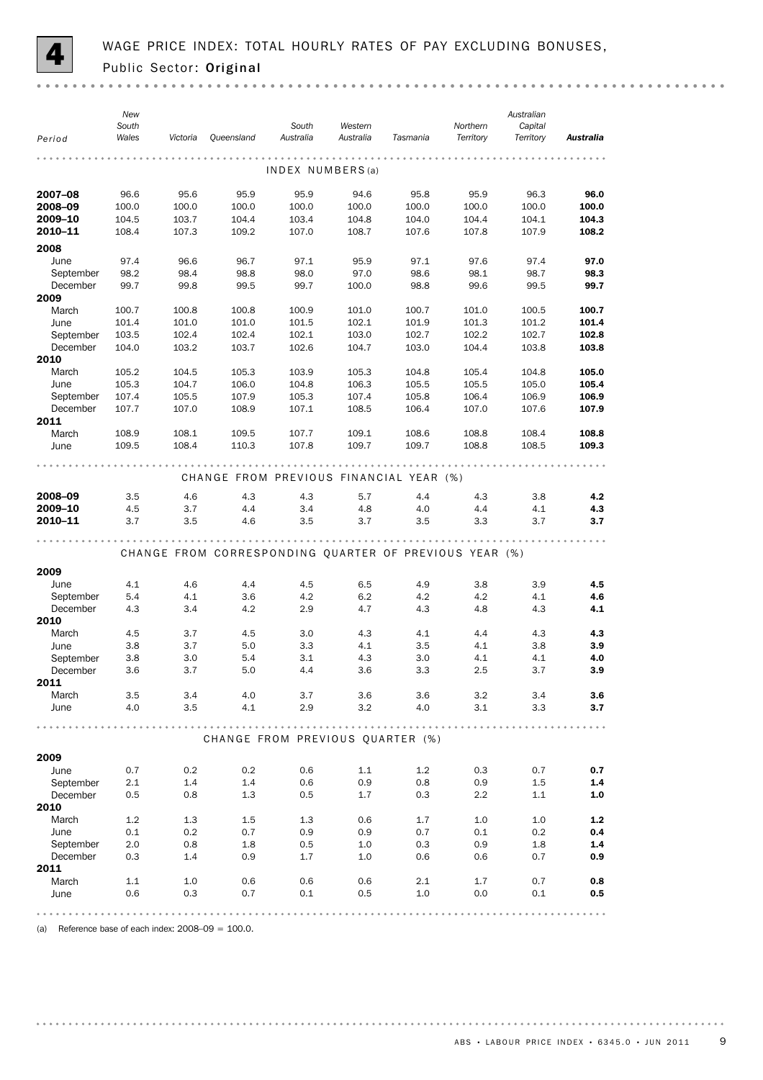

| INDEX NUMBERS(a)<br>95.8<br>96.3<br>2007-08<br>96.6<br>95.6<br>95.9<br>95.9<br>94.6<br>95.9<br>96.0<br>2008-09<br>100.0<br>100.0<br>100.0<br>100.0<br>100.0<br>100.0<br>100.0<br>100.0<br>100.0<br>2009-10<br>104.5<br>103.7<br>104.4<br>103.4<br>104.8<br>104.0<br>104.4<br>104.3<br>104.1<br>2010-11<br>108.4<br>109.2<br>108.7<br>107.3<br>107.0<br>107.6<br>107.8<br>107.9<br>108.2<br>2008<br>June<br>97.4<br>96.6<br>96.7<br>97.1<br>95.9<br>97.1<br>97.6<br>97.4<br>97.0<br>September<br>98.2<br>98.4<br>98.8<br>98.0<br>97.0<br>98.6<br>98.1<br>98.7<br>98.3<br>98.8<br>99.7<br>December<br>99.7<br>99.8<br>99.5<br>99.7<br>100.0<br>99.6<br>99.5<br>2009<br>March<br>100.7<br>100.7<br>100.8<br>100.8<br>100.9<br>101.0<br>100.7<br>101.0<br>100.5<br>101.4<br>101.9<br>101.3<br>June<br>101.0<br>101.0<br>101.5<br>102.1<br>101.2<br>101.4<br>103.5<br>102.4<br>102.4<br>102.1<br>103.0<br>102.7<br>102.2<br>102.7<br>102.8<br>September<br>December<br>104.0<br>103.2<br>103.7<br>102.6<br>104.7<br>103.0<br>104.4<br>103.8<br>103.8<br>2010<br>March<br>105.0<br>105.2<br>104.5<br>105.3<br>103.9<br>105.3<br>104.8<br>105.4<br>104.8<br>105.3<br>106.3<br>105.5<br>June<br>104.7<br>106.0<br>104.8<br>105.5<br>105.0<br>105.4<br>September<br>107.4<br>107.9<br>105.3<br>107.4<br>105.8<br>106.4<br>106.9<br>105.5<br>106.9<br>December<br>107.7<br>107.0<br>108.9<br>107.1<br>108.5<br>106.4<br>107.0<br>107.6<br>107.9<br>2011<br>March<br>108.9<br>108.1<br>109.5<br>107.7<br>109.1<br>108.6<br>108.8<br>108.4<br>108.8<br>108.4<br>108.8<br>June<br>109.5<br>110.3<br>107.8<br>109.7<br>109.7<br>108.5<br>109.3<br>CHANGE FROM PREVIOUS FINANCIAL YEAR (%)<br>2008-09<br>3.5<br>4.6<br>4.3<br>4.3<br>4.4<br>4.3<br>5.7<br>3.8<br>4.2<br>2009-10<br>4.5<br>3.7<br>4.4<br>3.4<br>4.8<br>4.1<br>4.3<br>4.0<br>4.4<br>2010-11<br>3.7<br>3.5<br>3.5<br>3.7<br>3.3<br>3.7<br>4.6<br>3.5<br>3.7<br>CHANGE FROM CORRESPONDING QUARTER OF PREVIOUS YEAR (%)<br>2009<br>4.5<br>June<br>4.1<br>4.6<br>4.4<br>4.5<br>6.5<br>4.9<br>3.8<br>3.9<br>September<br>4.1<br>3.6<br>4.2<br>6.2<br>4.2<br>4.2<br>4.1<br>4.6<br>5.4<br>4.1<br>December<br>4.3<br>3.4<br>4.2<br>2.9<br>4.7<br>4.3<br>4.8<br>4.3<br>2010<br>March<br>4.3<br>4.1<br>4.4<br>4.3<br>4.3<br>4.5<br>3.7<br>4.5<br>3.0<br>3.7<br>3.3<br>4.1<br>4.1<br>3.8<br>3.9<br>June<br>3.8<br>5.0<br>3.5<br>September<br>3.0<br>3.1<br>4.3<br>4.1<br>4.1<br>4.0<br>3.8<br>5.4<br>3.0<br>3.6<br>3.3<br>December<br>3.6<br>3.7<br>5.0<br>4.4<br>2.5<br>3.7<br>3.9<br>2011<br>March<br>3.5<br>3.4<br>4.0<br>3.7<br>3.6<br>3.6<br>3.2<br>3.4<br>3.6<br>4.1<br>2.9<br>3.2<br>3.1<br>June<br>4.0<br>3.5<br>4.0<br>3.3<br>3.7<br>CHANGE FROM PREVIOUS QUARTER (%)<br>2009<br>0.2<br>0.2<br>0.6<br>1.1<br>1.2<br>0.3<br>0.7<br>0.7<br>June<br>0.7<br>September<br>2.1<br>1.4<br>1.4<br>0.6<br>0.9<br>0.8<br>0.9<br>1.5<br>1.4<br>December<br>0.5<br>0.8<br>1.3<br>0.5<br>1.7<br>0.3<br>2.2<br>1.1<br>1.0<br>2010<br>March<br>1.2<br>1.3<br>1.5<br>1.3<br>0.6<br>1.7<br>1.0<br>1.0<br>$1.2$<br>0.2<br>0.7<br>0.9<br>0.9<br>0.1<br>0.2<br>0.4<br>June<br>0.1<br>0.7<br>September<br>2.0<br>0.8<br>1.8<br>0.5<br>1.0<br>0.3<br>0.9<br>1.8<br>1.4<br>December<br>0.3<br>1.4<br>0.9<br>1.7<br>1.0<br>0.6<br>0.7<br>0.9<br>0.6<br>2011<br>March<br>1.1<br>1.0<br>0.6<br>0.6<br>0.6<br>2.1<br>1.7<br>0.7<br>0.8<br>0.6<br>0.3<br>0.1<br>0.5<br>1.0<br>June<br>0.7<br>0.0<br>0.1<br>0.5 | Period | New<br>South<br>Wales | Victoria | Queensland | South<br>Australia | Western<br>Australia | Tasmania | Northern<br>Territory | Australian<br>Capital<br>Territory | Australia |
|---------------------------------------------------------------------------------------------------------------------------------------------------------------------------------------------------------------------------------------------------------------------------------------------------------------------------------------------------------------------------------------------------------------------------------------------------------------------------------------------------------------------------------------------------------------------------------------------------------------------------------------------------------------------------------------------------------------------------------------------------------------------------------------------------------------------------------------------------------------------------------------------------------------------------------------------------------------------------------------------------------------------------------------------------------------------------------------------------------------------------------------------------------------------------------------------------------------------------------------------------------------------------------------------------------------------------------------------------------------------------------------------------------------------------------------------------------------------------------------------------------------------------------------------------------------------------------------------------------------------------------------------------------------------------------------------------------------------------------------------------------------------------------------------------------------------------------------------------------------------------------------------------------------------------------------------------------------------------------------------------------------------------------------------------------------------------------------------------------------------------------------------------------------------------------------------------------------------------------------------------------------------------------------------------------------------------------------------------------------------------------------------------------------------------------------------------------------------------------------------------------------------------------------------------------------------------------------------------------------------------------------------------------------------------------------------------------------------------------------------------------------------------------------------------------------------------------------------------------------------------------------------------------------------------------------------------------------------------------------------------------------------------------------------------------------------------------------------------------------------------------------------------------------------------------------------------------------------------------------------------------------------------------------------------------------------------------------------------------------------------------------------------------------------------------|--------|-----------------------|----------|------------|--------------------|----------------------|----------|-----------------------|------------------------------------|-----------|
|                                                                                                                                                                                                                                                                                                                                                                                                                                                                                                                                                                                                                                                                                                                                                                                                                                                                                                                                                                                                                                                                                                                                                                                                                                                                                                                                                                                                                                                                                                                                                                                                                                                                                                                                                                                                                                                                                                                                                                                                                                                                                                                                                                                                                                                                                                                                                                                                                                                                                                                                                                                                                                                                                                                                                                                                                                                                                                                                                                                                                                                                                                                                                                                                                                                                                                                                                                                                                                 |        |                       |          |            |                    |                      |          |                       |                                    |           |
|                                                                                                                                                                                                                                                                                                                                                                                                                                                                                                                                                                                                                                                                                                                                                                                                                                                                                                                                                                                                                                                                                                                                                                                                                                                                                                                                                                                                                                                                                                                                                                                                                                                                                                                                                                                                                                                                                                                                                                                                                                                                                                                                                                                                                                                                                                                                                                                                                                                                                                                                                                                                                                                                                                                                                                                                                                                                                                                                                                                                                                                                                                                                                                                                                                                                                                                                                                                                                                 |        |                       |          |            |                    |                      |          |                       |                                    |           |
|                                                                                                                                                                                                                                                                                                                                                                                                                                                                                                                                                                                                                                                                                                                                                                                                                                                                                                                                                                                                                                                                                                                                                                                                                                                                                                                                                                                                                                                                                                                                                                                                                                                                                                                                                                                                                                                                                                                                                                                                                                                                                                                                                                                                                                                                                                                                                                                                                                                                                                                                                                                                                                                                                                                                                                                                                                                                                                                                                                                                                                                                                                                                                                                                                                                                                                                                                                                                                                 |        |                       |          |            |                    |                      |          |                       |                                    |           |
|                                                                                                                                                                                                                                                                                                                                                                                                                                                                                                                                                                                                                                                                                                                                                                                                                                                                                                                                                                                                                                                                                                                                                                                                                                                                                                                                                                                                                                                                                                                                                                                                                                                                                                                                                                                                                                                                                                                                                                                                                                                                                                                                                                                                                                                                                                                                                                                                                                                                                                                                                                                                                                                                                                                                                                                                                                                                                                                                                                                                                                                                                                                                                                                                                                                                                                                                                                                                                                 |        |                       |          |            |                    |                      |          |                       |                                    |           |
|                                                                                                                                                                                                                                                                                                                                                                                                                                                                                                                                                                                                                                                                                                                                                                                                                                                                                                                                                                                                                                                                                                                                                                                                                                                                                                                                                                                                                                                                                                                                                                                                                                                                                                                                                                                                                                                                                                                                                                                                                                                                                                                                                                                                                                                                                                                                                                                                                                                                                                                                                                                                                                                                                                                                                                                                                                                                                                                                                                                                                                                                                                                                                                                                                                                                                                                                                                                                                                 |        |                       |          |            |                    |                      |          |                       |                                    |           |
|                                                                                                                                                                                                                                                                                                                                                                                                                                                                                                                                                                                                                                                                                                                                                                                                                                                                                                                                                                                                                                                                                                                                                                                                                                                                                                                                                                                                                                                                                                                                                                                                                                                                                                                                                                                                                                                                                                                                                                                                                                                                                                                                                                                                                                                                                                                                                                                                                                                                                                                                                                                                                                                                                                                                                                                                                                                                                                                                                                                                                                                                                                                                                                                                                                                                                                                                                                                                                                 |        |                       |          |            |                    |                      |          |                       |                                    |           |
|                                                                                                                                                                                                                                                                                                                                                                                                                                                                                                                                                                                                                                                                                                                                                                                                                                                                                                                                                                                                                                                                                                                                                                                                                                                                                                                                                                                                                                                                                                                                                                                                                                                                                                                                                                                                                                                                                                                                                                                                                                                                                                                                                                                                                                                                                                                                                                                                                                                                                                                                                                                                                                                                                                                                                                                                                                                                                                                                                                                                                                                                                                                                                                                                                                                                                                                                                                                                                                 |        |                       |          |            |                    |                      |          |                       |                                    |           |
|                                                                                                                                                                                                                                                                                                                                                                                                                                                                                                                                                                                                                                                                                                                                                                                                                                                                                                                                                                                                                                                                                                                                                                                                                                                                                                                                                                                                                                                                                                                                                                                                                                                                                                                                                                                                                                                                                                                                                                                                                                                                                                                                                                                                                                                                                                                                                                                                                                                                                                                                                                                                                                                                                                                                                                                                                                                                                                                                                                                                                                                                                                                                                                                                                                                                                                                                                                                                                                 |        |                       |          |            |                    |                      |          |                       |                                    |           |
|                                                                                                                                                                                                                                                                                                                                                                                                                                                                                                                                                                                                                                                                                                                                                                                                                                                                                                                                                                                                                                                                                                                                                                                                                                                                                                                                                                                                                                                                                                                                                                                                                                                                                                                                                                                                                                                                                                                                                                                                                                                                                                                                                                                                                                                                                                                                                                                                                                                                                                                                                                                                                                                                                                                                                                                                                                                                                                                                                                                                                                                                                                                                                                                                                                                                                                                                                                                                                                 |        |                       |          |            |                    |                      |          |                       |                                    |           |
|                                                                                                                                                                                                                                                                                                                                                                                                                                                                                                                                                                                                                                                                                                                                                                                                                                                                                                                                                                                                                                                                                                                                                                                                                                                                                                                                                                                                                                                                                                                                                                                                                                                                                                                                                                                                                                                                                                                                                                                                                                                                                                                                                                                                                                                                                                                                                                                                                                                                                                                                                                                                                                                                                                                                                                                                                                                                                                                                                                                                                                                                                                                                                                                                                                                                                                                                                                                                                                 |        |                       |          |            |                    |                      |          |                       |                                    |           |
|                                                                                                                                                                                                                                                                                                                                                                                                                                                                                                                                                                                                                                                                                                                                                                                                                                                                                                                                                                                                                                                                                                                                                                                                                                                                                                                                                                                                                                                                                                                                                                                                                                                                                                                                                                                                                                                                                                                                                                                                                                                                                                                                                                                                                                                                                                                                                                                                                                                                                                                                                                                                                                                                                                                                                                                                                                                                                                                                                                                                                                                                                                                                                                                                                                                                                                                                                                                                                                 |        |                       |          |            |                    |                      |          |                       |                                    |           |
|                                                                                                                                                                                                                                                                                                                                                                                                                                                                                                                                                                                                                                                                                                                                                                                                                                                                                                                                                                                                                                                                                                                                                                                                                                                                                                                                                                                                                                                                                                                                                                                                                                                                                                                                                                                                                                                                                                                                                                                                                                                                                                                                                                                                                                                                                                                                                                                                                                                                                                                                                                                                                                                                                                                                                                                                                                                                                                                                                                                                                                                                                                                                                                                                                                                                                                                                                                                                                                 |        |                       |          |            |                    |                      |          |                       |                                    |           |
|                                                                                                                                                                                                                                                                                                                                                                                                                                                                                                                                                                                                                                                                                                                                                                                                                                                                                                                                                                                                                                                                                                                                                                                                                                                                                                                                                                                                                                                                                                                                                                                                                                                                                                                                                                                                                                                                                                                                                                                                                                                                                                                                                                                                                                                                                                                                                                                                                                                                                                                                                                                                                                                                                                                                                                                                                                                                                                                                                                                                                                                                                                                                                                                                                                                                                                                                                                                                                                 |        |                       |          |            |                    |                      |          |                       |                                    |           |
|                                                                                                                                                                                                                                                                                                                                                                                                                                                                                                                                                                                                                                                                                                                                                                                                                                                                                                                                                                                                                                                                                                                                                                                                                                                                                                                                                                                                                                                                                                                                                                                                                                                                                                                                                                                                                                                                                                                                                                                                                                                                                                                                                                                                                                                                                                                                                                                                                                                                                                                                                                                                                                                                                                                                                                                                                                                                                                                                                                                                                                                                                                                                                                                                                                                                                                                                                                                                                                 |        |                       |          |            |                    |                      |          |                       |                                    |           |
|                                                                                                                                                                                                                                                                                                                                                                                                                                                                                                                                                                                                                                                                                                                                                                                                                                                                                                                                                                                                                                                                                                                                                                                                                                                                                                                                                                                                                                                                                                                                                                                                                                                                                                                                                                                                                                                                                                                                                                                                                                                                                                                                                                                                                                                                                                                                                                                                                                                                                                                                                                                                                                                                                                                                                                                                                                                                                                                                                                                                                                                                                                                                                                                                                                                                                                                                                                                                                                 |        |                       |          |            |                    |                      |          |                       |                                    |           |
|                                                                                                                                                                                                                                                                                                                                                                                                                                                                                                                                                                                                                                                                                                                                                                                                                                                                                                                                                                                                                                                                                                                                                                                                                                                                                                                                                                                                                                                                                                                                                                                                                                                                                                                                                                                                                                                                                                                                                                                                                                                                                                                                                                                                                                                                                                                                                                                                                                                                                                                                                                                                                                                                                                                                                                                                                                                                                                                                                                                                                                                                                                                                                                                                                                                                                                                                                                                                                                 |        |                       |          |            |                    |                      |          |                       |                                    |           |
|                                                                                                                                                                                                                                                                                                                                                                                                                                                                                                                                                                                                                                                                                                                                                                                                                                                                                                                                                                                                                                                                                                                                                                                                                                                                                                                                                                                                                                                                                                                                                                                                                                                                                                                                                                                                                                                                                                                                                                                                                                                                                                                                                                                                                                                                                                                                                                                                                                                                                                                                                                                                                                                                                                                                                                                                                                                                                                                                                                                                                                                                                                                                                                                                                                                                                                                                                                                                                                 |        |                       |          |            |                    |                      |          |                       |                                    |           |
|                                                                                                                                                                                                                                                                                                                                                                                                                                                                                                                                                                                                                                                                                                                                                                                                                                                                                                                                                                                                                                                                                                                                                                                                                                                                                                                                                                                                                                                                                                                                                                                                                                                                                                                                                                                                                                                                                                                                                                                                                                                                                                                                                                                                                                                                                                                                                                                                                                                                                                                                                                                                                                                                                                                                                                                                                                                                                                                                                                                                                                                                                                                                                                                                                                                                                                                                                                                                                                 |        |                       |          |            |                    |                      |          |                       |                                    |           |
|                                                                                                                                                                                                                                                                                                                                                                                                                                                                                                                                                                                                                                                                                                                                                                                                                                                                                                                                                                                                                                                                                                                                                                                                                                                                                                                                                                                                                                                                                                                                                                                                                                                                                                                                                                                                                                                                                                                                                                                                                                                                                                                                                                                                                                                                                                                                                                                                                                                                                                                                                                                                                                                                                                                                                                                                                                                                                                                                                                                                                                                                                                                                                                                                                                                                                                                                                                                                                                 |        |                       |          |            |                    |                      |          |                       |                                    |           |
|                                                                                                                                                                                                                                                                                                                                                                                                                                                                                                                                                                                                                                                                                                                                                                                                                                                                                                                                                                                                                                                                                                                                                                                                                                                                                                                                                                                                                                                                                                                                                                                                                                                                                                                                                                                                                                                                                                                                                                                                                                                                                                                                                                                                                                                                                                                                                                                                                                                                                                                                                                                                                                                                                                                                                                                                                                                                                                                                                                                                                                                                                                                                                                                                                                                                                                                                                                                                                                 |        |                       |          |            |                    |                      |          |                       |                                    |           |
|                                                                                                                                                                                                                                                                                                                                                                                                                                                                                                                                                                                                                                                                                                                                                                                                                                                                                                                                                                                                                                                                                                                                                                                                                                                                                                                                                                                                                                                                                                                                                                                                                                                                                                                                                                                                                                                                                                                                                                                                                                                                                                                                                                                                                                                                                                                                                                                                                                                                                                                                                                                                                                                                                                                                                                                                                                                                                                                                                                                                                                                                                                                                                                                                                                                                                                                                                                                                                                 |        |                       |          |            |                    |                      |          |                       |                                    |           |
|                                                                                                                                                                                                                                                                                                                                                                                                                                                                                                                                                                                                                                                                                                                                                                                                                                                                                                                                                                                                                                                                                                                                                                                                                                                                                                                                                                                                                                                                                                                                                                                                                                                                                                                                                                                                                                                                                                                                                                                                                                                                                                                                                                                                                                                                                                                                                                                                                                                                                                                                                                                                                                                                                                                                                                                                                                                                                                                                                                                                                                                                                                                                                                                                                                                                                                                                                                                                                                 |        |                       |          |            |                    |                      |          |                       |                                    |           |
|                                                                                                                                                                                                                                                                                                                                                                                                                                                                                                                                                                                                                                                                                                                                                                                                                                                                                                                                                                                                                                                                                                                                                                                                                                                                                                                                                                                                                                                                                                                                                                                                                                                                                                                                                                                                                                                                                                                                                                                                                                                                                                                                                                                                                                                                                                                                                                                                                                                                                                                                                                                                                                                                                                                                                                                                                                                                                                                                                                                                                                                                                                                                                                                                                                                                                                                                                                                                                                 |        |                       |          |            |                    |                      |          |                       |                                    |           |
|                                                                                                                                                                                                                                                                                                                                                                                                                                                                                                                                                                                                                                                                                                                                                                                                                                                                                                                                                                                                                                                                                                                                                                                                                                                                                                                                                                                                                                                                                                                                                                                                                                                                                                                                                                                                                                                                                                                                                                                                                                                                                                                                                                                                                                                                                                                                                                                                                                                                                                                                                                                                                                                                                                                                                                                                                                                                                                                                                                                                                                                                                                                                                                                                                                                                                                                                                                                                                                 |        |                       |          |            |                    |                      |          |                       |                                    |           |
|                                                                                                                                                                                                                                                                                                                                                                                                                                                                                                                                                                                                                                                                                                                                                                                                                                                                                                                                                                                                                                                                                                                                                                                                                                                                                                                                                                                                                                                                                                                                                                                                                                                                                                                                                                                                                                                                                                                                                                                                                                                                                                                                                                                                                                                                                                                                                                                                                                                                                                                                                                                                                                                                                                                                                                                                                                                                                                                                                                                                                                                                                                                                                                                                                                                                                                                                                                                                                                 |        |                       |          |            |                    |                      |          |                       |                                    |           |
|                                                                                                                                                                                                                                                                                                                                                                                                                                                                                                                                                                                                                                                                                                                                                                                                                                                                                                                                                                                                                                                                                                                                                                                                                                                                                                                                                                                                                                                                                                                                                                                                                                                                                                                                                                                                                                                                                                                                                                                                                                                                                                                                                                                                                                                                                                                                                                                                                                                                                                                                                                                                                                                                                                                                                                                                                                                                                                                                                                                                                                                                                                                                                                                                                                                                                                                                                                                                                                 |        |                       |          |            |                    |                      |          |                       |                                    |           |
|                                                                                                                                                                                                                                                                                                                                                                                                                                                                                                                                                                                                                                                                                                                                                                                                                                                                                                                                                                                                                                                                                                                                                                                                                                                                                                                                                                                                                                                                                                                                                                                                                                                                                                                                                                                                                                                                                                                                                                                                                                                                                                                                                                                                                                                                                                                                                                                                                                                                                                                                                                                                                                                                                                                                                                                                                                                                                                                                                                                                                                                                                                                                                                                                                                                                                                                                                                                                                                 |        |                       |          |            |                    |                      |          |                       |                                    |           |
|                                                                                                                                                                                                                                                                                                                                                                                                                                                                                                                                                                                                                                                                                                                                                                                                                                                                                                                                                                                                                                                                                                                                                                                                                                                                                                                                                                                                                                                                                                                                                                                                                                                                                                                                                                                                                                                                                                                                                                                                                                                                                                                                                                                                                                                                                                                                                                                                                                                                                                                                                                                                                                                                                                                                                                                                                                                                                                                                                                                                                                                                                                                                                                                                                                                                                                                                                                                                                                 |        |                       |          |            |                    |                      |          |                       |                                    |           |
|                                                                                                                                                                                                                                                                                                                                                                                                                                                                                                                                                                                                                                                                                                                                                                                                                                                                                                                                                                                                                                                                                                                                                                                                                                                                                                                                                                                                                                                                                                                                                                                                                                                                                                                                                                                                                                                                                                                                                                                                                                                                                                                                                                                                                                                                                                                                                                                                                                                                                                                                                                                                                                                                                                                                                                                                                                                                                                                                                                                                                                                                                                                                                                                                                                                                                                                                                                                                                                 |        |                       |          |            |                    |                      |          |                       |                                    |           |
|                                                                                                                                                                                                                                                                                                                                                                                                                                                                                                                                                                                                                                                                                                                                                                                                                                                                                                                                                                                                                                                                                                                                                                                                                                                                                                                                                                                                                                                                                                                                                                                                                                                                                                                                                                                                                                                                                                                                                                                                                                                                                                                                                                                                                                                                                                                                                                                                                                                                                                                                                                                                                                                                                                                                                                                                                                                                                                                                                                                                                                                                                                                                                                                                                                                                                                                                                                                                                                 |        |                       |          |            |                    |                      |          |                       |                                    |           |
|                                                                                                                                                                                                                                                                                                                                                                                                                                                                                                                                                                                                                                                                                                                                                                                                                                                                                                                                                                                                                                                                                                                                                                                                                                                                                                                                                                                                                                                                                                                                                                                                                                                                                                                                                                                                                                                                                                                                                                                                                                                                                                                                                                                                                                                                                                                                                                                                                                                                                                                                                                                                                                                                                                                                                                                                                                                                                                                                                                                                                                                                                                                                                                                                                                                                                                                                                                                                                                 |        |                       |          |            |                    |                      |          |                       |                                    |           |
|                                                                                                                                                                                                                                                                                                                                                                                                                                                                                                                                                                                                                                                                                                                                                                                                                                                                                                                                                                                                                                                                                                                                                                                                                                                                                                                                                                                                                                                                                                                                                                                                                                                                                                                                                                                                                                                                                                                                                                                                                                                                                                                                                                                                                                                                                                                                                                                                                                                                                                                                                                                                                                                                                                                                                                                                                                                                                                                                                                                                                                                                                                                                                                                                                                                                                                                                                                                                                                 |        |                       |          |            |                    |                      |          |                       |                                    |           |
|                                                                                                                                                                                                                                                                                                                                                                                                                                                                                                                                                                                                                                                                                                                                                                                                                                                                                                                                                                                                                                                                                                                                                                                                                                                                                                                                                                                                                                                                                                                                                                                                                                                                                                                                                                                                                                                                                                                                                                                                                                                                                                                                                                                                                                                                                                                                                                                                                                                                                                                                                                                                                                                                                                                                                                                                                                                                                                                                                                                                                                                                                                                                                                                                                                                                                                                                                                                                                                 |        |                       |          |            |                    |                      |          |                       |                                    |           |
|                                                                                                                                                                                                                                                                                                                                                                                                                                                                                                                                                                                                                                                                                                                                                                                                                                                                                                                                                                                                                                                                                                                                                                                                                                                                                                                                                                                                                                                                                                                                                                                                                                                                                                                                                                                                                                                                                                                                                                                                                                                                                                                                                                                                                                                                                                                                                                                                                                                                                                                                                                                                                                                                                                                                                                                                                                                                                                                                                                                                                                                                                                                                                                                                                                                                                                                                                                                                                                 |        |                       |          |            |                    |                      |          |                       |                                    |           |
|                                                                                                                                                                                                                                                                                                                                                                                                                                                                                                                                                                                                                                                                                                                                                                                                                                                                                                                                                                                                                                                                                                                                                                                                                                                                                                                                                                                                                                                                                                                                                                                                                                                                                                                                                                                                                                                                                                                                                                                                                                                                                                                                                                                                                                                                                                                                                                                                                                                                                                                                                                                                                                                                                                                                                                                                                                                                                                                                                                                                                                                                                                                                                                                                                                                                                                                                                                                                                                 |        |                       |          |            |                    |                      |          |                       |                                    |           |
|                                                                                                                                                                                                                                                                                                                                                                                                                                                                                                                                                                                                                                                                                                                                                                                                                                                                                                                                                                                                                                                                                                                                                                                                                                                                                                                                                                                                                                                                                                                                                                                                                                                                                                                                                                                                                                                                                                                                                                                                                                                                                                                                                                                                                                                                                                                                                                                                                                                                                                                                                                                                                                                                                                                                                                                                                                                                                                                                                                                                                                                                                                                                                                                                                                                                                                                                                                                                                                 |        |                       |          |            |                    |                      |          |                       |                                    |           |
|                                                                                                                                                                                                                                                                                                                                                                                                                                                                                                                                                                                                                                                                                                                                                                                                                                                                                                                                                                                                                                                                                                                                                                                                                                                                                                                                                                                                                                                                                                                                                                                                                                                                                                                                                                                                                                                                                                                                                                                                                                                                                                                                                                                                                                                                                                                                                                                                                                                                                                                                                                                                                                                                                                                                                                                                                                                                                                                                                                                                                                                                                                                                                                                                                                                                                                                                                                                                                                 |        |                       |          |            |                    |                      |          |                       |                                    |           |
|                                                                                                                                                                                                                                                                                                                                                                                                                                                                                                                                                                                                                                                                                                                                                                                                                                                                                                                                                                                                                                                                                                                                                                                                                                                                                                                                                                                                                                                                                                                                                                                                                                                                                                                                                                                                                                                                                                                                                                                                                                                                                                                                                                                                                                                                                                                                                                                                                                                                                                                                                                                                                                                                                                                                                                                                                                                                                                                                                                                                                                                                                                                                                                                                                                                                                                                                                                                                                                 |        |                       |          |            |                    |                      |          |                       |                                    |           |
|                                                                                                                                                                                                                                                                                                                                                                                                                                                                                                                                                                                                                                                                                                                                                                                                                                                                                                                                                                                                                                                                                                                                                                                                                                                                                                                                                                                                                                                                                                                                                                                                                                                                                                                                                                                                                                                                                                                                                                                                                                                                                                                                                                                                                                                                                                                                                                                                                                                                                                                                                                                                                                                                                                                                                                                                                                                                                                                                                                                                                                                                                                                                                                                                                                                                                                                                                                                                                                 |        |                       |          |            |                    |                      |          |                       |                                    |           |
|                                                                                                                                                                                                                                                                                                                                                                                                                                                                                                                                                                                                                                                                                                                                                                                                                                                                                                                                                                                                                                                                                                                                                                                                                                                                                                                                                                                                                                                                                                                                                                                                                                                                                                                                                                                                                                                                                                                                                                                                                                                                                                                                                                                                                                                                                                                                                                                                                                                                                                                                                                                                                                                                                                                                                                                                                                                                                                                                                                                                                                                                                                                                                                                                                                                                                                                                                                                                                                 |        |                       |          |            |                    |                      |          |                       |                                    |           |
|                                                                                                                                                                                                                                                                                                                                                                                                                                                                                                                                                                                                                                                                                                                                                                                                                                                                                                                                                                                                                                                                                                                                                                                                                                                                                                                                                                                                                                                                                                                                                                                                                                                                                                                                                                                                                                                                                                                                                                                                                                                                                                                                                                                                                                                                                                                                                                                                                                                                                                                                                                                                                                                                                                                                                                                                                                                                                                                                                                                                                                                                                                                                                                                                                                                                                                                                                                                                                                 |        |                       |          |            |                    |                      |          |                       |                                    |           |
|                                                                                                                                                                                                                                                                                                                                                                                                                                                                                                                                                                                                                                                                                                                                                                                                                                                                                                                                                                                                                                                                                                                                                                                                                                                                                                                                                                                                                                                                                                                                                                                                                                                                                                                                                                                                                                                                                                                                                                                                                                                                                                                                                                                                                                                                                                                                                                                                                                                                                                                                                                                                                                                                                                                                                                                                                                                                                                                                                                                                                                                                                                                                                                                                                                                                                                                                                                                                                                 |        |                       |          |            |                    |                      |          |                       |                                    |           |
|                                                                                                                                                                                                                                                                                                                                                                                                                                                                                                                                                                                                                                                                                                                                                                                                                                                                                                                                                                                                                                                                                                                                                                                                                                                                                                                                                                                                                                                                                                                                                                                                                                                                                                                                                                                                                                                                                                                                                                                                                                                                                                                                                                                                                                                                                                                                                                                                                                                                                                                                                                                                                                                                                                                                                                                                                                                                                                                                                                                                                                                                                                                                                                                                                                                                                                                                                                                                                                 |        |                       |          |            |                    |                      |          |                       |                                    |           |
|                                                                                                                                                                                                                                                                                                                                                                                                                                                                                                                                                                                                                                                                                                                                                                                                                                                                                                                                                                                                                                                                                                                                                                                                                                                                                                                                                                                                                                                                                                                                                                                                                                                                                                                                                                                                                                                                                                                                                                                                                                                                                                                                                                                                                                                                                                                                                                                                                                                                                                                                                                                                                                                                                                                                                                                                                                                                                                                                                                                                                                                                                                                                                                                                                                                                                                                                                                                                                                 |        |                       |          |            |                    |                      |          |                       |                                    |           |
|                                                                                                                                                                                                                                                                                                                                                                                                                                                                                                                                                                                                                                                                                                                                                                                                                                                                                                                                                                                                                                                                                                                                                                                                                                                                                                                                                                                                                                                                                                                                                                                                                                                                                                                                                                                                                                                                                                                                                                                                                                                                                                                                                                                                                                                                                                                                                                                                                                                                                                                                                                                                                                                                                                                                                                                                                                                                                                                                                                                                                                                                                                                                                                                                                                                                                                                                                                                                                                 |        |                       |          |            |                    |                      |          |                       |                                    |           |
|                                                                                                                                                                                                                                                                                                                                                                                                                                                                                                                                                                                                                                                                                                                                                                                                                                                                                                                                                                                                                                                                                                                                                                                                                                                                                                                                                                                                                                                                                                                                                                                                                                                                                                                                                                                                                                                                                                                                                                                                                                                                                                                                                                                                                                                                                                                                                                                                                                                                                                                                                                                                                                                                                                                                                                                                                                                                                                                                                                                                                                                                                                                                                                                                                                                                                                                                                                                                                                 |        |                       |          |            |                    |                      |          |                       |                                    |           |
|                                                                                                                                                                                                                                                                                                                                                                                                                                                                                                                                                                                                                                                                                                                                                                                                                                                                                                                                                                                                                                                                                                                                                                                                                                                                                                                                                                                                                                                                                                                                                                                                                                                                                                                                                                                                                                                                                                                                                                                                                                                                                                                                                                                                                                                                                                                                                                                                                                                                                                                                                                                                                                                                                                                                                                                                                                                                                                                                                                                                                                                                                                                                                                                                                                                                                                                                                                                                                                 |        |                       |          |            |                    |                      |          |                       |                                    |           |
|                                                                                                                                                                                                                                                                                                                                                                                                                                                                                                                                                                                                                                                                                                                                                                                                                                                                                                                                                                                                                                                                                                                                                                                                                                                                                                                                                                                                                                                                                                                                                                                                                                                                                                                                                                                                                                                                                                                                                                                                                                                                                                                                                                                                                                                                                                                                                                                                                                                                                                                                                                                                                                                                                                                                                                                                                                                                                                                                                                                                                                                                                                                                                                                                                                                                                                                                                                                                                                 |        |                       |          |            |                    |                      |          |                       |                                    |           |
|                                                                                                                                                                                                                                                                                                                                                                                                                                                                                                                                                                                                                                                                                                                                                                                                                                                                                                                                                                                                                                                                                                                                                                                                                                                                                                                                                                                                                                                                                                                                                                                                                                                                                                                                                                                                                                                                                                                                                                                                                                                                                                                                                                                                                                                                                                                                                                                                                                                                                                                                                                                                                                                                                                                                                                                                                                                                                                                                                                                                                                                                                                                                                                                                                                                                                                                                                                                                                                 |        |                       |          |            |                    |                      |          |                       |                                    |           |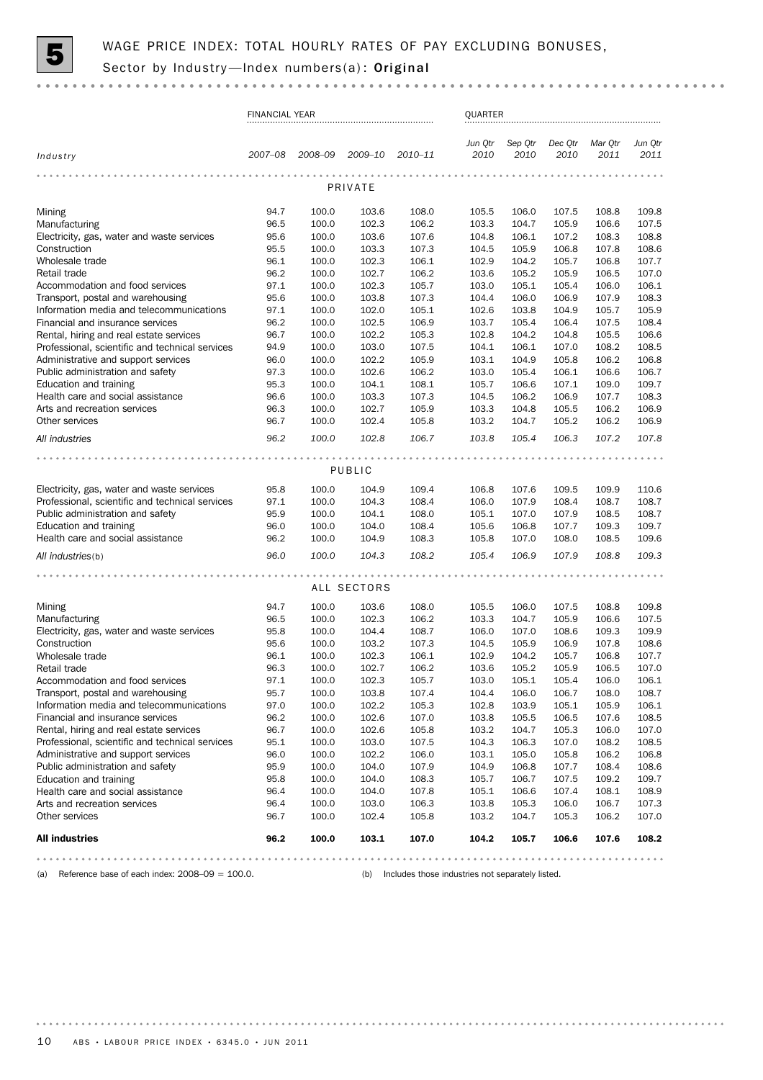

|                                                                                            | <b>FINANCIAL YEAR</b> |                |                |                | QUARTER         |                 |                 |                 |                 |  |  |
|--------------------------------------------------------------------------------------------|-----------------------|----------------|----------------|----------------|-----------------|-----------------|-----------------|-----------------|-----------------|--|--|
| Industry                                                                                   | 2007-08               | 2008-09        | 2009-10        | 2010-11        | Jun Otr<br>2010 | Sep Qtr<br>2010 | Dec Qtr<br>2010 | Mar Qtr<br>2011 | Jun Qtr<br>2011 |  |  |
|                                                                                            |                       |                | PRIVATE        |                |                 |                 |                 |                 |                 |  |  |
| Mining                                                                                     | 94.7                  | 100.0          | 103.6          | 108.0          | 105.5           | 106.0           | 107.5           | 108.8           | 109.8           |  |  |
| Manufacturing                                                                              | 96.5                  | 100.0          | 102.3          | 106.2          | 103.3           | 104.7           | 105.9           | 106.6           | 107.5           |  |  |
| Electricity, gas, water and waste services                                                 | 95.6                  | 100.0          | 103.6          | 107.6          | 104.8           | 106.1           | 107.2           | 108.3           | 108.8           |  |  |
| Construction                                                                               | 95.5                  | 100.0          | 103.3          | 107.3          | 104.5           | 105.9           | 106.8           | 107.8           | 108.6           |  |  |
| Wholesale trade                                                                            | 96.1                  | 100.0          | 102.3          | 106.1          | 102.9           | 104.2           | 105.7           | 106.8           | 107.7           |  |  |
| Retail trade                                                                               | 96.2                  | 100.0          | 102.7          | 106.2          | 103.6           | 105.2           | 105.9           | 106.5           | 107.0           |  |  |
| Accommodation and food services                                                            | 97.1                  | 100.0          | 102.3          | 105.7          | 103.0           | 105.1           | 105.4           | 106.0           | 106.1           |  |  |
| Transport, postal and warehousing                                                          | 95.6                  | 100.0          | 103.8          | 107.3          | 104.4           | 106.0           | 106.9           | 107.9           | 108.3           |  |  |
| Information media and telecommunications                                                   | 97.1                  | 100.0          | 102.0          | 105.1          | 102.6           | 103.8           | 104.9           | 105.7           | 105.9           |  |  |
| Financial and insurance services                                                           | 96.2                  | 100.0          | 102.5          | 106.9          | 103.7           | 105.4           | 106.4           | 107.5           | 108.4           |  |  |
| Rental, hiring and real estate services<br>Professional, scientific and technical services | 96.7<br>94.9          | 100.0<br>100.0 | 102.2<br>103.0 | 105.3<br>107.5 | 102.8<br>104.1  | 104.2<br>106.1  | 104.8<br>107.0  | 105.5<br>108.2  | 106.6<br>108.5  |  |  |
| Administrative and support services                                                        | 96.0                  | 100.0          | 102.2          | 105.9          | 103.1           | 104.9           | 105.8           | 106.2           | 106.8           |  |  |
| Public administration and safety                                                           | 97.3                  | 100.0          | 102.6          | 106.2          | 103.0           | 105.4           | 106.1           | 106.6           | 106.7           |  |  |
| Education and training                                                                     | 95.3                  | 100.0          | 104.1          | 108.1          | 105.7           | 106.6           | 107.1           | 109.0           | 109.7           |  |  |
| Health care and social assistance                                                          | 96.6                  | 100.0          | 103.3          | 107.3          | 104.5           | 106.2           | 106.9           | 107.7           | 108.3           |  |  |
| Arts and recreation services                                                               | 96.3                  | 100.0          | 102.7          | 105.9          | 103.3           | 104.8           | 105.5           | 106.2           | 106.9           |  |  |
| Other services                                                                             | 96.7                  | 100.0          | 102.4          | 105.8          | 103.2           | 104.7           | 105.2           | 106.2           | 106.9           |  |  |
| All industries                                                                             | 96.2                  | 100.0          | 102.8          | 106.7          | 103.8           | 105.4           | 106.3           | 107.2           | 107.8           |  |  |
|                                                                                            |                       |                |                |                |                 |                 |                 |                 |                 |  |  |
|                                                                                            |                       |                | PUBLIC         |                |                 |                 |                 |                 |                 |  |  |
| Electricity, gas, water and waste services                                                 | 95.8                  | 100.0          | 104.9          | 109.4          | 106.8           | 107.6           | 109.5           | 109.9           | 110.6           |  |  |
| Professional, scientific and technical services                                            | 97.1                  | 100.0          | 104.3          | 108.4          | 106.0           | 107.9           | 108.4           | 108.7           | 108.7           |  |  |
| Public administration and safety                                                           | 95.9                  | 100.0          | 104.1          | 108.0          | 105.1           | 107.0           | 107.9           | 108.5           | 108.7           |  |  |
| Education and training                                                                     | 96.0                  | 100.0          | 104.0          | 108.4          | 105.6           | 106.8           | 107.7           | 109.3           | 109.7           |  |  |
| Health care and social assistance                                                          | 96.2                  | 100.0          | 104.9          | 108.3          | 105.8           | 107.0           | 108.0           | 108.5           | 109.6           |  |  |
| All industries(b)                                                                          | 96.0                  | 100.0          | 104.3          | 108.2          | 105.4           | 106.9           | 107.9           | 108.8           | 109.3           |  |  |
|                                                                                            |                       |                |                |                |                 |                 |                 |                 |                 |  |  |
|                                                                                            |                       |                | ALL SECTORS    |                |                 |                 |                 |                 |                 |  |  |
| Mining                                                                                     | 94.7                  | 100.0          | 103.6          | 108.0          | 105.5           | 106.0           | 107.5           | 108.8           | 109.8           |  |  |
| Manufacturing                                                                              | 96.5                  | 100.0          | 102.3          | 106.2          | 103.3           | 104.7           | 105.9           | 106.6           | 107.5           |  |  |
| Electricity, gas, water and waste services                                                 | 95.8                  | 100.0          | 104.4          | 108.7          | 106.0           | 107.0           | 108.6           | 109.3           | 109.9           |  |  |
| Construction                                                                               | 95.6                  | 100.0          | 103.2          | 107.3          | 104.5           | 105.9           | 106.9           | 107.8           | 108.6           |  |  |
| Wholesale trade                                                                            | 96.1                  | 100.0          | 102.3          | 106.1          | 102.9           | 104.2           | 105.7           | 106.8           | 107.7           |  |  |
| Retail trade                                                                               | 96.3                  | 100.0          | 102.7          | 106.2          | 103.6           | 105.2           | 105.9           | 106.5           | 107.0           |  |  |
| Accommodation and food services                                                            | 97.1<br>95.7          | 100.0<br>100.0 | 102.3          | 105.7<br>107.4 | 103.0<br>104.4  | 105.1<br>106.0  | 105.4<br>106.7  | 106.0<br>108.0  | 106.1<br>108.7  |  |  |
| Transport, postal and warehousing<br>Information media and telecommunications              | 97.0                  | 100.0          | 103.8<br>102.2 | 105.3          | 102.8           | 103.9           | 105.1           | 105.9           | 106.1           |  |  |
| Financial and insurance services                                                           | 96.2                  | 100.0          | 102.6          | 107.0          | 103.8           | 105.5           | 106.5           | 107.6           | 108.5           |  |  |
| Rental, hiring and real estate services                                                    | 96.7                  | 100.0          | 102.6          | 105.8          | 103.2           | 104.7           | 105.3           | 106.0           | 107.0           |  |  |
| Professional, scientific and technical services                                            | 95.1                  | 100.0          | 103.0          | 107.5          | 104.3           | 106.3           | 107.0           | 108.2           | 108.5           |  |  |
| Administrative and support services                                                        | 96.0                  | 100.0          | 102.2          | 106.0          | 103.1           | 105.0           | 105.8           | 106.2           | 106.8           |  |  |
| Public administration and safety                                                           | 95.9                  | 100.0          | 104.0          | 107.9          | 104.9           | 106.8           | 107.7           | 108.4           | 108.6           |  |  |
| Education and training                                                                     | 95.8                  | 100.0          | 104.0          | 108.3          | 105.7           | 106.7           | 107.5           | 109.2           | 109.7           |  |  |
| Health care and social assistance                                                          | 96.4                  | 100.0          | 104.0          | 107.8          | 105.1           | 106.6           | 107.4           | 108.1           | 108.9           |  |  |
| Arts and recreation services                                                               | 96.4                  | 100.0          | 103.0          | 106.3          | 103.8           | 105.3           | 106.0           | 106.7           | 107.3           |  |  |
| Other services                                                                             | 96.7                  | 100.0          | 102.4          | 105.8          | 103.2           | 104.7           | 105.3           | 106.2           | 107.0           |  |  |
| <b>All industries</b>                                                                      | 96.2                  | 100.0          | 103.1          | 107.0          | 104.2           | 105.7           | 106.6           | 107.6           | 108.2           |  |  |
|                                                                                            |                       |                |                |                |                 |                 |                 |                 |                 |  |  |

(a) Reference base of each index: 2008–09 = 100.0. (b) Includes those industries not separately listed.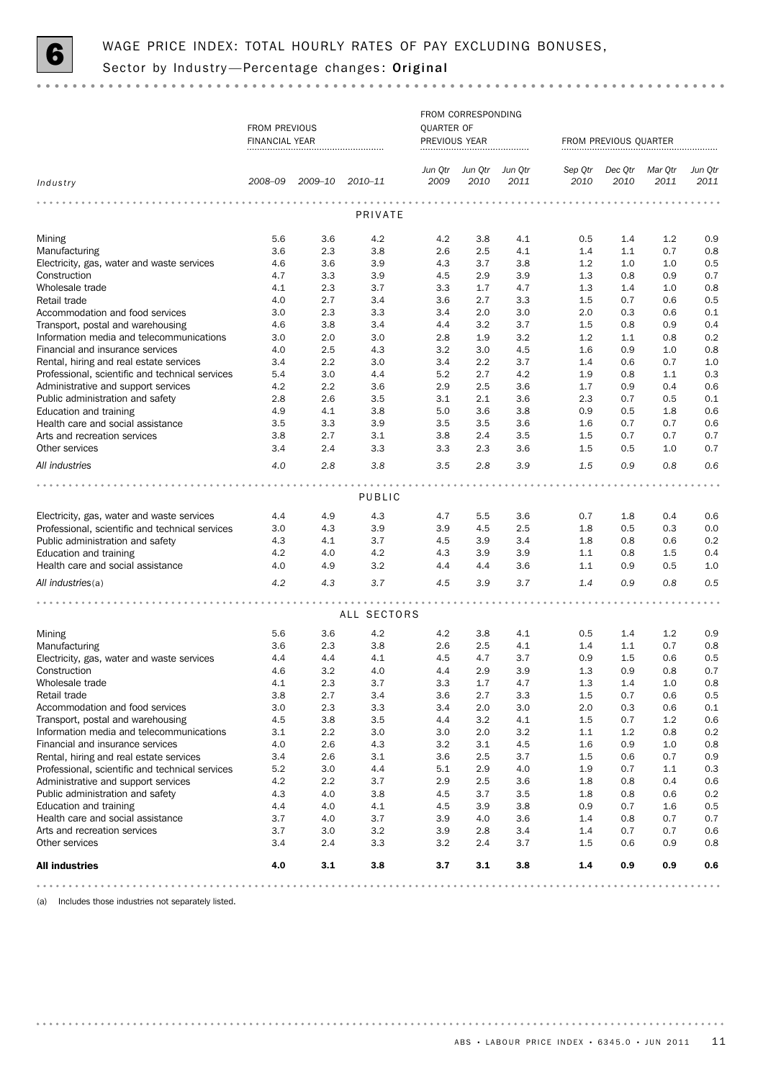

|                                                 |                       |         |             |                   | FROM CORRESPONDING |         |                       |         |         |         |  |  |
|-------------------------------------------------|-----------------------|---------|-------------|-------------------|--------------------|---------|-----------------------|---------|---------|---------|--|--|
|                                                 | FROM PREVIOUS         |         |             | <b>QUARTER OF</b> |                    |         |                       |         |         |         |  |  |
|                                                 | <b>FINANCIAL YEAR</b> |         |             | PREVIOUS YEAR     |                    |         | FROM PREVIOUS QUARTER |         |         |         |  |  |
|                                                 |                       |         |             | Jun Qtr           | Jun Qtr            | Jun Qtr | Sep Qtr               | Dec Qtr | Mar Qtr | Jun Qtr |  |  |
| Industry                                        | 2008-09               | 2009-10 | 2010–11     | 2009              | 2010               | 2011    | 2010                  | 2010    | 2011    | 2011    |  |  |
|                                                 |                       |         |             |                   |                    |         |                       |         |         |         |  |  |
|                                                 |                       |         | PRIVATE     |                   |                    |         |                       |         |         |         |  |  |
| Mining                                          | 5.6                   | 3.6     | 4.2         | 4.2               | 3.8                | 4.1     | 0.5                   | 1.4     | 1.2     | 0.9     |  |  |
| Manufacturing                                   | 3.6                   | 2.3     | 3.8         | 2.6               | 2.5                | 4.1     | 1.4                   | 1.1     | 0.7     | 0.8     |  |  |
| Electricity, gas, water and waste services      | 4.6                   | 3.6     | 3.9         | 4.3               | 3.7                | 3.8     | 1.2                   | 1.0     | 1.0     | 0.5     |  |  |
| Construction                                    | 4.7                   | 3.3     | 3.9         | 4.5               | 2.9                | 3.9     | 1.3                   | 0.8     | 0.9     | 0.7     |  |  |
| Wholesale trade                                 | 4.1                   | 2.3     | 3.7         | 3.3               | 1.7                | 4.7     | 1.3                   | 1.4     | 1.0     | 0.8     |  |  |
| Retail trade                                    | 4.0                   | 2.7     | 3.4         | 3.6               | 2.7                | 3.3     | 1.5                   | 0.7     | 0.6     | 0.5     |  |  |
| Accommodation and food services                 | 3.0                   | 2.3     | 3.3         | 3.4               | 2.0                | 3.0     | 2.0                   | 0.3     | 0.6     | 0.1     |  |  |
| Transport, postal and warehousing               | 4.6                   | 3.8     | 3.4         | 4.4               | 3.2                | 3.7     | 1.5                   | 0.8     | 0.9     | 0.4     |  |  |
| Information media and telecommunications        | 3.0                   | 2.0     | 3.0         | 2.8               | 1.9                | 3.2     | 1.2                   | 1.1     | 0.8     | 0.2     |  |  |
| Financial and insurance services                | 4.0                   | 2.5     | 4.3         | 3.2               | 3.0                | 4.5     | 1.6                   | 0.9     | 1.0     | 0.8     |  |  |
| Rental, hiring and real estate services         | 3.4                   | 2.2     | 3.0         | 3.4               | 2.2                | 3.7     | 1.4                   | 0.6     | 0.7     | 1.0     |  |  |
| Professional, scientific and technical services | 5.4                   | 3.0     | 4.4         | 5.2               | 2.7                | 4.2     | 1.9                   | 0.8     | 1.1     | 0.3     |  |  |
| Administrative and support services             | 4.2                   | 2.2     | 3.6         | 2.9               | 2.5                | 3.6     | 1.7                   | 0.9     | 0.4     | 0.6     |  |  |
| Public administration and safety                | 2.8                   | 2.6     | 3.5         | 3.1               | 2.1                | 3.6     | 2.3                   | 0.7     | 0.5     | 0.1     |  |  |
| Education and training                          | 4.9                   | 4.1     | 3.8         | 5.0               | 3.6                | 3.8     | 0.9                   | 0.5     | 1.8     | 0.6     |  |  |
| Health care and social assistance               | 3.5                   | 3.3     | 3.9         | 3.5               | 3.5                | 3.6     | 1.6                   | 0.7     | 0.7     | 0.6     |  |  |
| Arts and recreation services                    | 3.8                   | 2.7     | 3.1         | 3.8               | 2.4                | 3.5     | 1.5                   | 0.7     | 0.7     | 0.7     |  |  |
| Other services                                  | 3.4                   | 2.4     | 3.3         | 3.3               | 2.3                | 3.6     | 1.5                   | 0.5     | 1.0     | 0.7     |  |  |
| All industries                                  | 4.0                   | 2.8     | 3.8         | 3.5               | 2.8                | 3.9     | 1.5                   | 0.9     | 0.8     | 0.6     |  |  |
|                                                 |                       |         |             |                   |                    |         |                       |         |         |         |  |  |
|                                                 |                       |         | PUBLIC      |                   |                    |         |                       |         |         |         |  |  |
| Electricity, gas, water and waste services      | 4.4                   | 4.9     | 4.3         | 4.7               | 5.5                | 3.6     | 0.7                   | 1.8     | 0.4     | 0.6     |  |  |
| Professional, scientific and technical services | 3.0                   | 4.3     | 3.9         | 3.9               | 4.5                | 2.5     | 1.8                   | 0.5     | 0.3     | 0.0     |  |  |
| Public administration and safety                | 4.3                   | 4.1     | 3.7         | 4.5               | 3.9                | 3.4     | 1.8                   | 0.8     | 0.6     | 0.2     |  |  |
| Education and training                          | 4.2                   | 4.0     | 4.2         | 4.3               | 3.9                | 3.9     | 1.1                   | 0.8     | 1.5     | 0.4     |  |  |
| Health care and social assistance               | 4.0                   | 4.9     | 3.2         | 4.4               | 4.4                | 3.6     | 1.1                   | 0.9     | 0.5     | 1.0     |  |  |
|                                                 |                       |         |             |                   |                    |         |                       |         |         |         |  |  |
| All industries(a)                               | 4.2                   | 4.3     | 3.7         | 4.5               | 3.9                | 3.7     | 1.4                   | 0.9     | 0.8     | 0.5     |  |  |
|                                                 |                       |         | ALL SECTORS |                   |                    |         |                       |         |         |         |  |  |
|                                                 |                       |         |             |                   |                    |         |                       |         |         |         |  |  |
| Mining                                          | 5.6                   | 3.6     | 4.2         | 4.2               | 3.8                | 4.1     | 0.5                   | 1.4     | 1.2     | 0.9     |  |  |
| Manufacturing                                   | 3.6                   | 2.3     | 3.8         | 2.6               | 2.5                | 4.1     | 1.4                   | 1.1     | 0.7     | 0.8     |  |  |
| Electricity, gas, water and waste services      | 4.4                   | 4.4     | 4.1         | 4.5               | 4.7                | 3.7     | 0.9                   | 1.5     | 0.6     | 0.5     |  |  |
| Construction                                    | 4.6                   | 3.2     | 4.0         | 4.4               | 2.9                | 3.9     | 1.3                   | 0.9     | 0.8     | 0.7     |  |  |
| Wholesale trade                                 | 4.1                   | 2.3     | 3.7         | 3.3               | $1.7\,$            | 4.7     | $1.3\,$               | 1.4     | $1.0\,$ | 0.8     |  |  |
| Retail trade                                    | 3.8                   | 2.7     | 3.4         | 3.6               | 2.7                | 3.3     | $1.5\,$               | 0.7     | 0.6     | 0.5     |  |  |
| Accommodation and food services                 | 3.0                   | 2.3     | 3.3         | 3.4               | 2.0                | 3.0     | 2.0                   | 0.3     | 0.6     | 0.1     |  |  |
| Transport, postal and warehousing               | 4.5                   | 3.8     | 3.5         | 4.4               | 3.2                | 4.1     | 1.5                   | 0.7     | 1.2     | 0.6     |  |  |
| Information media and telecommunications        | 3.1                   | 2.2     | 3.0         | 3.0               | 2.0                | 3.2     | 1.1                   | 1.2     | 0.8     | 0.2     |  |  |
| Financial and insurance services                | 4.0                   | 2.6     | 4.3         | 3.2               | 3.1                | 4.5     | 1.6                   | 0.9     | 1.0     | 0.8     |  |  |
| Rental, hiring and real estate services         | 3.4                   | 2.6     | 3.1         | 3.6               | 2.5                | 3.7     | 1.5                   | 0.6     | 0.7     | 0.9     |  |  |
| Professional, scientific and technical services | 5.2                   | 3.0     | 4.4         | 5.1               | 2.9                | 4.0     | 1.9                   | 0.7     | 1.1     | 0.3     |  |  |
| Administrative and support services             | 4.2                   | 2.2     | 3.7         | 2.9               | 2.5                | 3.6     | 1.8                   | 0.8     | 0.4     | 0.6     |  |  |
| Public administration and safety                | 4.3                   | 4.0     | 3.8         | 4.5               | 3.7                | 3.5     | 1.8                   | 0.8     | 0.6     | 0.2     |  |  |
| Education and training                          | 4.4                   | 4.0     | 4.1         | 4.5               | 3.9                | 3.8     | 0.9                   | 0.7     | 1.6     | 0.5     |  |  |
| Health care and social assistance               | 3.7                   | 4.0     | 3.7         | 3.9               | 4.0                | 3.6     | 1.4                   | 0.8     | 0.7     | 0.7     |  |  |
| Arts and recreation services                    | 3.7                   | 3.0     | $3.2\,$     | 3.9               | 2.8                | 3.4     | 1.4                   | 0.7     | 0.7     | 0.6     |  |  |
| Other services                                  | 3.4                   | 2.4     | 3.3         | 3.2               | 2.4                | 3.7     | 1.5                   | 0.6     | 0.9     | 0.8     |  |  |
| <b>All industries</b>                           | 4.0                   | 3.1     | 3.8         | 3.7               | 3.1                | 3.8     | 1.4                   | 0.9     | 0.9     | 0.6     |  |  |
|                                                 |                       |         |             |                   |                    |         |                       |         |         |         |  |  |

(a) Includes those industries not separately listed.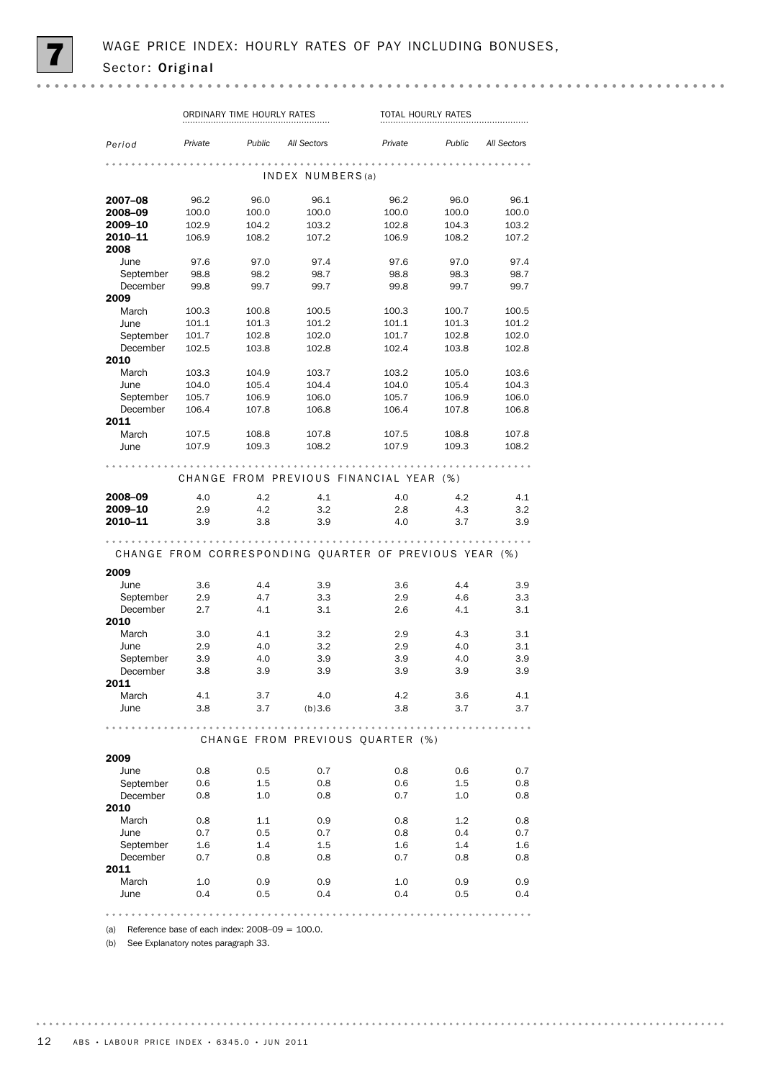|                    |                | ORDINARY TIME HOURLY RATES |                  | TOTAL HOURLY RATES                                     |                |                |  |  |  |
|--------------------|----------------|----------------------------|------------------|--------------------------------------------------------|----------------|----------------|--|--|--|
| Period             | Private        | Public                     | All Sectors      | Private                                                | Public         | All Sectors    |  |  |  |
|                    |                |                            | INDEX NUMBERS(a) |                                                        |                |                |  |  |  |
|                    |                |                            |                  |                                                        |                |                |  |  |  |
| 2007-08            | 96.2           | 96.0                       | 96.1             | 96.2                                                   | 96.0           | 96.1           |  |  |  |
| 2008-09            | 100.0          | 100.0                      | 100.0            | 100.0                                                  | 100.0          | 100.0          |  |  |  |
| 2009-10<br>2010-11 | 102.9<br>106.9 | 104.2<br>108.2             | 103.2<br>107.2   | 102.8<br>106.9                                         | 104.3<br>108.2 | 103.2<br>107.2 |  |  |  |
| 2008               |                |                            |                  |                                                        |                |                |  |  |  |
| June               | 97.6           | 97.0                       | 97.4             | 97.6                                                   | 97.0           | 97.4           |  |  |  |
| September          | 98.8           | 98.2                       | 98.7             | 98.8                                                   | 98.3           | 98.7           |  |  |  |
| December           | 99.8           | 99.7                       | 99.7             | 99.8                                                   | 99.7           | 99.7           |  |  |  |
| 2009               |                |                            |                  |                                                        |                |                |  |  |  |
| March              | 100.3          | 100.8                      | 100.5            | 100.3                                                  | 100.7          | 100.5          |  |  |  |
| June               | 101.1          | 101.3                      | 101.2            | 101.1                                                  | 101.3          | 101.2          |  |  |  |
| September          | 101.7          | 102.8                      | 102.0            | 101.7                                                  | 102.8          | 102.0          |  |  |  |
| December           | 102.5          | 103.8                      | 102.8            | 102.4                                                  | 103.8          | 102.8          |  |  |  |
| 2010               |                |                            |                  |                                                        |                |                |  |  |  |
| March              | 103.3          | 104.9                      | 103.7            | 103.2                                                  | 105.0          | 103.6          |  |  |  |
| June               | 104.0          | 105.4                      | 104.4            | 104.0                                                  | 105.4          | 104.3          |  |  |  |
| September          | 105.7          | 106.9                      | 106.0            | 105.7                                                  | 106.9          | 106.0          |  |  |  |
| December           | 106.4          | 107.8                      | 106.8            | 106.4                                                  | 107.8          | 106.8          |  |  |  |
| 2011               |                |                            |                  |                                                        |                |                |  |  |  |
| March              | 107.5          | 108.8                      | 107.8            | 107.5                                                  | 108.8          | 107.8          |  |  |  |
| June               | 107.9          | 109.3                      | 108.2            | 107.9                                                  | 109.3          | 108.2          |  |  |  |
|                    |                |                            |                  | CHANGE FROM PREVIOUS FINANCIAL YEAR (%)                |                |                |  |  |  |
| 2008-09            | 4.0            | 4.2                        | 4.1              | 4.0                                                    | 4.2            | 4.1            |  |  |  |
| 2009-10            | 2.9            | 4.2                        | 3.2              | 2.8                                                    | 4.3            | 3.2            |  |  |  |
| 2010-11            | 3.9            | 3.8                        | 3.9              | 4.0                                                    | 3.7            | 3.9            |  |  |  |
|                    |                |                            |                  |                                                        |                |                |  |  |  |
|                    |                |                            |                  | CHANGE FROM CORRESPONDING QUARTER OF PREVIOUS YEAR (%) |                |                |  |  |  |
|                    |                |                            |                  |                                                        |                |                |  |  |  |
| 2009               |                |                            |                  |                                                        |                |                |  |  |  |
| June               | 3.6            | 4.4                        | 3.9              | 3.6                                                    | 4.4            | 3.9            |  |  |  |
| September          | 2.9            | 4.7                        | 3.3              | 2.9                                                    | 4.6            | 3.3            |  |  |  |
| December<br>2010   | 2.7            | 4.1                        | 3.1              | 2.6                                                    | 4.1            | 3.1            |  |  |  |
| March              | 3.0            | 4.1                        | 3.2              | 2.9                                                    | 4.3            | 3.1            |  |  |  |
| June               | 2.9            | 4.0                        | 3.2              | 2.9                                                    | 4.0            | 3.1            |  |  |  |
| September          | 3.9            | 4.0                        | 3.9              | 3.9                                                    | 4.0            | 3.9            |  |  |  |
| December           | 3.8            | 3.9                        | 3.9              | 3.9                                                    | 3.9            | 3.9            |  |  |  |
| 2011               |                |                            |                  |                                                        |                |                |  |  |  |
| March              | 4.1            | 3.7                        | 4.0              | 4.2                                                    | 3.6            | 4.1            |  |  |  |
| June               | 3.8            | 3.7                        | (b)3.6           | 3.8                                                    | 3.7            | 3.7            |  |  |  |
|                    |                |                            |                  |                                                        |                |                |  |  |  |
|                    |                |                            |                  | CHANGE FROM PREVIOUS OUARTER (%)                       |                |                |  |  |  |
| 2009               |                |                            |                  |                                                        |                |                |  |  |  |
| June               | 0.8            | 0.5                        | 0.7              | 0.8                                                    | 0.6            | 0.7            |  |  |  |
| September          | 0.6            | 1.5                        | 0.8              | 0.6                                                    | $1.5\,$        | 0.8            |  |  |  |
| December           | 0.8            | 1.0                        | 0.8              | 0.7                                                    | 1.0            | 0.8            |  |  |  |
| 2010               |                |                            |                  |                                                        |                |                |  |  |  |
| March              | 0.8            | $1.1\,$                    | 0.9              | 0.8                                                    | 1.2            | 0.8            |  |  |  |
| June               | 0.7            | 0.5                        | 0.7              | 0.8                                                    | 0.4            | 0.7            |  |  |  |
| September          | 1.6            | 1.4                        | $1.5\,$          | 1.6                                                    | 1.4            | 1.6            |  |  |  |
| December           | 0.7            | 0.8                        | 0.8              | 0.7                                                    | 0.8            | 0.8            |  |  |  |
| 2011               |                |                            |                  |                                                        |                |                |  |  |  |
| March              | 1.0            | 0.9                        | 0.9              | 1.0                                                    | 0.9            | 0.9            |  |  |  |
| June               | 0.4            | 0.5                        | 0.4              | 0.4                                                    | 0.5            | 0.4            |  |  |  |
|                    |                |                            |                  |                                                        |                |                |  |  |  |

(a) Reference base of each index:  $2008-09 = 100.0$ .

(b) See Explanatory notes paragraph 33.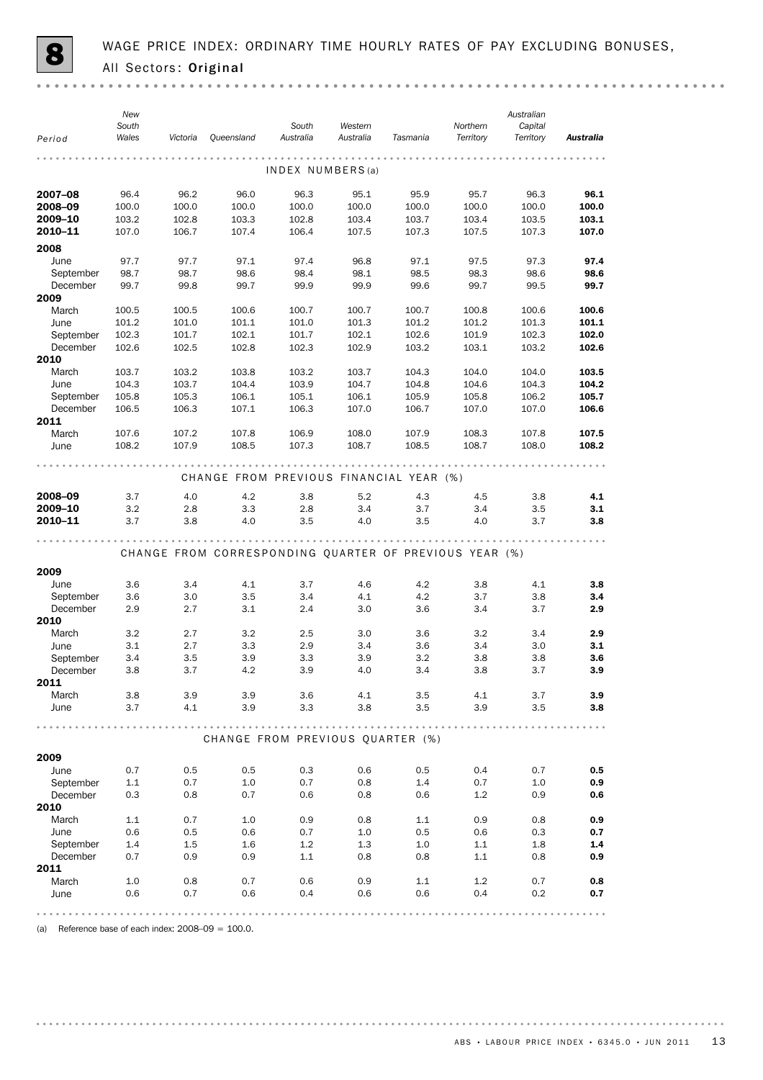|                       | New<br>South   |                |                                                        | South          | Western          |                | Northern       | Australian<br>Capital |                  |
|-----------------------|----------------|----------------|--------------------------------------------------------|----------------|------------------|----------------|----------------|-----------------------|------------------|
| Period                | Wales          | Victoria       | Queensland                                             | Australia      | Australia        | Tasmania       | Territory      | Territory             | <b>Australia</b> |
|                       |                |                |                                                        |                | INDEX NUMBERS(a) |                |                |                       |                  |
| 2007-08               | 96.4           | 96.2           | 96.0                                                   | 96.3           | 95.1             | 95.9           | 95.7           | 96.3                  | 96.1             |
| 2008-09               | 100.0          | 100.0          | 100.0                                                  | 100.0          | 100.0            | 100.0          | 100.0          | 100.0                 | 100.0            |
| 2009-10               | 103.2<br>107.0 | 102.8<br>106.7 | 103.3<br>107.4                                         | 102.8<br>106.4 | 103.4<br>107.5   | 103.7<br>107.3 | 103.4<br>107.5 | 103.5<br>107.3        | 103.1<br>107.0   |
| 2010-11               |                |                |                                                        |                |                  |                |                |                       |                  |
| 2008                  |                |                |                                                        |                |                  |                |                |                       |                  |
| June                  | 97.7           | 97.7           | 97.1                                                   | 97.4           | 96.8             | 97.1           | 97.5           | 97.3                  | 97.4             |
| September             | 98.7           | 98.7           | 98.6                                                   | 98.4           | 98.1             | 98.5           | 98.3           | 98.6                  | 98.6             |
| December<br>2009      | 99.7           | 99.8           | 99.7                                                   | 99.9           | 99.9             | 99.6           | 99.7           | 99.5                  | 99.7             |
| March                 | 100.5          | 100.5          | 100.6                                                  | 100.7          | 100.7            | 100.7          | 100.8          | 100.6                 | 100.6            |
| June                  | 101.2          | 101.0          | 101.1                                                  | 101.0          | 101.3            | 101.2          | 101.2          | 101.3                 | 101.1            |
| September<br>December | 102.3<br>102.6 | 101.7<br>102.5 | 102.1<br>102.8                                         | 101.7<br>102.3 | 102.1<br>102.9   | 102.6<br>103.2 | 101.9<br>103.1 | 102.3<br>103.2        | 102.0<br>102.6   |
| 2010                  |                |                |                                                        |                |                  |                |                |                       |                  |
| March                 | 103.7          | 103.2          | 103.8                                                  | 103.2          | 103.7            | 104.3<br>104.8 | 104.0          | 104.0                 | 103.5            |
| June<br>September     | 104.3<br>105.8 | 103.7<br>105.3 | 104.4<br>106.1                                         | 103.9<br>105.1 | 104.7<br>106.1   | 105.9          | 104.6<br>105.8 | 104.3<br>106.2        | 104.2<br>105.7   |
| December              | 106.5          | 106.3          | 107.1                                                  | 106.3          | 107.0            | 106.7          | 107.0          | 107.0                 | 106.6            |
| 2011<br>March         |                |                |                                                        |                |                  |                |                |                       |                  |
| June                  | 107.6<br>108.2 | 107.2<br>107.9 | 107.8<br>108.5                                         | 106.9<br>107.3 | 108.0<br>108.7   | 107.9<br>108.5 | 108.3<br>108.7 | 107.8<br>108.0        | 107.5<br>108.2   |
|                       |                |                | CHANGE FROM PREVIOUS FINANCIAL YEAR (%)                |                |                  |                |                |                       |                  |
| 2008-09               | 3.7            | 4.0            | 4.2                                                    | 3.8            | 5.2              | 4.3            | 4.5            | 3.8                   | 4.1              |
| 2009-10               | 3.2            | 2.8            | 3.3                                                    | 2.8            | 3.4              | 3.7            | 3.4            | 3.5                   | 3.1              |
| 2010-11               | 3.7            | 3.8            | 4.0                                                    | 3.5            | 4.0              | 3.5            | 4.0            | 3.7                   | 3.8              |
|                       |                |                | CHANGE FROM CORRESPONDING QUARTER OF PREVIOUS YEAR (%) |                |                  |                |                |                       |                  |
| 2009                  |                |                |                                                        |                |                  |                |                |                       |                  |
| June                  | 3.6            | 3.4            | 4.1                                                    | 3.7            | 4.6              | 4.2            | 3.8            | 4.1                   | 3.8              |
| September             | 3.6            | 3.0            | 3.5                                                    | 3.4            | 4.1              | 4.2            | 3.7            | 3.8                   | 3.4              |
| December<br>2010      | 2.9            | 2.7            | 3.1                                                    | 2.4            | 3.0              | 3.6            | 3.4            | 3.7                   | 2.9              |
| March                 | 3.2            | 2.7            | 3.2                                                    | 2.5            | 3.0              | 3.6            | 3.2            | 3.4                   | 2.9              |
| June                  | 3.1            | 2.7            | 3.3                                                    | 2.9            | 3.4              | 3.6            | 3.4            | 3.0                   | 3.1              |
| September             | 3.4            | 3.5            | 3.9                                                    | 3.3            | 3.9              | 3.2            | 3.8            | 3.8                   | 3.6              |
| December<br>2011      | 3.8            | 3.7            | 4.2                                                    | 3.9            | 4.0              | 3.4            | 3.8            | 3.7                   | 3.9              |
| March                 | 3.8            | 3.9            | 3.9                                                    | 3.6            | 4.1              | 3.5            | 4.1            | 3.7                   | 3.9              |
| June                  | 3.7            | 4.1            | 3.9                                                    | 3.3            | 3.8              | 3.5            | 3.9            | 3.5                   | 3.8              |
|                       |                |                | CHANGE FROM PREVIOUS QUARTER (%)                       |                |                  |                |                |                       |                  |
| 2009                  |                |                |                                                        |                |                  |                |                |                       |                  |
| June                  | 0.7            | 0.5            | 0.5                                                    | 0.3            | 0.6              | 0.5            | 0.4            | 0.7                   | 0.5              |
| September             | 1.1            | 0.7            | 1.0                                                    | 0.7            | 0.8              | 1.4            | 0.7            | 1.0                   | 0.9              |
| December<br>2010      | 0.3            | 0.8            | 0.7                                                    | 0.6            | 0.8              | 0.6            | 1.2            | 0.9                   | 0.6              |
| March                 | 1.1            | 0.7            | 1.0                                                    | 0.9            | 0.8              | 1.1            | 0.9            | 0.8                   | 0.9              |
| June                  | 0.6            | 0.5            | 0.6                                                    | 0.7            | 1.0              | 0.5            | 0.6            | 0.3                   | 0.7              |
| September             | 1.4            | $1.5\,$        | 1.6                                                    | 1.2            | 1.3              | 1.0            | 1.1            | 1.8                   | $1.4$            |
| December<br>2011      | 0.7            | 0.9            | 0.9                                                    | 1.1            | 0.8              | 0.8            | 1.1            | 0.8                   | 0.9              |
| March                 | 1.0            | 0.8            | 0.7                                                    | 0.6            | 0.9              | 1.1            | 1.2            | 0.7                   | 0.8              |
| June                  | 0.6            | 0.7            | 0.6                                                    | 0.4            | 0.6              | 0.6            | 0.4            | 0.2                   | 0.7              |
|                       |                |                |                                                        |                |                  |                |                |                       |                  |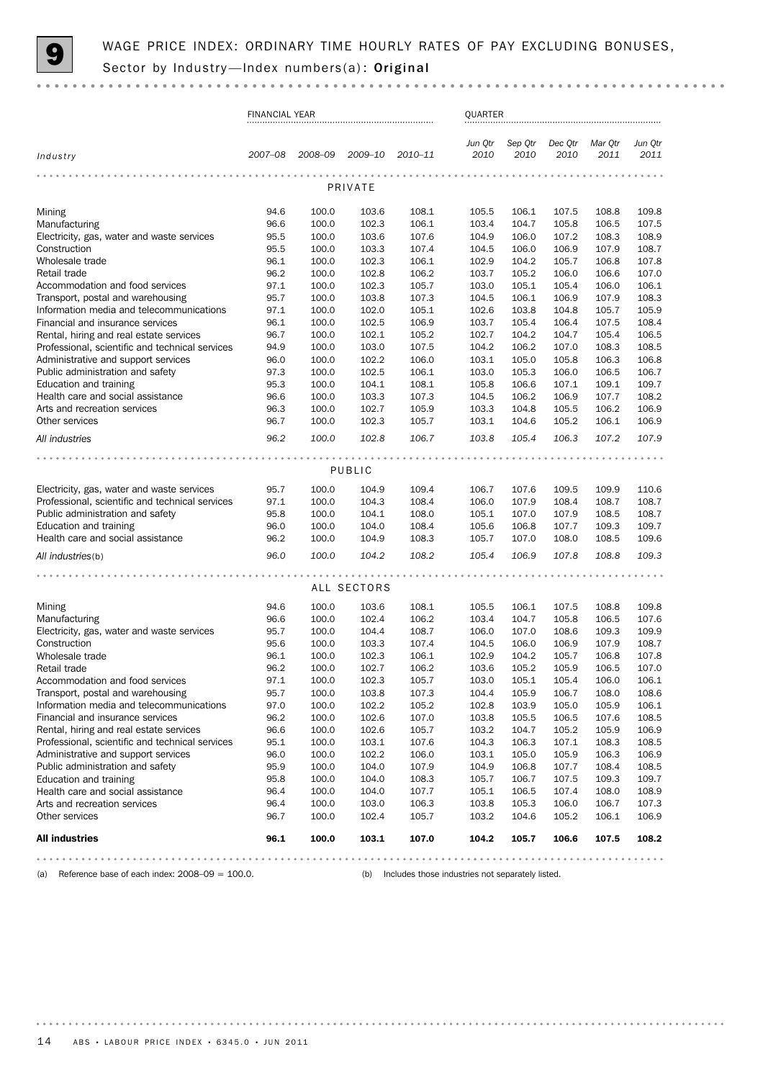

|                                                                         | <b>FINANCIAL YEAR</b> |                |                |                | QUARTER         |                 |                 |                 |                 |  |  |
|-------------------------------------------------------------------------|-----------------------|----------------|----------------|----------------|-----------------|-----------------|-----------------|-----------------|-----------------|--|--|
| Industry                                                                | 2007–08               | 2008-09        | 2009-10        | 2010-11        | Jun Qtr<br>2010 | Sep Qtr<br>2010 | Dec Qtr<br>2010 | Mar Qtr<br>2011 | Jun Qtr<br>2011 |  |  |
|                                                                         |                       |                | PRIVATE        |                |                 |                 |                 |                 |                 |  |  |
|                                                                         |                       |                |                |                |                 |                 |                 |                 |                 |  |  |
| Mining<br>Manufacturing                                                 | 94.6<br>96.6          | 100.0<br>100.0 | 103.6<br>102.3 | 108.1<br>106.1 | 105.5<br>103.4  | 106.1<br>104.7  | 107.5<br>105.8  | 108.8<br>106.5  | 109.8<br>107.5  |  |  |
| Electricity, gas, water and waste services                              | 95.5                  | 100.0          | 103.6          | 107.6          | 104.9           | 106.0           | 107.2           | 108.3           | 108.9           |  |  |
| Construction                                                            | 95.5                  | 100.0          | 103.3          | 107.4          | 104.5           | 106.0           | 106.9           | 107.9           | 108.7           |  |  |
| Wholesale trade                                                         | 96.1                  | 100.0          | 102.3          | 106.1          | 102.9           | 104.2           | 105.7           | 106.8           | 107.8           |  |  |
| Retail trade                                                            | 96.2                  | 100.0          | 102.8          | 106.2          | 103.7           | 105.2           | 106.0           | 106.6           | 107.0           |  |  |
| Accommodation and food services                                         | 97.1                  | 100.0          | 102.3          | 105.7          | 103.0           | 105.1           | 105.4           | 106.0           | 106.1           |  |  |
| Transport, postal and warehousing                                       | 95.7                  | 100.0          | 103.8          | 107.3          | 104.5           | 106.1           | 106.9           | 107.9           | 108.3           |  |  |
| Information media and telecommunications                                | 97.1                  | 100.0          | 102.0          | 105.1          | 102.6           | 103.8           | 104.8           | 105.7           | 105.9           |  |  |
| Financial and insurance services                                        | 96.1                  | 100.0          | 102.5          | 106.9          | 103.7           | 105.4           | 106.4           | 107.5           | 108.4           |  |  |
| Rental, hiring and real estate services                                 | 96.7                  | 100.0          | 102.1          | 105.2          | 102.7           | 104.2           | 104.7           | 105.4           | 106.5           |  |  |
| Professional, scientific and technical services                         | 94.9                  | 100.0          | 103.0          | 107.5          | 104.2           | 106.2           | 107.0           | 108.3           | 108.5           |  |  |
| Administrative and support services<br>Public administration and safety | 96.0<br>97.3          | 100.0<br>100.0 | 102.2<br>102.5 | 106.0<br>106.1 | 103.1<br>103.0  | 105.0<br>105.3  | 105.8<br>106.0  | 106.3<br>106.5  | 106.8<br>106.7  |  |  |
| Education and training                                                  | 95.3                  | 100.0          | 104.1          | 108.1          | 105.8           | 106.6           | 107.1           | 109.1           | 109.7           |  |  |
| Health care and social assistance                                       | 96.6                  | 100.0          | 103.3          | 107.3          | 104.5           | 106.2           | 106.9           | 107.7           | 108.2           |  |  |
| Arts and recreation services                                            | 96.3                  | 100.0          | 102.7          | 105.9          | 103.3           | 104.8           | 105.5           | 106.2           | 106.9           |  |  |
| Other services                                                          | 96.7                  | 100.0          | 102.3          | 105.7          | 103.1           | 104.6           | 105.2           | 106.1           | 106.9           |  |  |
| All industries                                                          | 96.2                  | 100.0          | 102.8          | 106.7          | 103.8           | 105.4           | 106.3           | 107.2           | 107.9           |  |  |
|                                                                         |                       |                |                |                |                 |                 |                 |                 |                 |  |  |
|                                                                         |                       |                | PUBLIC         |                |                 |                 |                 |                 |                 |  |  |
| Electricity, gas, water and waste services                              | 95.7                  | 100.0          | 104.9          | 109.4          | 106.7           | 107.6           | 109.5           | 109.9           | 110.6           |  |  |
| Professional, scientific and technical services                         | 97.1                  | 100.0          | 104.3          | 108.4          | 106.0           | 107.9           | 108.4           | 108.7           | 108.7           |  |  |
| Public administration and safety                                        | 95.8                  | 100.0          | 104.1          | 108.0          | 105.1           | 107.0           | 107.9           | 108.5           | 108.7           |  |  |
| Education and training                                                  | 96.0                  | 100.0          | 104.0          | 108.4          | 105.6           | 106.8           | 107.7           | 109.3           | 109.7           |  |  |
| Health care and social assistance                                       | 96.2                  | 100.0          | 104.9          | 108.3          | 105.7           | 107.0           | 108.0           | 108.5           | 109.6           |  |  |
| All industries(b)                                                       | 96.0                  | 100.0          | 104.2          | 108.2          | 105.4           | 106.9           | 107.8           | 108.8           | 109.3           |  |  |
|                                                                         |                       |                |                |                |                 |                 |                 |                 |                 |  |  |
|                                                                         |                       |                | ALL SECTORS    |                |                 |                 |                 |                 |                 |  |  |
| Mining                                                                  | 94.6                  | 100.0          | 103.6          | 108.1          | 105.5           | 106.1           | 107.5           | 108.8           | 109.8           |  |  |
| Manufacturing                                                           | 96.6                  | 100.0          | 102.4          | 106.2          | 103.4           | 104.7           | 105.8           | 106.5           | 107.6           |  |  |
| Electricity, gas, water and waste services                              | 95.7                  | 100.0          | 104.4          | 108.7          | 106.0           | 107.0           | 108.6           | 109.3           | 109.9           |  |  |
| Construction<br>Wholesale trade                                         | 95.6<br>96.1          | 100.0<br>100.0 | 103.3<br>102.3 | 107.4<br>106.1 | 104.5<br>102.9  | 106.0<br>104.2  | 106.9<br>105.7  | 107.9<br>106.8  | 108.7<br>107.8  |  |  |
| Retail trade                                                            | 96.2                  | 100.0          | 102.7          | 106.2          | 103.6           | 105.2           | 105.9           | 106.5           | 107.0           |  |  |
| Accommodation and food services                                         | 97.1                  | 100.0          | 102.3          | 105.7          | 103.0           | 105.1           | 105.4           | 106.0           | 106.1           |  |  |
| Transport, postal and warehousing                                       | 95.7                  | 100.0          | 103.8          | 107.3          | 104.4           | 105.9           | 106.7           | 108.0           | 108.6           |  |  |
| Information media and telecommunications                                | 97.0                  | 100.0          | 102.2          | 105.2          | 102.8           | 103.9           | 105.0           | 105.9           | 106.1           |  |  |
| Financial and insurance services                                        | 96.2                  | 100.0          | 102.6          | 107.0          | 103.8           | 105.5           | 106.5           | 107.6           | 108.5           |  |  |
| Rental, hiring and real estate services                                 | 96.6                  | 100.0          | 102.6          | 105.7          | 103.2           | 104.7           | 105.2           | 105.9           | 106.9           |  |  |
| Professional, scientific and technical services                         | 95.1                  | 100.0          | 103.1          | 107.6          | 104.3           | 106.3           | 107.1           | 108.3           | 108.5           |  |  |
| Administrative and support services                                     | 96.0                  | 100.0          | 102.2          | 106.0          | 103.1           | 105.0           | 105.9           | 106.3           | 106.9           |  |  |
| Public administration and safety                                        | 95.9                  | 100.0          | 104.0          | 107.9          | 104.9           | 106.8           | 107.7           | 108.4           | 108.5           |  |  |
| Education and training                                                  | 95.8                  | 100.0          | 104.0          | 108.3          | 105.7           | 106.7           | 107.5           | 109.3           | 109.7           |  |  |
| Health care and social assistance                                       | 96.4                  | 100.0          | 104.0          | 107.7          | 105.1           | 106.5           | 107.4           | 108.0           | 108.9           |  |  |
| Arts and recreation services                                            | 96.4                  | 100.0          | 103.0          | 106.3          | 103.8           | 105.3           | 106.0           | 106.7           | 107.3           |  |  |
| Other services                                                          | 96.7                  | 100.0          | 102.4          | 105.7          | 103.2           | 104.6           | 105.2           | 106.1           | 106.9           |  |  |
| <b>All industries</b>                                                   | 96.1                  | 100.0          | 103.1          | 107.0          | 104.2           | 105.7           | 106.6           | 107.5           | 108.2           |  |  |
|                                                                         |                       |                |                |                |                 |                 |                 |                 |                 |  |  |

(a) Reference base of each index: 2008–09 = 100.0. (b) Includes those industries not separately listed.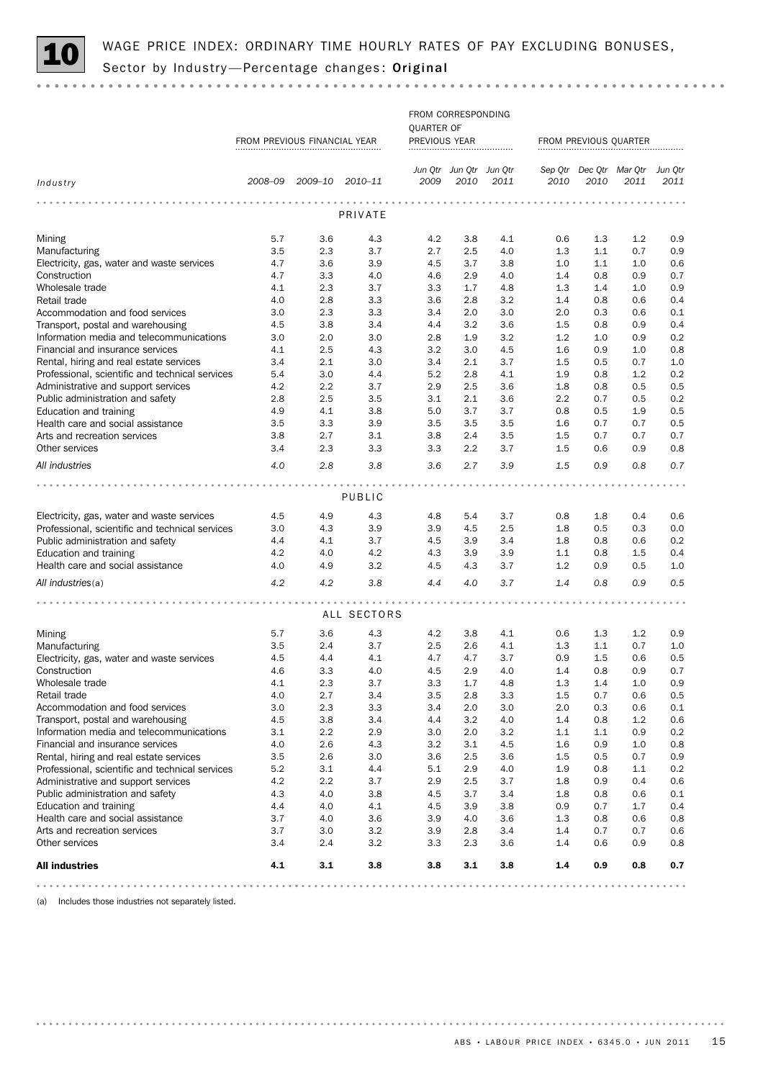

 $\alpha$  ,  $\alpha$  ,  $\alpha$ 

|                                                                      | FROM CORRESPONDING<br>QUARTER OF<br>FROM PREVIOUS FINANCIAL YEAR<br>PREVIOUS YEAR |                         |             |            |                                 |            | FROM PREVIOUS QUARTER |            |                                         |            |  |  |
|----------------------------------------------------------------------|-----------------------------------------------------------------------------------|-------------------------|-------------|------------|---------------------------------|------------|-----------------------|------------|-----------------------------------------|------------|--|--|
|                                                                      |                                                                                   |                         |             |            |                                 |            |                       |            |                                         |            |  |  |
| Industry                                                             |                                                                                   | 2008-09 2009-10 2010-11 |             | 2009       | Jun Qtr Jun Qtr Jun Qtr<br>2010 | 2011       | 2010                  | 2010       | Sep Qtr Dec Qtr Mar Qtr Jun Qtr<br>2011 | 2011       |  |  |
|                                                                      |                                                                                   |                         |             |            |                                 |            |                       |            |                                         |            |  |  |
|                                                                      |                                                                                   |                         | PRIVATE     |            |                                 |            |                       |            |                                         |            |  |  |
| Mining                                                               | 5.7                                                                               | 3.6                     | 4.3         | 4.2        | 3.8                             | 4.1        | 0.6                   | 1.3        | 1.2                                     | 0.9        |  |  |
| Manufacturing                                                        | 3.5                                                                               | 2.3                     | 3.7         | 2.7        | 2.5                             | 4.0        | 1.3                   | 1.1        | 0.7                                     | 0.9        |  |  |
| Electricity, gas, water and waste services                           | 4.7                                                                               | 3.6                     | 3.9         | 4.5        | 3.7                             | 3.8        | 1.0                   | 1.1        | 1.0                                     | 0.6        |  |  |
| Construction                                                         | 4.7                                                                               | 3.3                     | 4.0         | 4.6        | 2.9                             | 4.0        | 1.4                   | 0.8        | 0.9                                     | 0.7        |  |  |
| Wholesale trade                                                      | 4.1                                                                               | 2.3                     | 3.7         | 3.3        | 1.7                             | 4.8        | 1.3                   | 1.4        | 1.0                                     | 0.9        |  |  |
| Retail trade                                                         | 4.0                                                                               | 2.8                     | 3.3         | 3.6        | 2.8                             | 3.2        | 1.4                   | 0.8        | 0.6                                     | 0.4        |  |  |
| Accommodation and food services<br>Transport, postal and warehousing | 3.0<br>4.5                                                                        | 2.3<br>3.8              | 3.3<br>3.4  | 3.4<br>4.4 | 2.0<br>3.2                      | 3.0<br>3.6 | 2.0<br>1.5            | 0.3<br>0.8 | 0.6<br>0.9                              | 0.1<br>0.4 |  |  |
| Information media and telecommunications                             | 3.0                                                                               | 2.0                     | 3.0         | 2.8        | 1.9                             | 3.2        | 1.2                   | 1.0        | 0.9                                     | 0.2        |  |  |
| Financial and insurance services                                     | 4.1                                                                               | 2.5                     | 4.3         | 3.2        | 3.0                             | 4.5        | 1.6                   | 0.9        | 1.0                                     | 0.8        |  |  |
| Rental, hiring and real estate services                              | 3.4                                                                               | 2.1                     | 3.0         | 3.4        | 2.1                             | 3.7        | 1.5                   | 0.5        | 0.7                                     | 1.0        |  |  |
| Professional, scientific and technical services                      | 5.4                                                                               | 3.0                     | 4.4         | 5.2        | 2.8                             | 4.1        | 1.9                   | 0.8        | 1.2                                     | 0.2        |  |  |
| Administrative and support services                                  | 4.2                                                                               | 2.2                     | 3.7         | 2.9        | 2.5                             | 3.6        | 1.8                   | 0.8        | 0.5                                     | 0.5        |  |  |
| Public administration and safety                                     | 2.8                                                                               | 2.5                     | 3.5         | 3.1        | 2.1                             | 3.6        | 2.2                   | 0.7        | 0.5                                     | 0.2        |  |  |
| Education and training                                               | 4.9                                                                               | 4.1                     | 3.8         | 5.0        | 3.7                             | 3.7        | 0.8                   | 0.5        | 1.9                                     | 0.5        |  |  |
| Health care and social assistance                                    | 3.5                                                                               | 3.3                     | 3.9         | 3.5        | 3.5                             | 3.5        | 1.6                   | 0.7        | 0.7                                     | 0.5        |  |  |
| Arts and recreation services                                         | 3.8                                                                               | 2.7                     | 3.1         | 3.8        | 2.4                             | 3.5        | 1.5                   | 0.7        | 0.7                                     | 0.7        |  |  |
| Other services                                                       | 3.4                                                                               | 2.3                     | 3.3         | 3.3        | 2.2                             | 3.7        | 1.5                   | 0.6        | 0.9                                     | 0.8        |  |  |
| All industries                                                       | 4.0                                                                               | 2.8                     | 3.8         | 3.6        | 2.7                             | 3.9        | 1.5                   | 0.9        | 0.8                                     | 0.7        |  |  |
|                                                                      |                                                                                   |                         |             |            |                                 |            |                       |            |                                         |            |  |  |
|                                                                      |                                                                                   |                         | PUBLIC      |            |                                 |            |                       |            |                                         |            |  |  |
| Electricity, gas, water and waste services                           | 4.5                                                                               | 4.9                     | 4.3         | 4.8        | 5.4                             | 3.7        | 0.8                   | 1.8        | 0.4                                     | 0.6        |  |  |
| Professional, scientific and technical services                      | 3.0                                                                               | 4.3                     | 3.9         | 3.9        | 4.5                             | 2.5        | 1.8                   | 0.5        | 0.3                                     | 0.0        |  |  |
| Public administration and safety                                     | 4.4                                                                               | 4.1                     | 3.7         | 4.5        | 3.9                             | 3.4        | 1.8                   | 0.8        | 0.6                                     | 0.2        |  |  |
| Education and training                                               | 4.2                                                                               | 4.0                     | 4.2         | 4.3        | 3.9                             | 3.9        | 1.1                   | 0.8        | 1.5                                     | 0.4        |  |  |
| Health care and social assistance                                    | 4.0                                                                               | 4.9                     | 3.2         | 4.5        | 4.3                             | 3.7        | 1.2                   | 0.9        | 0.5                                     | 1.0        |  |  |
| All industries(a)                                                    | 4.2                                                                               | 4.2                     | 3.8         | 4.4        | 4.0                             | 3.7        | 1.4                   | 0.8        | 0.9                                     | 0.5        |  |  |
|                                                                      |                                                                                   |                         |             |            |                                 |            |                       |            |                                         |            |  |  |
|                                                                      |                                                                                   |                         | ALL SECTORS |            |                                 |            |                       |            |                                         |            |  |  |
| Mining                                                               | 5.7                                                                               | 3.6                     | 4.3         | 4.2        | 3.8                             | 4.1        | 0.6                   | 1.3        | 1.2                                     | 0.9        |  |  |
| Manufacturing                                                        | 3.5                                                                               | 2.4                     | 3.7         | 2.5        | 2.6                             | 4.1        | 1.3                   | 1.1        | 0.7                                     | 1.0        |  |  |
| Electricity, gas, water and waste services                           | 4.5                                                                               | 4.4                     | 4.1         | 4.7        | 4.7                             | 3.7        | 0.9                   | 1.5        | 0.6                                     | 0.5        |  |  |
| Construction                                                         | 4.6                                                                               | 3.3                     | 4.0         | 4.5        | 2.9                             | 4.0        | 1.4                   | 0.8        | 0.9                                     | 0.7        |  |  |
| Wholesale trade                                                      | 4.1                                                                               | 2.3                     | 3.7         | 3.3        | 1.7                             | 4.8        | 1.3                   | 1.4        | 1.0                                     | 0.9        |  |  |
| Retail trade                                                         | 4.0<br>3.0                                                                        | 2.7<br>2.3              | 3.4<br>3.3  | 3.5<br>3.4 | 2.8<br>2.0                      | 3.3<br>3.0 | 1.5<br>2.0            | 0.7        | 0.6<br>0.6                              | 0.5<br>0.1 |  |  |
| Accommodation and food services<br>Transport, postal and warehousing | 4.5                                                                               | 3.8                     | 3.4         | 4.4        | 3.2                             | 4.0        | 1.4                   | 0.3<br>0.8 | 1.2                                     | 0.6        |  |  |
| Information media and telecommunications                             | 3.1                                                                               | 2.2                     | 2.9         | 3.0        | 2.0                             | 3.2        | 1.1                   | 1.1        | 0.9                                     | 0.2        |  |  |
| Financial and insurance services                                     | 4.0                                                                               | 2.6                     | 4.3         | 3.2        | 3.1                             | 4.5        | 1.6                   | 0.9        | 1.0                                     | 0.8        |  |  |
| Rental, hiring and real estate services                              | 3.5                                                                               | 2.6                     | 3.0         | 3.6        | 2.5                             | 3.6        | 1.5                   | 0.5        | 0.7                                     | 0.9        |  |  |
| Professional, scientific and technical services                      | 5.2                                                                               | 3.1                     | 4.4         | 5.1        | 2.9                             | 4.0        | 1.9                   | 0.8        | 1.1                                     | 0.2        |  |  |
| Administrative and support services                                  | 4.2                                                                               | 2.2                     | 3.7         | 2.9        | 2.5                             | 3.7        | 1.8                   | 0.9        | 0.4                                     | 0.6        |  |  |
| Public administration and safety                                     | 4.3                                                                               | 4.0                     | 3.8         | 4.5        | 3.7                             | 3.4        | 1.8                   | 0.8        | 0.6                                     | 0.1        |  |  |
| Education and training                                               | 4.4                                                                               | 4.0                     | 4.1         | 4.5        | 3.9                             | 3.8        | 0.9                   | 0.7        | 1.7                                     | 0.4        |  |  |
| Health care and social assistance                                    | 3.7                                                                               | 4.0                     | 3.6         | 3.9        | 4.0                             | 3.6        | 1.3                   | 0.8        | 0.6                                     | 0.8        |  |  |
| Arts and recreation services                                         | 3.7                                                                               | 3.0                     | 3.2         | 3.9        | 2.8                             | 3.4        | 1.4                   | 0.7        | 0.7                                     | 0.6        |  |  |
| Other services                                                       | 3.4                                                                               | 2.4                     | 3.2         | 3.3        | 2.3                             | 3.6        | 1.4                   | 0.6        | 0.9                                     | 0.8        |  |  |
| <b>All industries</b>                                                | 4.1                                                                               | 3.1                     | 3.8         | 3.8        | 3.1                             | 3.8        | 1.4                   | 0.9        | 0.8                                     | 0.7        |  |  |

(a) Includes those industries not separately listed.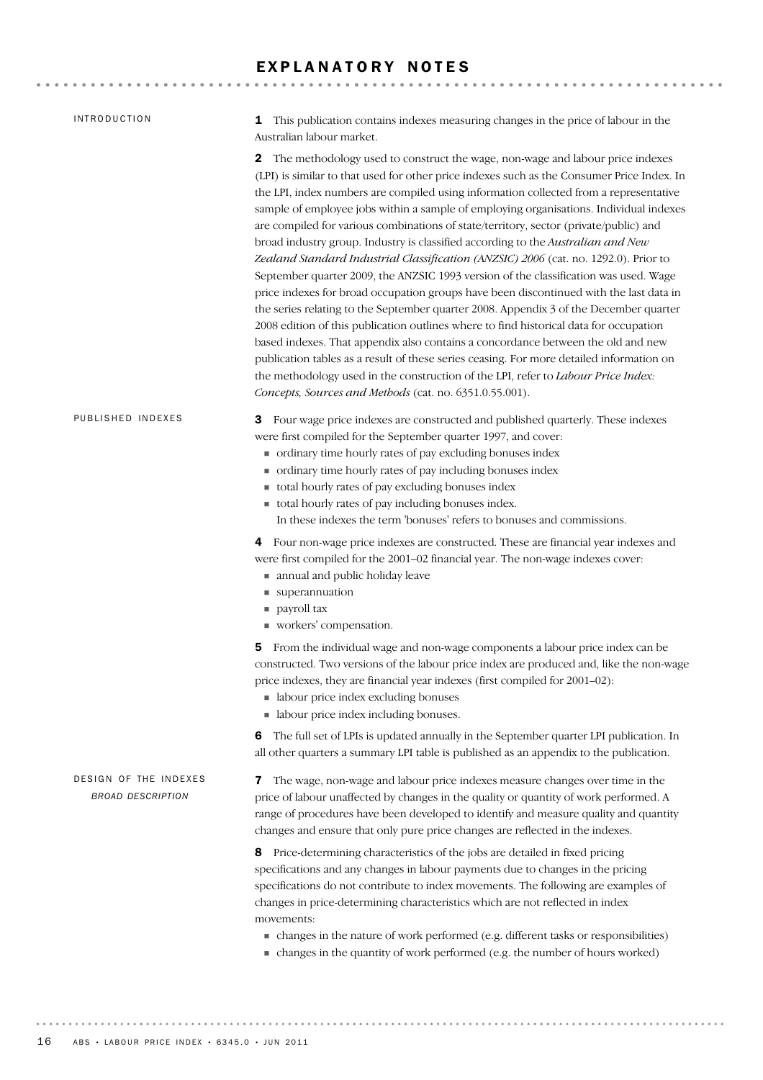### EXPLANATORY NOTES

| <b>INTRODUCTION</b>                               | This publication contains indexes measuring changes in the price of labour in the<br>1<br>Australian labour market.                                                                                                                                                                                                                                                                                                                                                                                                                                                                                                                                                                                                                                                                                                                                                                                                                                                                                                                                                                                                                                                                                                                                                                                                                           |
|---------------------------------------------------|-----------------------------------------------------------------------------------------------------------------------------------------------------------------------------------------------------------------------------------------------------------------------------------------------------------------------------------------------------------------------------------------------------------------------------------------------------------------------------------------------------------------------------------------------------------------------------------------------------------------------------------------------------------------------------------------------------------------------------------------------------------------------------------------------------------------------------------------------------------------------------------------------------------------------------------------------------------------------------------------------------------------------------------------------------------------------------------------------------------------------------------------------------------------------------------------------------------------------------------------------------------------------------------------------------------------------------------------------|
|                                                   | The methodology used to construct the wage, non-wage and labour price indexes<br>2<br>(LPI) is similar to that used for other price indexes such as the Consumer Price Index. In<br>the LPI, index numbers are compiled using information collected from a representative<br>sample of employee jobs within a sample of employing organisations. Individual indexes<br>are compiled for various combinations of state/territory, sector (private/public) and<br>broad industry group. Industry is classified according to the Australian and New<br>Zealand Standard Industrial Classification (ANZSIC) 2006 (cat. no. 1292.0). Prior to<br>September quarter 2009, the ANZSIC 1993 version of the classification was used. Wage<br>price indexes for broad occupation groups have been discontinued with the last data in<br>the series relating to the September quarter 2008. Appendix 3 of the December quarter<br>2008 edition of this publication outlines where to find historical data for occupation<br>based indexes. That appendix also contains a concordance between the old and new<br>publication tables as a result of these series ceasing. For more detailed information on<br>the methodology used in the construction of the LPI, refer to Labour Price Index:<br>Concepts, Sources and Methods (cat. no. 6351.0.55.001). |
| PUBLISHED INDEXES                                 | Four wage price indexes are constructed and published quarterly. These indexes<br>З<br>were first compiled for the September quarter 1997, and cover:<br>• ordinary time hourly rates of pay excluding bonuses index<br>• ordinary time hourly rates of pay including bonuses index<br>total hourly rates of pay excluding bonuses index<br>total hourly rates of pay including bonuses index.<br>In these indexes the term 'bonuses' refers to bonuses and commissions.                                                                                                                                                                                                                                                                                                                                                                                                                                                                                                                                                                                                                                                                                                                                                                                                                                                                      |
|                                                   | Four non-wage price indexes are constructed. These are financial year indexes and<br>4<br>were first compiled for the 2001-02 financial year. The non-wage indexes cover:<br>annual and public holiday leave<br>■ superannuation<br>payroll tax<br>workers' compensation.                                                                                                                                                                                                                                                                                                                                                                                                                                                                                                                                                                                                                                                                                                                                                                                                                                                                                                                                                                                                                                                                     |
|                                                   | From the individual wage and non-wage components a labour price index can be<br>5<br>constructed. Two versions of the labour price index are produced and, like the non-wage<br>price indexes, they are financial year indexes (first compiled for 2001–02):<br>• labour price index excluding bonuses<br>• labour price index including bonuses.                                                                                                                                                                                                                                                                                                                                                                                                                                                                                                                                                                                                                                                                                                                                                                                                                                                                                                                                                                                             |
|                                                   | The full set of LPIs is updated annually in the September quarter LPI publication. In<br>6<br>all other quarters a summary LPI table is published as an appendix to the publication.                                                                                                                                                                                                                                                                                                                                                                                                                                                                                                                                                                                                                                                                                                                                                                                                                                                                                                                                                                                                                                                                                                                                                          |
| DESIGN OF THE INDEXES<br><b>BROAD DESCRIPTION</b> | The wage, non-wage and labour price indexes measure changes over time in the<br>7<br>price of labour unaffected by changes in the quality or quantity of work performed. A<br>range of procedures have been developed to identify and measure quality and quantity<br>changes and ensure that only pure price changes are reflected in the indexes.                                                                                                                                                                                                                                                                                                                                                                                                                                                                                                                                                                                                                                                                                                                                                                                                                                                                                                                                                                                           |
|                                                   | Price-determining characteristics of the jobs are detailed in fixed pricing<br>8<br>specifications and any changes in labour payments due to changes in the pricing<br>specifications do not contribute to index movements. The following are examples of<br>changes in price-determining characteristics which are not reflected in index<br>movements:                                                                                                                                                                                                                                                                                                                                                                                                                                                                                                                                                                                                                                                                                                                                                                                                                                                                                                                                                                                      |
|                                                   | • changes in the nature of work performed (e.g. different tasks or responsibilities)<br>• changes in the quantity of work performed (e.g. the number of hours worked)                                                                                                                                                                                                                                                                                                                                                                                                                                                                                                                                                                                                                                                                                                                                                                                                                                                                                                                                                                                                                                                                                                                                                                         |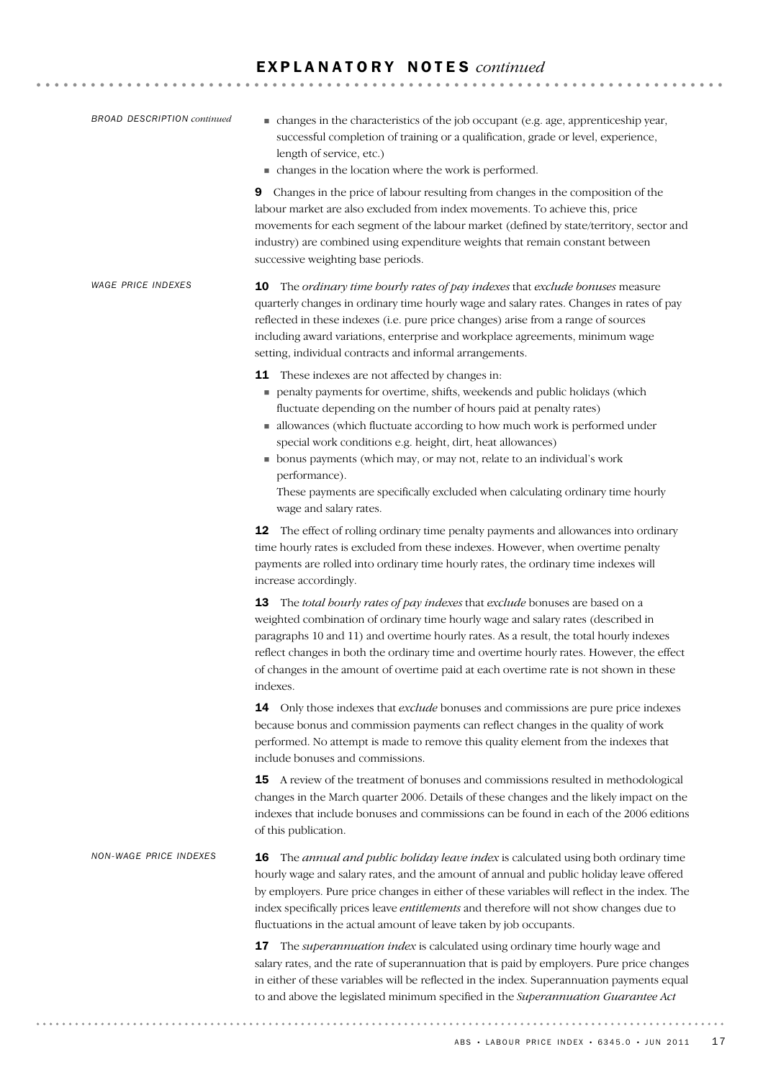| <b>BROAD DESCRIPTION continued</b> | • changes in the characteristics of the job occupant (e.g. age, apprenticeship year,<br>successful completion of training or a qualification, grade or level, experience,<br>length of service, etc.)<br>• changes in the location where the work is performed.                                                                                                                                                                                                                                                                                                |  |  |  |  |  |  |  |  |
|------------------------------------|----------------------------------------------------------------------------------------------------------------------------------------------------------------------------------------------------------------------------------------------------------------------------------------------------------------------------------------------------------------------------------------------------------------------------------------------------------------------------------------------------------------------------------------------------------------|--|--|--|--|--|--|--|--|
|                                    | Changes in the price of labour resulting from changes in the composition of the<br>9<br>labour market are also excluded from index movements. To achieve this, price<br>movements for each segment of the labour market (defined by state/territory, sector and<br>industry) are combined using expenditure weights that remain constant between<br>successive weighting base periods.                                                                                                                                                                         |  |  |  |  |  |  |  |  |
| <b>WAGE PRICE INDEXES</b>          | The ordinary time hourly rates of pay indexes that exclude bonuses measure<br>10<br>quarterly changes in ordinary time hourly wage and salary rates. Changes in rates of pay<br>reflected in these indexes (i.e. pure price changes) arise from a range of sources<br>including award variations, enterprise and workplace agreements, minimum wage<br>setting, individual contracts and informal arrangements.                                                                                                                                                |  |  |  |  |  |  |  |  |
|                                    | <b>11</b> These indexes are not affected by changes in:<br>penalty payments for overtime, shifts, weekends and public holidays (which<br>fluctuate depending on the number of hours paid at penalty rates)<br>allowances (which fluctuate according to how much work is performed under<br>special work conditions e.g. height, dirt, heat allowances)<br>• bonus payments (which may, or may not, relate to an individual's work<br>performance).<br>These payments are specifically excluded when calculating ordinary time hourly<br>wage and salary rates. |  |  |  |  |  |  |  |  |
|                                    | 12 The effect of rolling ordinary time penalty payments and allowances into ordinary<br>time hourly rates is excluded from these indexes. However, when overtime penalty<br>payments are rolled into ordinary time hourly rates, the ordinary time indexes will<br>increase accordingly.                                                                                                                                                                                                                                                                       |  |  |  |  |  |  |  |  |
|                                    | The total bourly rates of pay indexes that exclude bonuses are based on a<br>13<br>weighted combination of ordinary time hourly wage and salary rates (described in<br>paragraphs 10 and 11) and overtime hourly rates. As a result, the total hourly indexes<br>reflect changes in both the ordinary time and overtime hourly rates. However, the effect<br>of changes in the amount of overtime paid at each overtime rate is not shown in these<br>indexes.                                                                                                 |  |  |  |  |  |  |  |  |
|                                    | Only those indexes that exclude bonuses and commissions are pure price indexes<br>14<br>because bonus and commission payments can reflect changes in the quality of work<br>performed. No attempt is made to remove this quality element from the indexes that<br>include bonuses and commissions.                                                                                                                                                                                                                                                             |  |  |  |  |  |  |  |  |
|                                    | 15 A review of the treatment of bonuses and commissions resulted in methodological<br>changes in the March quarter 2006. Details of these changes and the likely impact on the<br>indexes that include bonuses and commissions can be found in each of the 2006 editions<br>of this publication.                                                                                                                                                                                                                                                               |  |  |  |  |  |  |  |  |
| NON-WAGE PRICE INDEXES             | The annual and public holiday leave index is calculated using both ordinary time<br>16<br>hourly wage and salary rates, and the amount of annual and public holiday leave offered<br>by employers. Pure price changes in either of these variables will reflect in the index. The<br>index specifically prices leave entitlements and therefore will not show changes due to<br>fluctuations in the actual amount of leave taken by job occupants.                                                                                                             |  |  |  |  |  |  |  |  |
|                                    | The superannuation index is calculated using ordinary time hourly wage and<br>17<br>salary rates, and the rate of superannuation that is paid by employers. Pure price changes<br>in either of these variables will be reflected in the index. Superannuation payments equal<br>to and above the legislated minimum specified in the Superannuation Guarantee Act                                                                                                                                                                                              |  |  |  |  |  |  |  |  |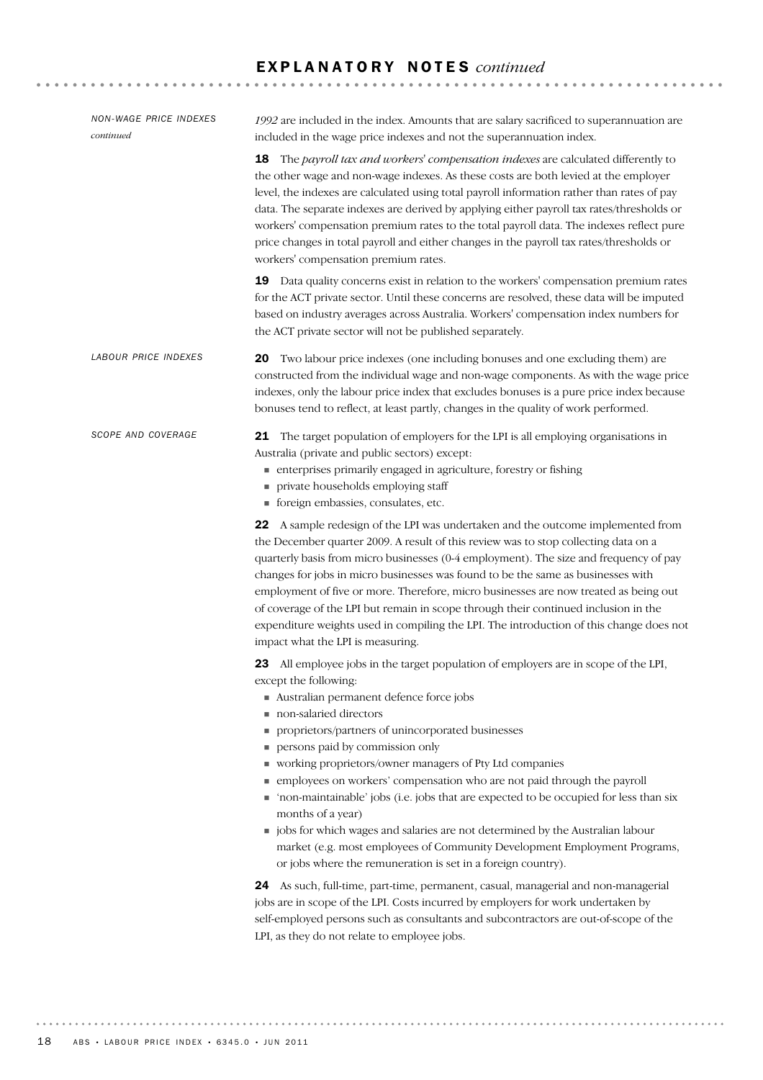| <b>NON-WAGE PRICE INDEXES</b><br>continued | 1992 are included in the index. Amounts that are salary sacrificed to superannuation are<br>included in the wage price indexes and not the superannuation index.                                                                                                                                                                                                                                                                                                                                                                                                                                                                                                                                                                                                                                                                                                                                                                                                                                                                                       |
|--------------------------------------------|--------------------------------------------------------------------------------------------------------------------------------------------------------------------------------------------------------------------------------------------------------------------------------------------------------------------------------------------------------------------------------------------------------------------------------------------------------------------------------------------------------------------------------------------------------------------------------------------------------------------------------------------------------------------------------------------------------------------------------------------------------------------------------------------------------------------------------------------------------------------------------------------------------------------------------------------------------------------------------------------------------------------------------------------------------|
|                                            | The payroll tax and workers' compensation indexes are calculated differently to<br>18<br>the other wage and non-wage indexes. As these costs are both levied at the employer<br>level, the indexes are calculated using total payroll information rather than rates of pay<br>data. The separate indexes are derived by applying either payroll tax rates/thresholds or<br>workers' compensation premium rates to the total payroll data. The indexes reflect pure<br>price changes in total payroll and either changes in the payroll tax rates/thresholds or<br>workers' compensation premium rates.                                                                                                                                                                                                                                                                                                                                                                                                                                                 |
|                                            | Data quality concerns exist in relation to the workers' compensation premium rates<br>19<br>for the ACT private sector. Until these concerns are resolved, these data will be imputed<br>based on industry averages across Australia. Workers' compensation index numbers for<br>the ACT private sector will not be published separately.                                                                                                                                                                                                                                                                                                                                                                                                                                                                                                                                                                                                                                                                                                              |
| <b>LABOUR PRICE INDEXES</b>                | Two labour price indexes (one including bonuses and one excluding them) are<br>20<br>constructed from the individual wage and non-wage components. As with the wage price<br>indexes, only the labour price index that excludes bonuses is a pure price index because<br>bonuses tend to reflect, at least partly, changes in the quality of work performed.                                                                                                                                                                                                                                                                                                                                                                                                                                                                                                                                                                                                                                                                                           |
| <b>SCOPE AND COVERAGE</b>                  | 21 The target population of employers for the LPI is all employing organisations in<br>Australia (private and public sectors) except:<br>numerises primarily engaged in agriculture, forestry or fishing<br>private households employing staff<br>■ foreign embassies, consulates, etc.                                                                                                                                                                                                                                                                                                                                                                                                                                                                                                                                                                                                                                                                                                                                                                |
|                                            | 22 A sample redesign of the LPI was undertaken and the outcome implemented from<br>the December quarter 2009. A result of this review was to stop collecting data on a<br>quarterly basis from micro businesses (0-4 employment). The size and frequency of pay<br>changes for jobs in micro businesses was found to be the same as businesses with<br>employment of five or more. Therefore, micro businesses are now treated as being out<br>of coverage of the LPI but remain in scope through their continued inclusion in the<br>expenditure weights used in compiling the LPI. The introduction of this change does not<br>impact what the LPI is measuring.                                                                                                                                                                                                                                                                                                                                                                                     |
|                                            | <b>23</b> All employee jobs in the target population of employers are in scope of the LPI,<br>except the following:<br>Australian permanent defence force jobs<br>non-salaried directors<br>proprietors/partners of unincorporated businesses<br>ш<br>persons paid by commission only<br>ш<br>working proprietors/owner managers of Pty Ltd companies<br>employees on workers' compensation who are not paid through the payroll<br>'non-maintainable' jobs (i.e. jobs that are expected to be occupied for less than six<br>months of a year)<br>jobs for which wages and salaries are not determined by the Australian labour<br>ш<br>market (e.g. most employees of Community Development Employment Programs,<br>or jobs where the remuneration is set in a foreign country).<br>As such, full-time, part-time, permanent, casual, managerial and non-managerial<br>24<br>jobs are in scope of the LPI. Costs incurred by employers for work undertaken by<br>self-employed persons such as consultants and subcontractors are out-of-scope of the |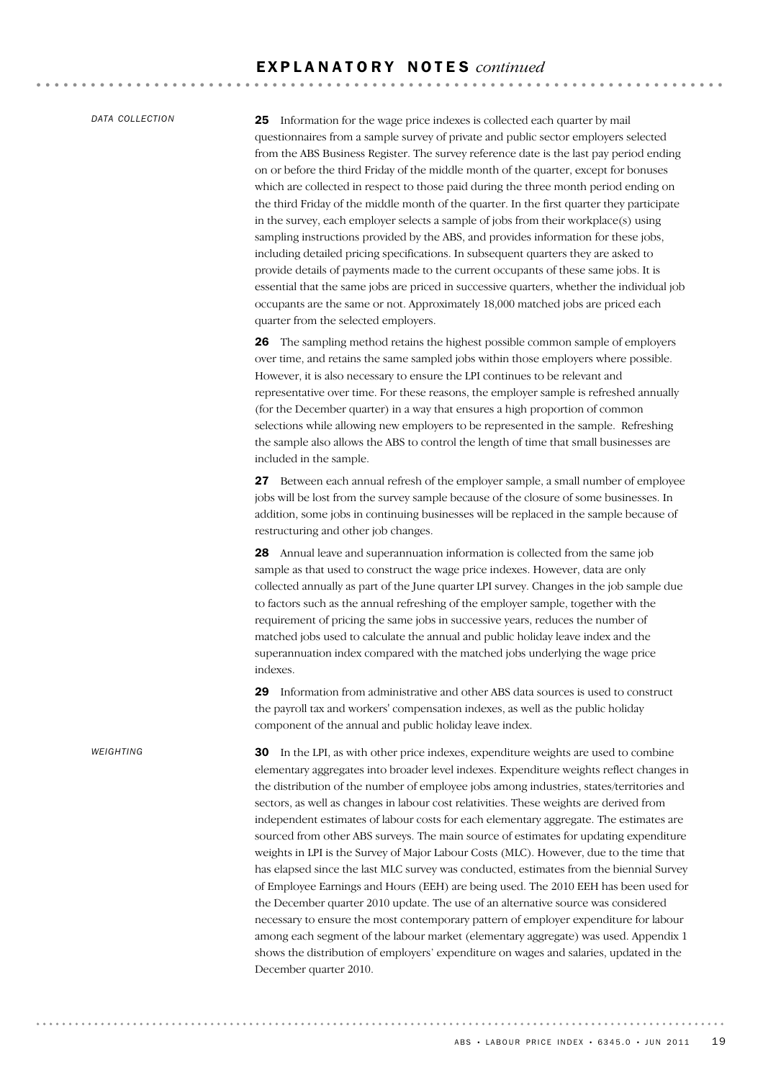*DATA COLLECTION*

25 Information for the wage price indexes is collected each quarter by mail questionnaires from a sample survey of private and public sector employers selected from the ABS Business Register. The survey reference date is the last pay period ending on or before the third Friday of the middle month of the quarter, except for bonuses which are collected in respect to those paid during the three month period ending on the third Friday of the middle month of the quarter. In the first quarter they participate in the survey, each employer selects a sample of jobs from their workplace(s) using sampling instructions provided by the ABS, and provides information for these jobs, including detailed pricing specifications. In subsequent quarters they are asked to provide details of payments made to the current occupants of these same jobs. It is essential that the same jobs are priced in successive quarters, whether the individual job occupants are the same or not. Approximately 18,000 matched jobs are priced each quarter from the selected employers.

26 The sampling method retains the highest possible common sample of employers over time, and retains the same sampled jobs within those employers where possible. However, it is also necessary to ensure the LPI continues to be relevant and representative over time. For these reasons, the employer sample is refreshed annually (for the December quarter) in a way that ensures a high proportion of common selections while allowing new employers to be represented in the sample. Refreshing the sample also allows the ABS to control the length of time that small businesses are included in the sample.

27 Between each annual refresh of the employer sample, a small number of employee jobs will be lost from the survey sample because of the closure of some businesses. In addition, some jobs in continuing businesses will be replaced in the sample because of restructuring and other job changes.

28 Annual leave and superannuation information is collected from the same job sample as that used to construct the wage price indexes. However, data are only collected annually as part of the June quarter LPI survey. Changes in the job sample due to factors such as the annual refreshing of the employer sample, together with the requirement of pricing the same jobs in successive years, reduces the number of matched jobs used to calculate the annual and public holiday leave index and the superannuation index compared with the matched jobs underlying the wage price indexes.

29 Information from administrative and other ABS data sources is used to construct the payroll tax and workers' compensation indexes, as well as the public holiday component of the annual and public holiday leave index.

30 In the LPI, as with other price indexes, expenditure weights are used to combine elementary aggregates into broader level indexes. Expenditure weights reflect changes in the distribution of the number of employee jobs among industries, states/territories and sectors, as well as changes in labour cost relativities. These weights are derived from independent estimates of labour costs for each elementary aggregate. The estimates are sourced from other ABS surveys. The main source of estimates for updating expenditure weights in LPI is the Survey of Major Labour Costs (MLC). However, due to the time that has elapsed since the last MLC survey was conducted, estimates from the biennial Survey of Employee Earnings and Hours (EEH) are being used. The 2010 EEH has been used for the December quarter 2010 update. The use of an alternative source was considered necessary to ensure the most contemporary pattern of employer expenditure for labour among each segment of the labour market (elementary aggregate) was used. Appendix 1 shows the distribution of employers' expenditure on wages and salaries, updated in the December quarter 2010.

...........................

*WEIGHTING*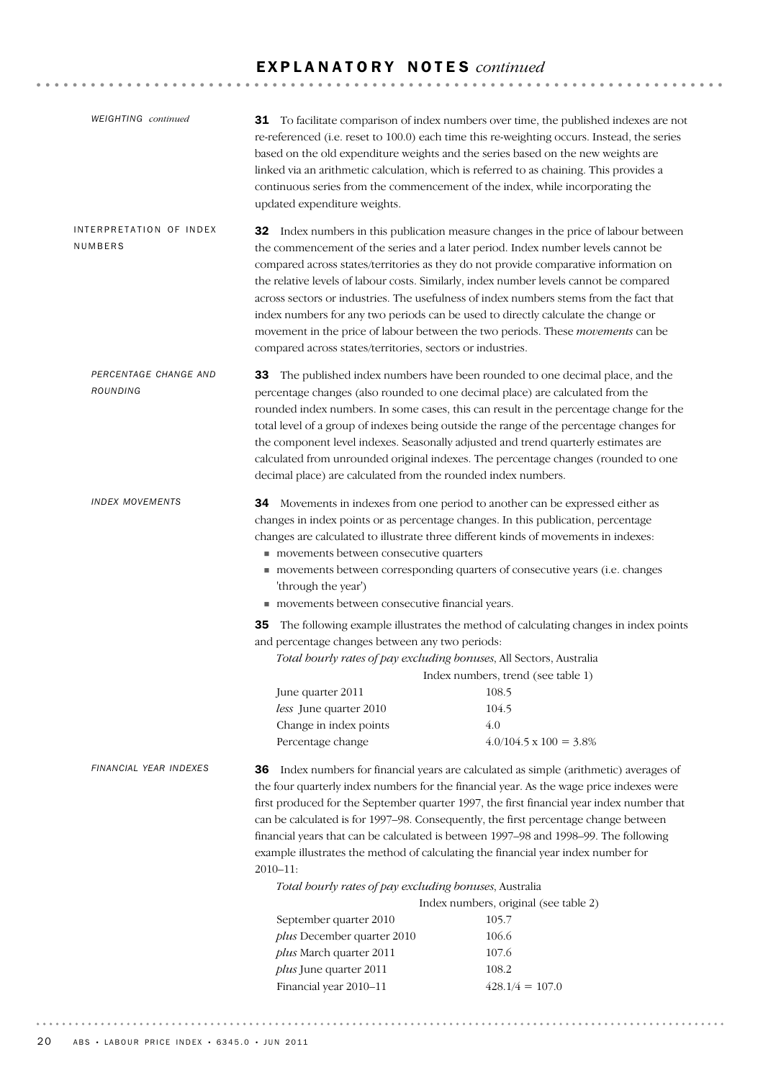| <b>WEIGHTING</b> continued         | based on the old expenditure weights and the series based on the new weights are<br>continuous series from the commencement of the index, while incorporating the<br>updated expenditure weights.                                                                                                                                                                                                                                                                                                                                                                                                          | <b>31</b> To facilitate comparison of index numbers over time, the published indexes are not<br>re-referenced (i.e. reset to 100.0) each time this re-weighting occurs. Instead, the series<br>linked via an arithmetic calculation, which is referred to as chaining. This provides a                                                                                                                                                                                                                                                                          |
|------------------------------------|------------------------------------------------------------------------------------------------------------------------------------------------------------------------------------------------------------------------------------------------------------------------------------------------------------------------------------------------------------------------------------------------------------------------------------------------------------------------------------------------------------------------------------------------------------------------------------------------------------|-----------------------------------------------------------------------------------------------------------------------------------------------------------------------------------------------------------------------------------------------------------------------------------------------------------------------------------------------------------------------------------------------------------------------------------------------------------------------------------------------------------------------------------------------------------------|
| INTERPRETATION OF INDEX<br>NUMBERS | index numbers for any two periods can be used to directly calculate the change or<br>compared across states/territories, sectors or industries.                                                                                                                                                                                                                                                                                                                                                                                                                                                            | <b>32</b> Index numbers in this publication measure changes in the price of labour between<br>the commencement of the series and a later period. Index number levels cannot be<br>compared across states/territories as they do not provide comparative information on<br>the relative levels of labour costs. Similarly, index number levels cannot be compared<br>across sectors or industries. The usefulness of index numbers stems from the fact that<br>movement in the price of labour between the two periods. These movements can be                   |
| PERCENTAGE CHANGE AND<br>ROUNDING  | 33<br>percentage changes (also rounded to one decimal place) are calculated from the<br>decimal place) are calculated from the rounded index numbers.                                                                                                                                                                                                                                                                                                                                                                                                                                                      | The published index numbers have been rounded to one decimal place, and the<br>rounded index numbers. In some cases, this can result in the percentage change for the<br>total level of a group of indexes being outside the range of the percentage changes for<br>the component level indexes. Seasonally adjusted and trend quarterly estimates are<br>calculated from unrounded original indexes. The percentage changes (rounded to one                                                                                                                    |
| <b>INDEX MOVEMENTS</b>             | 34 Movements in indexes from one period to another can be expressed either as<br>changes in index points or as percentage changes. In this publication, percentage<br>changes are calculated to illustrate three different kinds of movements in indexes:<br>movements between consecutive quarters<br>'through the year')<br>movements between consecutive financial years.<br>35<br>and percentage changes between any two periods:<br>Total hourly rates of pay excluding bonuses, All Sectors, Australia<br>June quarter 2011<br>less June quarter 2010<br>Change in index points<br>Percentage change | movements between corresponding quarters of consecutive years (i.e. changes<br>The following example illustrates the method of calculating changes in index points<br>Index numbers, trend (see table 1)<br>108.5<br>104.5<br>4.0<br>$4.0/104.5 \times 100 = 3.8\%$                                                                                                                                                                                                                                                                                             |
| FINANCIAL YEAR INDEXES             | example illustrates the method of calculating the financial year index number for<br>$2010 - 11$ :<br>Total hourly rates of pay excluding bonuses, Australia<br>September quarter 2010<br>plus December quarter 2010<br>plus March quarter 2011<br>plus June quarter 2011<br>Financial year 2010-11                                                                                                                                                                                                                                                                                                        | 36 Index numbers for financial years are calculated as simple (arithmetic) averages of<br>the four quarterly index numbers for the financial year. As the wage price indexes were<br>first produced for the September quarter 1997, the first financial year index number that<br>can be calculated is for 1997-98. Consequently, the first percentage change between<br>financial years that can be calculated is between 1997-98 and 1998-99. The following<br>Index numbers, original (see table 2)<br>105.7<br>106.6<br>107.6<br>108.2<br>$428.1/4 = 107.0$ |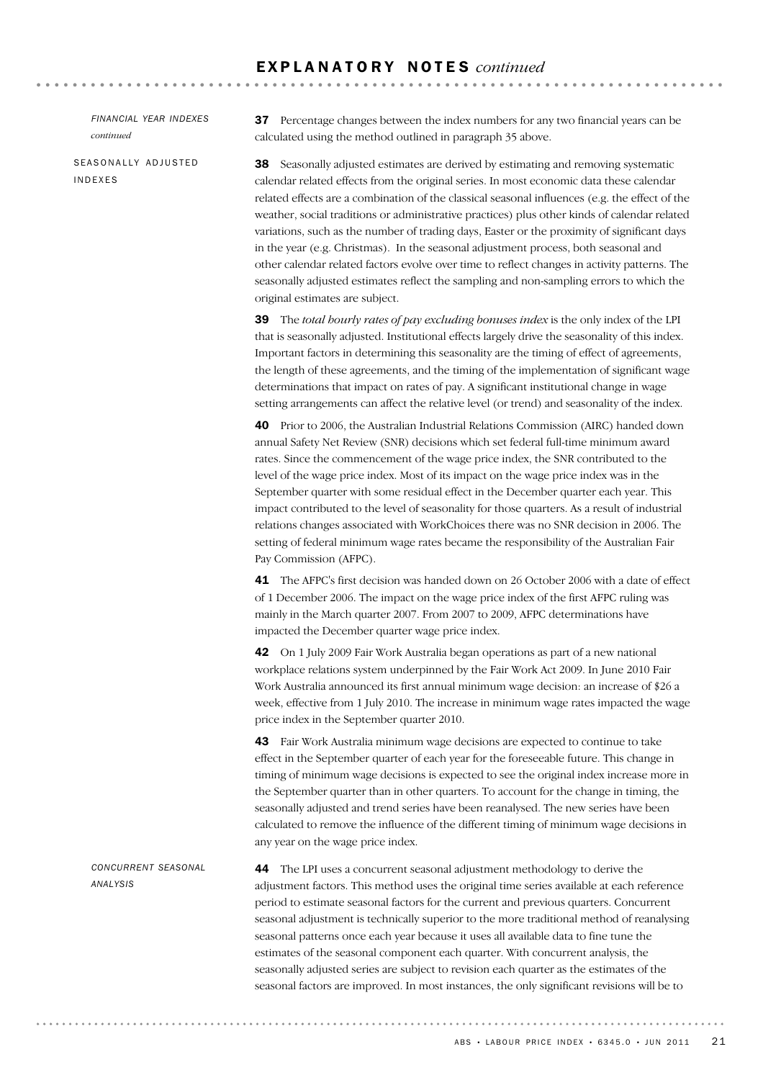*FINANCIAL YEAR INDEXES continued*

SEASONALLY ADJUSTED INDEXES

37 Percentage changes between the index numbers for any two financial years can be calculated using the method outlined in paragraph 35 above.

38 Seasonally adjusted estimates are derived by estimating and removing systematic calendar related effects from the original series. In most economic data these calendar related effects are a combination of the classical seasonal influences (e.g. the effect of the weather, social traditions or administrative practices) plus other kinds of calendar related variations, such as the number of trading days, Easter or the proximity of significant days in the year (e.g. Christmas). In the seasonal adjustment process, both seasonal and other calendar related factors evolve over time to reflect changes in activity patterns. The seasonally adjusted estimates reflect the sampling and non-sampling errors to which the original estimates are subject.

39 The *total hourly rates of pay excluding bonuses index* is the only index of the LPI that is seasonally adjusted. Institutional effects largely drive the seasonality of this index. Important factors in determining this seasonality are the timing of effect of agreements, the length of these agreements, and the timing of the implementation of significant wage determinations that impact on rates of pay. A significant institutional change in wage setting arrangements can affect the relative level (or trend) and seasonality of the index.

40 Prior to 2006, the Australian Industrial Relations Commission (AIRC) handed down annual Safety Net Review (SNR) decisions which set federal full-time minimum award rates. Since the commencement of the wage price index, the SNR contributed to the level of the wage price index. Most of its impact on the wage price index was in the September quarter with some residual effect in the December quarter each year. This impact contributed to the level of seasonality for those quarters. As a result of industrial relations changes associated with WorkChoices there was no SNR decision in 2006. The setting of federal minimum wage rates became the responsibility of the Australian Fair Pay Commission (AFPC).

41 The AFPC's first decision was handed down on 26 October 2006 with a date of effect of 1 December 2006. The impact on the wage price index of the first AFPC ruling was mainly in the March quarter 2007. From 2007 to 2009, AFPC determinations have impacted the December quarter wage price index.

42 On 1 July 2009 Fair Work Australia began operations as part of a new national workplace relations system underpinned by the Fair Work Act 2009. In June 2010 Fair Work Australia announced its first annual minimum wage decision: an increase of \$26 a week, effective from 1 July 2010. The increase in minimum wage rates impacted the wage price index in the September quarter 2010.

43 Fair Work Australia minimum wage decisions are expected to continue to take effect in the September quarter of each year for the foreseeable future. This change in timing of minimum wage decisions is expected to see the original index increase more in the September quarter than in other quarters. To account for the change in timing, the seasonally adjusted and trend series have been reanalysed. The new series have been calculated to remove the influence of the different timing of minimum wage decisions in any year on the wage price index.

*CONCURRENT SEASONAL ANALYSIS*

44 The LPI uses a concurrent seasonal adjustment methodology to derive the adjustment factors. This method uses the original time series available at each reference period to estimate seasonal factors for the current and previous quarters. Concurrent seasonal adjustment is technically superior to the more traditional method of reanalysing seasonal patterns once each year because it uses all available data to fine tune the estimates of the seasonal component each quarter. With concurrent analysis, the seasonally adjusted series are subject to revision each quarter as the estimates of the seasonal factors are improved. In most instances, the only significant revisions will be to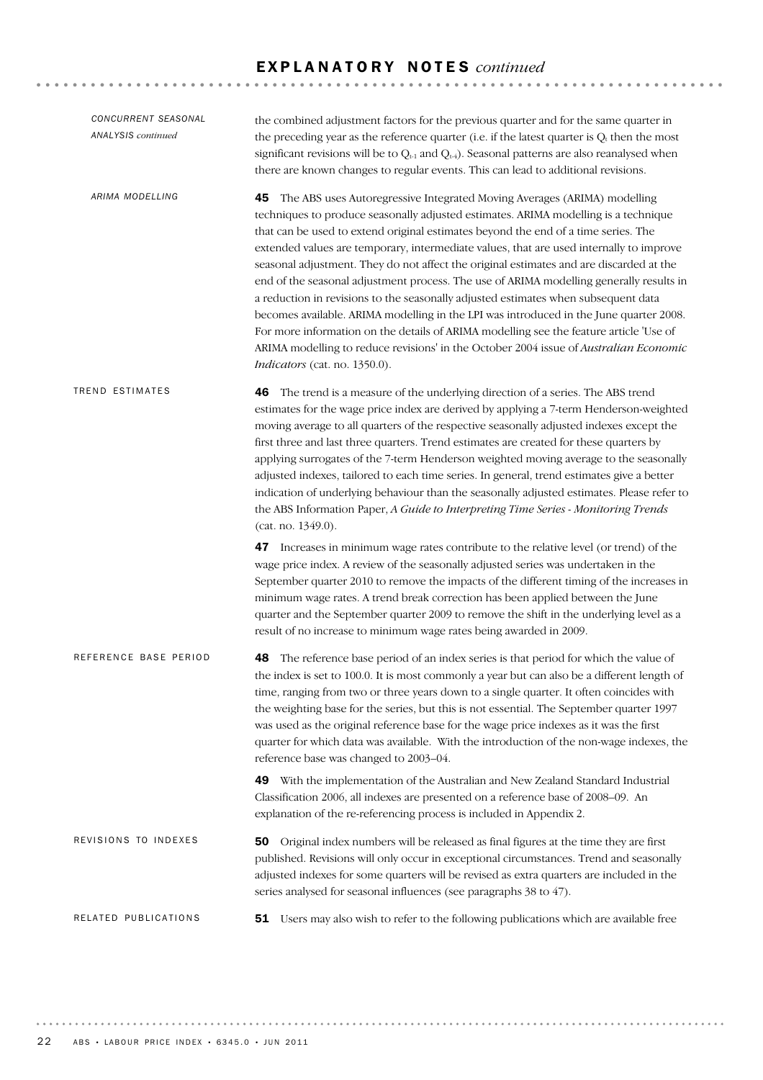| CONCURRENT SEASONAL<br><b>ANALYSIS</b> continued | the combined adjustment factors for the previous quarter and for the same quarter in<br>the preceding year as the reference quarter (i.e. if the latest quarter is $Q_t$ then the most<br>significant revisions will be to $Q_{t-1}$ and $Q_{t-4}$ ). Seasonal patterns are also reanalysed when<br>there are known changes to regular events. This can lead to additional revisions.                                                                                                                                                                                                                                                                                                                                                                                                                                                                                                                                                            |
|--------------------------------------------------|--------------------------------------------------------------------------------------------------------------------------------------------------------------------------------------------------------------------------------------------------------------------------------------------------------------------------------------------------------------------------------------------------------------------------------------------------------------------------------------------------------------------------------------------------------------------------------------------------------------------------------------------------------------------------------------------------------------------------------------------------------------------------------------------------------------------------------------------------------------------------------------------------------------------------------------------------|
| ARIMA MODELLING                                  | The ABS uses Autoregressive Integrated Moving Averages (ARIMA) modelling<br>45<br>techniques to produce seasonally adjusted estimates. ARIMA modelling is a technique<br>that can be used to extend original estimates beyond the end of a time series. The<br>extended values are temporary, intermediate values, that are used internally to improve<br>seasonal adjustment. They do not affect the original estimates and are discarded at the<br>end of the seasonal adjustment process. The use of ARIMA modelling generally results in<br>a reduction in revisions to the seasonally adjusted estimates when subsequent data<br>becomes available. ARIMA modelling in the LPI was introduced in the June quarter 2008.<br>For more information on the details of ARIMA modelling see the feature article 'Use of<br>ARIMA modelling to reduce revisions' in the October 2004 issue of Australian Economic<br>Indicators (cat. no. 1350.0). |
| TREND ESTIMATES                                  | The trend is a measure of the underlying direction of a series. The ABS trend<br>46<br>estimates for the wage price index are derived by applying a 7-term Henderson-weighted<br>moving average to all quarters of the respective seasonally adjusted indexes except the<br>first three and last three quarters. Trend estimates are created for these quarters by<br>applying surrogates of the 7-term Henderson weighted moving average to the seasonally<br>adjusted indexes, tailored to each time series. In general, trend estimates give a better<br>indication of underlying behaviour than the seasonally adjusted estimates. Please refer to<br>the ABS Information Paper, A Guide to Interpreting Time Series - Monitoring Trends<br>(cat. no. 1349.0).                                                                                                                                                                               |
|                                                  | <b>47</b> Increases in minimum wage rates contribute to the relative level (or trend) of the<br>wage price index. A review of the seasonally adjusted series was undertaken in the<br>September quarter 2010 to remove the impacts of the different timing of the increases in<br>minimum wage rates. A trend break correction has been applied between the June<br>quarter and the September quarter 2009 to remove the shift in the underlying level as a<br>result of no increase to minimum wage rates being awarded in 2009.                                                                                                                                                                                                                                                                                                                                                                                                                |
| REFERENCE BASE PERIOD                            | The reference base period of an index series is that period for which the value of<br>48<br>the index is set to 100.0. It is most commonly a year but can also be a different length of<br>time, ranging from two or three years down to a single quarter. It often coincides with<br>the weighting base for the series, but this is not essential. The September quarter 1997<br>was used as the original reference base for the wage price indexes as it was the first<br>quarter for which data was available. With the introduction of the non-wage indexes, the<br>reference base was changed to 2003-04.                                                                                                                                                                                                                                                                                                                                   |
|                                                  | 49 With the implementation of the Australian and New Zealand Standard Industrial<br>Classification 2006, all indexes are presented on a reference base of 2008-09. An<br>explanation of the re-referencing process is included in Appendix 2.                                                                                                                                                                                                                                                                                                                                                                                                                                                                                                                                                                                                                                                                                                    |
| REVISIONS TO INDEXES                             | Original index numbers will be released as final figures at the time they are first<br>50<br>published. Revisions will only occur in exceptional circumstances. Trend and seasonally<br>adjusted indexes for some quarters will be revised as extra quarters are included in the<br>series analysed for seasonal influences (see paragraphs 38 to 47).                                                                                                                                                                                                                                                                                                                                                                                                                                                                                                                                                                                           |
| RELATED PUBLICATIONS                             | 51 Users may also wish to refer to the following publications which are available free                                                                                                                                                                                                                                                                                                                                                                                                                                                                                                                                                                                                                                                                                                                                                                                                                                                           |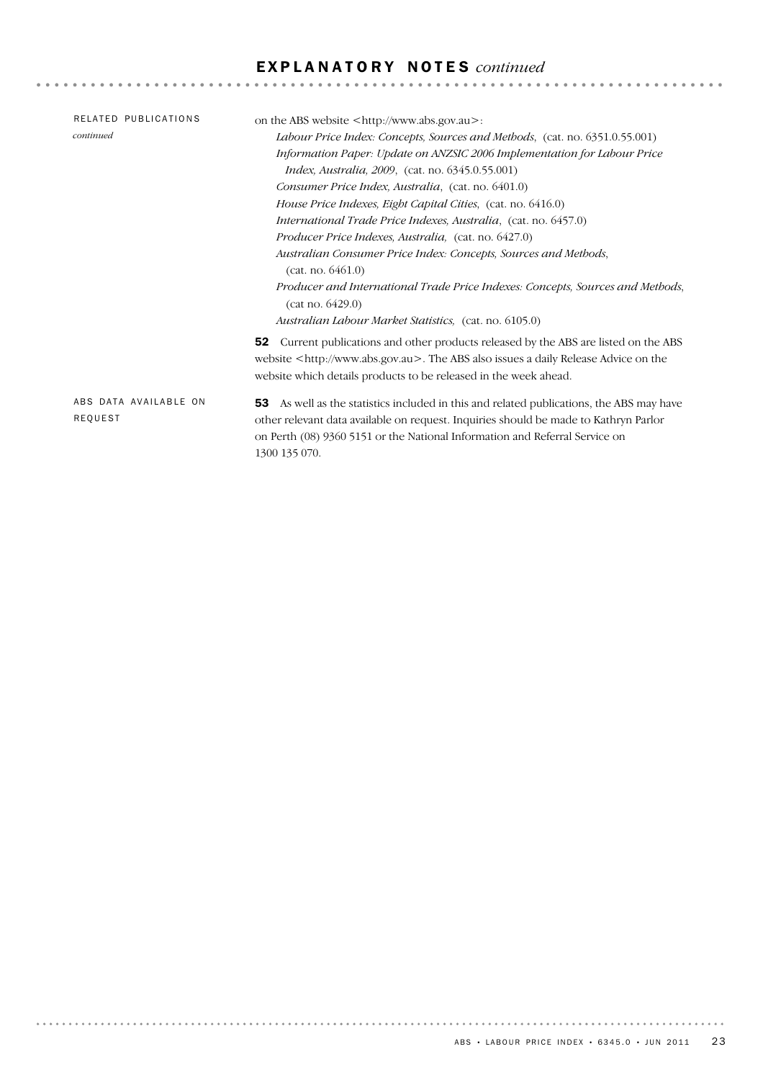| RELATED PUBLICATIONS  | on the ABS website $\langle \text{http://www.abs.gov.au>}:$                                  |
|-----------------------|----------------------------------------------------------------------------------------------|
| continued             | Labour Price Index: Concepts, Sources and Methods, (cat. no. 6351.0.55.001)                  |
|                       | Information Paper: Update on ANZSIC 2006 Implementation for Labour Price                     |
|                       | <i>Index, Australia, 2009,</i> (cat. no. 6345.0.55.001)                                      |
|                       | Consumer Price Index, Australia, (cat. no. 6401.0)                                           |
|                       | House Price Indexes, Eight Capital Cities, (cat. no. 6416.0)                                 |
|                       | International Trade Price Indexes, Australia, (cat. no. 6457.0)                              |
|                       | <i>Producer Price Indexes, Australia, (cat. no. 6427.0)</i>                                  |
|                       | Australian Consumer Price Index: Concepts, Sources and Methods,                              |
|                       | (cat. no. 6461.0)                                                                            |
|                       | Producer and International Trade Price Indexes: Concepts, Sources and Methods,               |
|                       | (cat no. 6429.0)                                                                             |
|                       | Australian Labour Market Statistics, (cat. no. 6105.0)                                       |
|                       | Current publications and other products released by the ABS are listed on the ABS<br>52      |
|                       | website <http: www.abs.gov.au="">. The ABS also issues a daily Release Advice on the</http:> |
|                       | website which details products to be released in the week ahead.                             |
|                       |                                                                                              |
| ABS DATA AVAILABLE ON | As well as the statistics included in this and related publications, the ABS may have<br>53  |
| REQUEST               | other relevant data available on request. Inquiries should be made to Kathryn Parlor         |
|                       | on Perth (08) 9360 5151 or the National Information and Referral Service on                  |
|                       | 1300 135 070.                                                                                |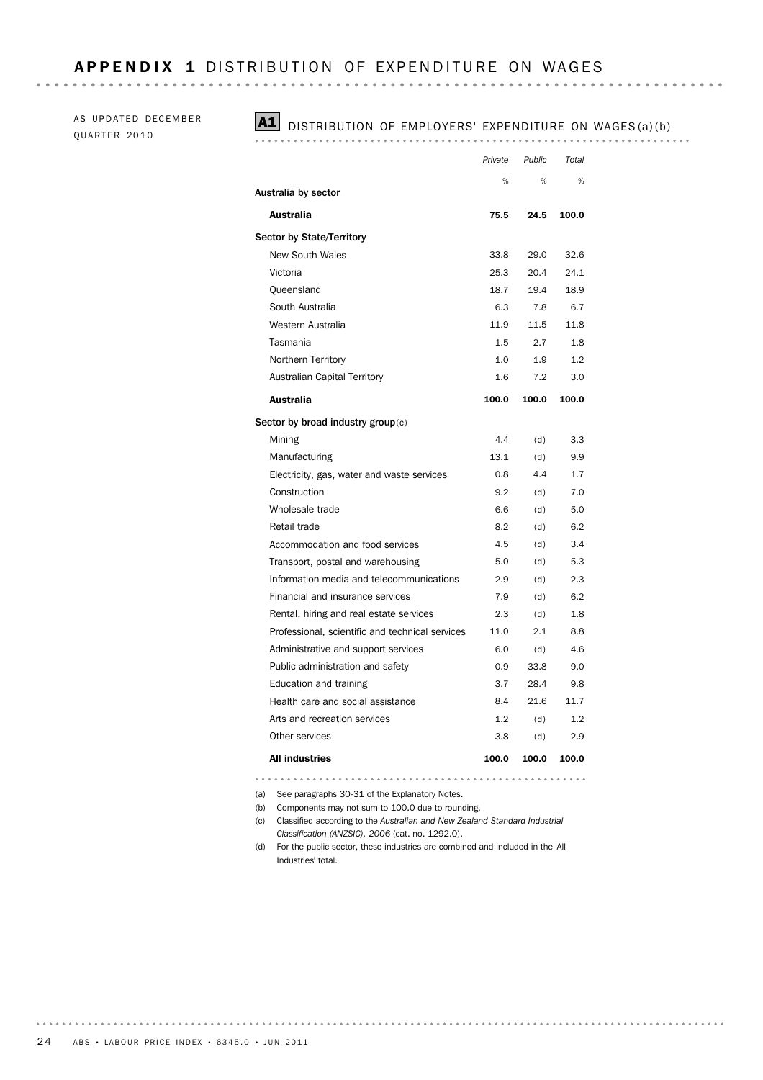AS UPDATED DECEMBER QUARTER 2010

### A1 DISTRIBUTION OF EMPLOYERS' EXPENDITURE ON WAGES (a) (b)

|                                                 | Private | Public | Total |
|-------------------------------------------------|---------|--------|-------|
|                                                 | %       | %      | %     |
| Australia by sector                             |         |        |       |
| Australia                                       | 75.5    | 24.5   | 100.0 |
| <b>Sector by State/Territory</b>                |         |        |       |
| <b>New South Wales</b>                          | 33.8    | 29.0   | 32.6  |
| Victoria                                        | 25.3    | 20.4   | 24.1  |
| Queensland                                      | 18.7    | 19.4   | 18.9  |
| South Australia                                 | 6.3     | 7.8    | 6.7   |
| Western Australia                               | 11.9    | 11.5   | 11.8  |
| Tasmania                                        | 1.5     | 2.7    | 1.8   |
| Northern Territory                              | 1.0     | 1.9    | 1.2   |
| <b>Australian Capital Territory</b>             | 1.6     | 7.2    | 3.0   |
| <b>Australia</b>                                | 100.0   | 100.0  | 100.0 |
| Sector by broad industry group $(c)$            |         |        |       |
| Mining                                          | 4.4     | (d)    | 3.3   |
| Manufacturing                                   | 13.1    | (d)    | 9.9   |
| Electricity, gas, water and waste services      | 0.8     | 4.4    | 1.7   |
| Construction                                    | 9.2     | (d)    | 7.0   |
| Wholesale trade                                 | 6.6     | (d)    | 5.0   |
| Retail trade                                    | 8.2     | (d)    | 6.2   |
| Accommodation and food services                 | 4.5     | (d)    | 3.4   |
| Transport, postal and warehousing               | 5.0     | (d)    | 5.3   |
| Information media and telecommunications        | 2.9     | (d)    | 2.3   |
| Financial and insurance services                | 7.9     | (d)    | 6.2   |
| Rental, hiring and real estate services         | 2.3     | (d)    | 1.8   |
| Professional, scientific and technical services | 11.0    | 2.1    | 8.8   |
| Administrative and support services             | 6.0     | (d)    | 4.6   |
| Public administration and safety                | 0.9     | 33.8   | 9.0   |
| Education and training                          | 3.7     | 28.4   | 9.8   |
| Health care and social assistance               | 8.4     | 21.6   | 11.7  |
| Arts and recreation services                    | 1.2     | (d)    | 1.2   |
| Other services                                  | 3.8     | (d)    | 2.9   |
| <b>All industries</b>                           | 100.0   | 100.0  | 100.0 |

(a) See paragraphs 30-31 of the Explanatory Notes.

(b) Components may not sum to 100.0 due to rounding.

- (c) Classified according to the *Australian and New Zealand Standard Industrial Classification (ANZSIC), 2006* (cat. no. 1292.0).
- (d) For the public sector, these industries are combined and included in the 'All Industries' total.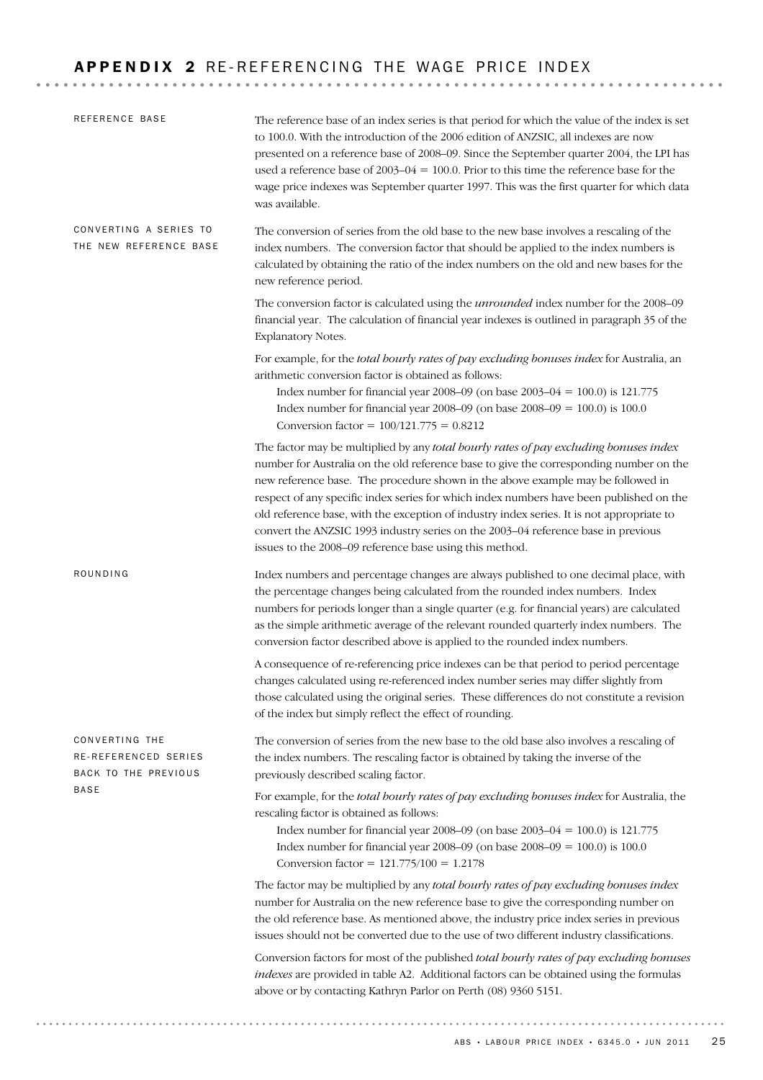# APPENDIX 2 RE-REFERENCING THE WAGE PRICE INDEX

| REFERENCE BASE                                                         | The reference base of an index series is that period for which the value of the index is set<br>to 100.0. With the introduction of the 2006 edition of ANZSIC, all indexes are now<br>presented on a reference base of 2008-09. Since the September quarter 2004, the LPI has<br>used a reference base of $2003-04 = 100.0$ . Prior to this time the reference base for the<br>wage price indexes was September quarter 1997. This was the first quarter for which data<br>was available.                                                                                                                  |
|------------------------------------------------------------------------|------------------------------------------------------------------------------------------------------------------------------------------------------------------------------------------------------------------------------------------------------------------------------------------------------------------------------------------------------------------------------------------------------------------------------------------------------------------------------------------------------------------------------------------------------------------------------------------------------------|
| CONVERTING A SERIES TO<br>THE NEW REFERENCE BASE                       | The conversion of series from the old base to the new base involves a rescaling of the<br>index numbers. The conversion factor that should be applied to the index numbers is<br>calculated by obtaining the ratio of the index numbers on the old and new bases for the<br>new reference period.                                                                                                                                                                                                                                                                                                          |
|                                                                        | The conversion factor is calculated using the <i>unrounded</i> index number for the 2008-09<br>financial year. The calculation of financial year indexes is outlined in paragraph 35 of the<br>Explanatory Notes.                                                                                                                                                                                                                                                                                                                                                                                          |
|                                                                        | For example, for the total hourly rates of pay excluding bonuses index for Australia, an<br>arithmetic conversion factor is obtained as follows:<br>Index number for financial year 2008–09 (on base 2003–04 = 100.0) is 121.775<br>Index number for financial year 2008–09 (on base $2008-09 = 100.0$ ) is $100.0$<br>Conversion factor = $100/121.775 = 0.8212$                                                                                                                                                                                                                                          |
|                                                                        | The factor may be multiplied by any total hourly rates of pay excluding bonuses index<br>number for Australia on the old reference base to give the corresponding number on the<br>new reference base. The procedure shown in the above example may be followed in<br>respect of any specific index series for which index numbers have been published on the<br>old reference base, with the exception of industry index series. It is not appropriate to<br>convert the ANZSIC 1993 industry series on the 2003-04 reference base in previous<br>issues to the 2008-09 reference base using this method. |
| ROUNDING                                                               | Index numbers and percentage changes are always published to one decimal place, with<br>the percentage changes being calculated from the rounded index numbers. Index<br>numbers for periods longer than a single quarter (e.g. for financial years) are calculated<br>as the simple arithmetic average of the relevant rounded quarterly index numbers. The<br>conversion factor described above is applied to the rounded index numbers.                                                                                                                                                                 |
|                                                                        | A consequence of re-referencing price indexes can be that period to period percentage<br>changes calculated using re-referenced index number series may differ slightly from<br>those calculated using the original series. These differences do not constitute a revision<br>of the index but simply reflect the effect of rounding.                                                                                                                                                                                                                                                                      |
| CONVERTING THE<br>RE-REFERENCED SERIES<br>BACK TO THE PREVIOUS<br>BASE | The conversion of series from the new base to the old base also involves a rescaling of<br>the index numbers. The rescaling factor is obtained by taking the inverse of the<br>previously described scaling factor.                                                                                                                                                                                                                                                                                                                                                                                        |
|                                                                        | For example, for the total hourly rates of pay excluding bonuses index for Australia, the<br>rescaling factor is obtained as follows:<br>Index number for financial year 2008–09 (on base 2003–04 = 100.0) is 121.775<br>Index number for financial year 2008–09 (on base $2008-09 = 100.0$ ) is $100.0$<br>Conversion factor = $121.775/100 = 1.2178$                                                                                                                                                                                                                                                     |
|                                                                        | The factor may be multiplied by any total hourly rates of pay excluding bonuses index<br>number for Australia on the new reference base to give the corresponding number on<br>the old reference base. As mentioned above, the industry price index series in previous<br>issues should not be converted due to the use of two different industry classifications.                                                                                                                                                                                                                                         |
|                                                                        | Conversion factors for most of the published total bourly rates of pay excluding bonuses<br>indexes are provided in table A2. Additional factors can be obtained using the formulas<br>above or by contacting Kathryn Parlor on Perth (08) 9360 5151.                                                                                                                                                                                                                                                                                                                                                      |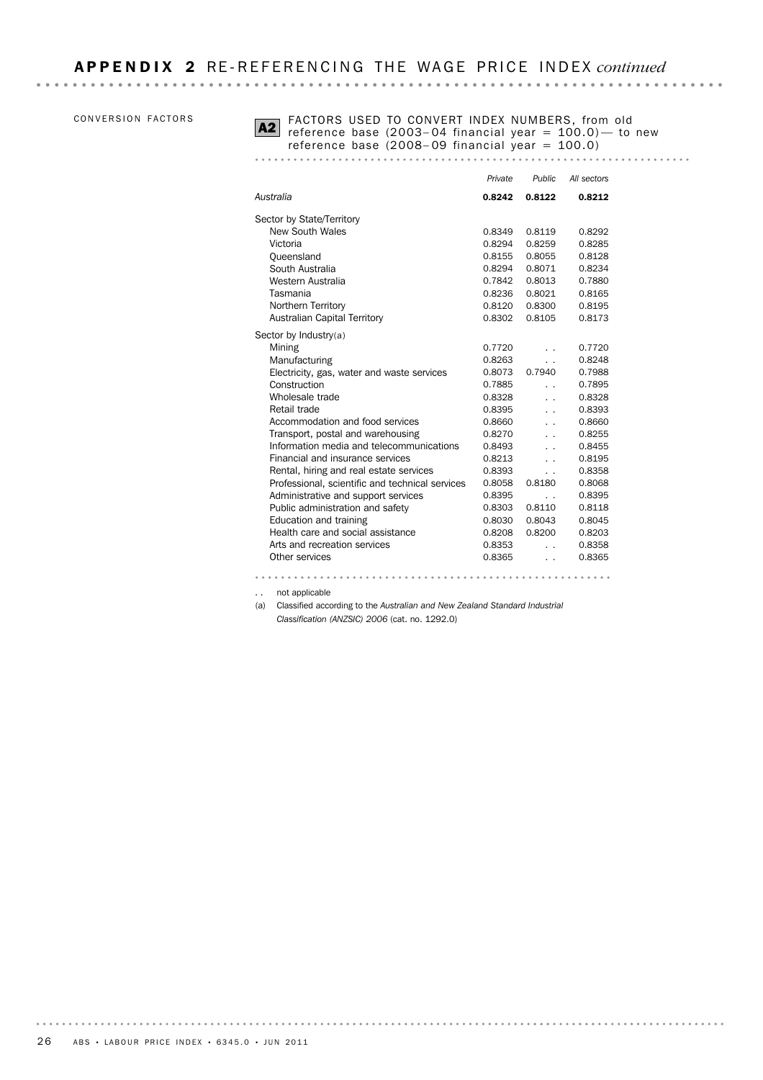### CONVERSION FACTORS



FACTORS USED TO CONVERT INDEX NUMBERS, from old  $\overline{A2}$  reference base (2003–04 financial year = 100.0)— to new reference base (2008– 09 financial year = 100.0)

|                                                 | Private | Public                   | All sectors |
|-------------------------------------------------|---------|--------------------------|-------------|
| Australia                                       | 0.8242  | 0.8122                   | 0.8212      |
| Sector by State/Territory                       |         |                          |             |
| <b>New South Wales</b>                          | 0.8349  | 0.8119                   | 0.8292      |
| Victoria                                        | 0.8294  | 0.8259                   | 0.8285      |
| Oueensland                                      | 0.8155  | 0.8055                   | 0.8128      |
| South Australia                                 | 0.8294  | 0.8071                   | 0.8234      |
| Western Australia                               | 0.7842  | 0.8013                   | 0.7880      |
| Tasmania                                        | 0.8236  | 0.8021                   | 0.8165      |
| Northern Territory                              | 0.8120  | 0.8300                   | 0.8195      |
| <b>Australian Capital Territory</b>             | 0.8302  | 0.8105                   | 0.8173      |
| Sector by Industry $(a)$                        |         |                          |             |
| Mining                                          | 0.7720  |                          | 0.7720      |
| Manufacturing                                   | 0.8263  | $\ddot{\phantom{0}}$     | 0.8248      |
| Electricity, gas, water and waste services      | 0.8073  | 0.7940                   | 0.7988      |
| Construction                                    | 0.7885  | . .                      | 0.7895      |
| Wholesale trade                                 | 0.8328  | $\ddot{\phantom{0}}$     | 0.8328      |
| Retail trade                                    | 0.8395  | $\ddot{\phantom{0}}$     | 0.8393      |
| Accommodation and food services                 | 0.8660  | $\ddot{\phantom{0}}$     | 0.8660      |
| Transport, postal and warehousing               | 0.8270  | $\ddot{\phantom{0}}$     | 0.8255      |
| Information media and telecommunications        | 0.8493  | $\ddot{\phantom{0}}$     | 0.8455      |
| Financial and insurance services                | 0.8213  | $\ddot{\phantom{0}}$     | 0.8195      |
| Rental, hiring and real estate services         | 0.8393  | $\overline{\phantom{a}}$ | 0.8358      |
| Professional, scientific and technical services | 0.8058  | 0.8180                   | 0.8068      |
| Administrative and support services             | 0.8395  | $\ddot{\phantom{0}}$     | 0.8395      |
| Public administration and safety                | 0.8303  | 0.8110                   | 0.8118      |
| Education and training                          | 0.8030  | 0.8043                   | 0.8045      |
| Health care and social assistance               | 0.8208  | 0.8200                   | 0.8203      |
| Arts and recreation services                    | 0.8353  | $\ddot{\phantom{0}}$     | 0.8358      |
| Other services                                  | 0.8365  |                          | 0.8365      |
|                                                 |         |                          |             |

. . not applicable (a) Classified according to the *Australian and New Zealand Standard Industrial*

*Classification (ANZSIC) 2006* (cat. no. 1292.0)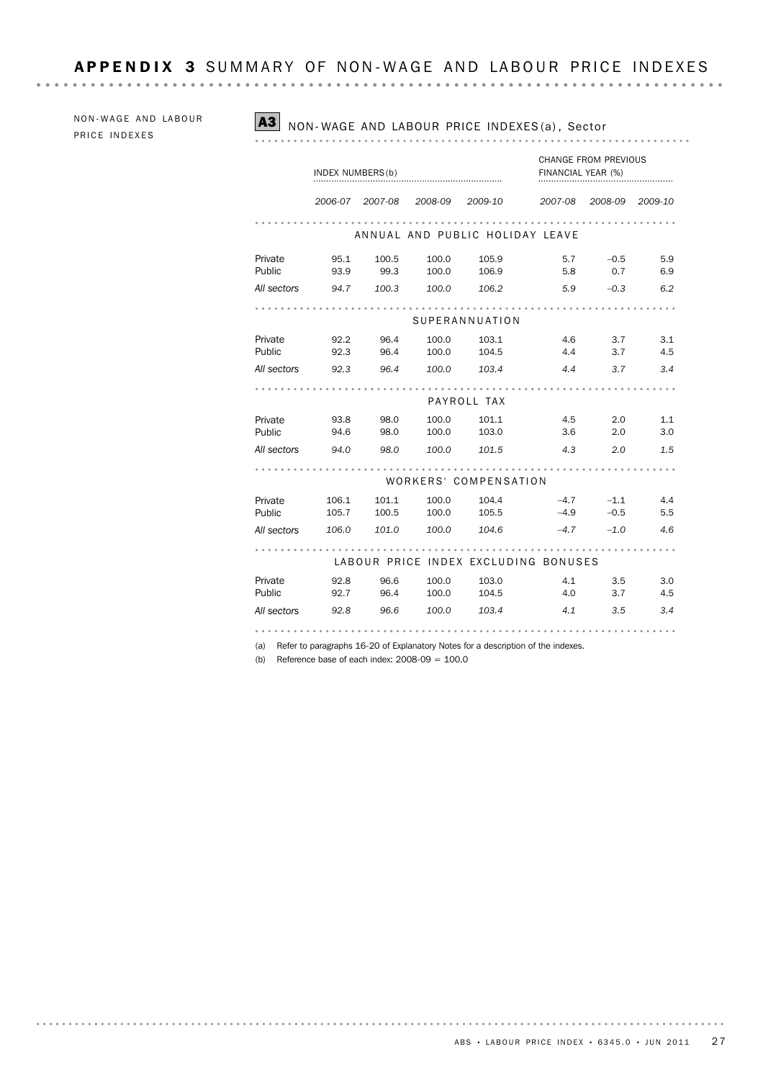NON-WAGE AND LABOUR PRICE INDEXES

### A3 NON-WAGE AND LABOUR PRICE INDEXES (a), Sector

. . . . . . . . . . . .

|             | INDEX NUMBERS (b) |         |         |                       | FINANCIAL YEAR (%)                   | CHANGE FROM PREVIOUS |         |
|-------------|-------------------|---------|---------|-----------------------|--------------------------------------|----------------------|---------|
|             | 2006-07           | 2007-08 | 2008-09 | 2009-10               | 2007-08                              | 2008-09              | 2009-10 |
|             |                   |         |         |                       | ANNUAL AND PUBLIC HOLIDAY LEAVE      |                      |         |
| Private     | 95.1              | 100.5   | 100.0   | 105.9                 | 5.7                                  | $-0.5$               | 5.9     |
| Public      | 93.9              | 99.3    | 100.0   | 106.9                 | 5.8                                  | 0.7                  | 6.9     |
| All sectors | 94.7              | 100.3   | 100.0   | 106.2                 | 5.9                                  | $-0.3$               | 6.2     |
|             |                   |         |         |                       |                                      |                      |         |
|             |                   |         |         | SUPERANNUATION        |                                      |                      |         |
| Private     | 92.2              | 96.4    | 100.0   | 103.1                 | 4.6                                  | 3.7                  | 3.1     |
| Public      | 92.3              | 96.4    | 100.0   | 104.5                 | 4.4                                  | 3.7                  | 4.5     |
| All sectors | 92.3              | 96.4    | 100.0   | 103.4                 | 4.4                                  | 3.7                  | 3.4     |
|             |                   |         |         |                       |                                      |                      |         |
|             |                   |         |         | PAYROLL TAX           |                                      |                      |         |
| Private     | 93.8              | 98.0    | 100.0   | 101.1                 | 4.5                                  | 2.0                  | 1.1     |
| Public      | 94.6              | 98.0    | 100.0   | 103.0                 | 3.6                                  | 2.0                  | 3.0     |
| All sectors | 94.0              | 98.0    | 100.0   | 101.5                 | 4.3                                  | 2.0                  | 1.5     |
|             |                   |         |         |                       |                                      |                      |         |
|             |                   |         |         | WORKERS' COMPENSATION |                                      |                      |         |
| Private     | 106.1             | 101.1   | 100.0   | 104.4                 | $-4.7$                               | $-1.1$               | 4.4     |
| Public      | 105.7             | 100.5   | 100.0   | 105.5                 | $-4.9$                               | $-0.5$               | 5.5     |
| All sectors | 106.0             | 101.0   | 100.0   | 104.6                 | $-4.7$                               | $-1.0$               | 4.6     |
|             |                   |         |         |                       |                                      |                      |         |
|             |                   |         |         |                       | LABOUR PRICE INDEX EXCLUDING BONUSES |                      |         |
| Private     | 92.8              | 96.6    | 100.0   | 103.0                 | 4.1                                  | 3.5                  | 3.0     |
| Public      | 92.7              | 96.4    | 100.0   | 104.5                 | 4.0                                  | 3.7                  | 4.5     |
| All sectors | 92.8              | 96.6    | 100.0   | 103.4                 | 4.1                                  | 3.5                  | 3.4     |
|             |                   |         |         |                       |                                      |                      |         |

(a) Refer to paragraphs 16-20 of Explanatory Notes for a description of the indexes.

(b) Reference base of each index:  $2008-09 = 100.0$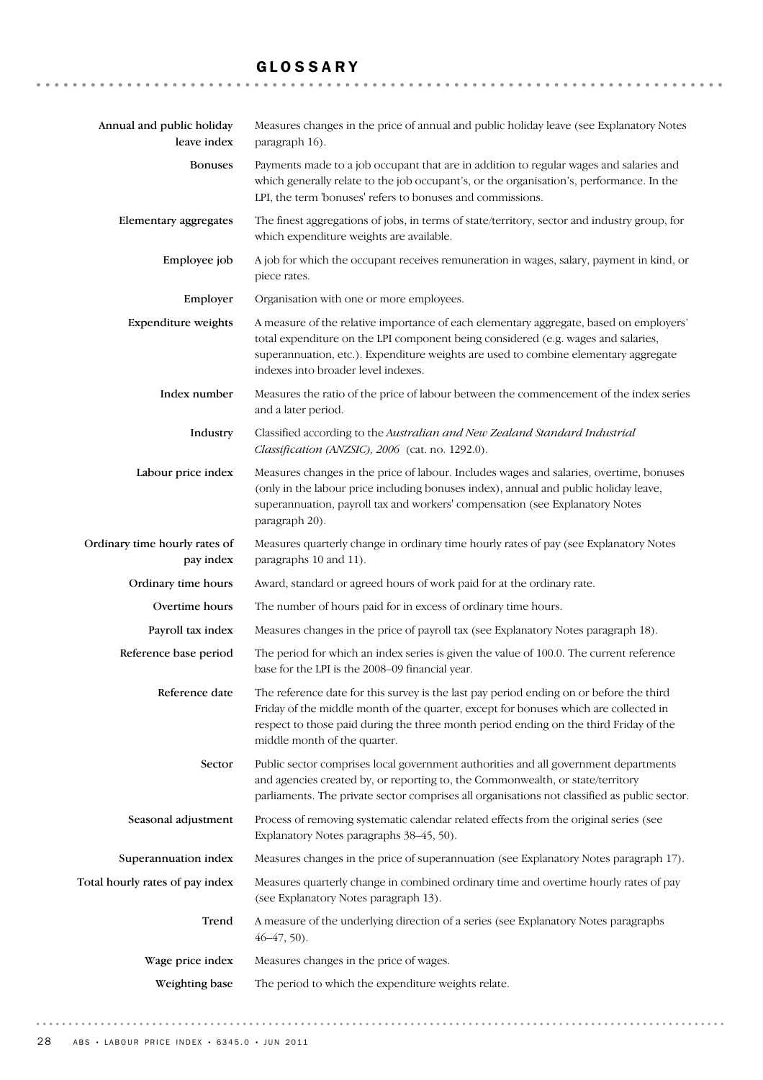# GLOSSARY

| Annual and public holiday<br>leave index   | Measures changes in the price of annual and public holiday leave (see Explanatory Notes<br>paragraph 16).                                                                                                                                                                                                 |
|--------------------------------------------|-----------------------------------------------------------------------------------------------------------------------------------------------------------------------------------------------------------------------------------------------------------------------------------------------------------|
| <b>Bonuses</b>                             | Payments made to a job occupant that are in addition to regular wages and salaries and<br>which generally relate to the job occupant's, or the organisation's, performance. In the<br>LPI, the term 'bonuses' refers to bonuses and commissions.                                                          |
| Elementary aggregates                      | The finest aggregations of jobs, in terms of state/territory, sector and industry group, for<br>which expenditure weights are available.                                                                                                                                                                  |
| Employee job                               | A job for which the occupant receives remuneration in wages, salary, payment in kind, or<br>piece rates.                                                                                                                                                                                                  |
| Employer                                   | Organisation with one or more employees.                                                                                                                                                                                                                                                                  |
| Expenditure weights                        | A measure of the relative importance of each elementary aggregate, based on employers'<br>total expenditure on the LPI component being considered (e.g. wages and salaries,<br>superannuation, etc.). Expenditure weights are used to combine elementary aggregate<br>indexes into broader level indexes. |
| Index number                               | Measures the ratio of the price of labour between the commencement of the index series<br>and a later period.                                                                                                                                                                                             |
| Industry                                   | Classified according to the Australian and New Zealand Standard Industrial<br>Classification (ANZSIC), 2006 (cat. no. 1292.0).                                                                                                                                                                            |
| Labour price index                         | Measures changes in the price of labour. Includes wages and salaries, overtime, bonuses<br>(only in the labour price including bonuses index), annual and public holiday leave,<br>superannuation, payroll tax and workers' compensation (see Explanatory Notes<br>paragraph 20).                         |
| Ordinary time hourly rates of<br>pay index | Measures quarterly change in ordinary time hourly rates of pay (see Explanatory Notes<br>paragraphs 10 and 11).                                                                                                                                                                                           |
| Ordinary time hours                        | Award, standard or agreed hours of work paid for at the ordinary rate.                                                                                                                                                                                                                                    |
| Overtime hours                             | The number of hours paid for in excess of ordinary time hours.                                                                                                                                                                                                                                            |
| Payroll tax index                          | Measures changes in the price of payroll tax (see Explanatory Notes paragraph 18).                                                                                                                                                                                                                        |
| Reference base period                      | The period for which an index series is given the value of 100.0. The current reference<br>base for the LPI is the 2008-09 financial year.                                                                                                                                                                |
| Reference date                             | The reference date for this survey is the last pay period ending on or before the third<br>Friday of the middle month of the quarter, except for bonuses which are collected in<br>respect to those paid during the three month period ending on the third Friday of the<br>middle month of the quarter.  |
| Sector                                     | Public sector comprises local government authorities and all government departments<br>and agencies created by, or reporting to, the Commonwealth, or state/territory<br>parliaments. The private sector comprises all organisations not classified as public sector.                                     |
| Seasonal adjustment                        | Process of removing systematic calendar related effects from the original series (see<br>Explanatory Notes paragraphs 38-45, 50).                                                                                                                                                                         |
| Superannuation index                       | Measures changes in the price of superannuation (see Explanatory Notes paragraph 17).                                                                                                                                                                                                                     |
| Total hourly rates of pay index            | Measures quarterly change in combined ordinary time and overtime hourly rates of pay<br>(see Explanatory Notes paragraph 13).                                                                                                                                                                             |
| Trend                                      | A measure of the underlying direction of a series (see Explanatory Notes paragraphs<br>$46-47, 50$ .                                                                                                                                                                                                      |
| Wage price index                           | Measures changes in the price of wages.                                                                                                                                                                                                                                                                   |
| Weighting base                             | The period to which the expenditure weights relate.                                                                                                                                                                                                                                                       |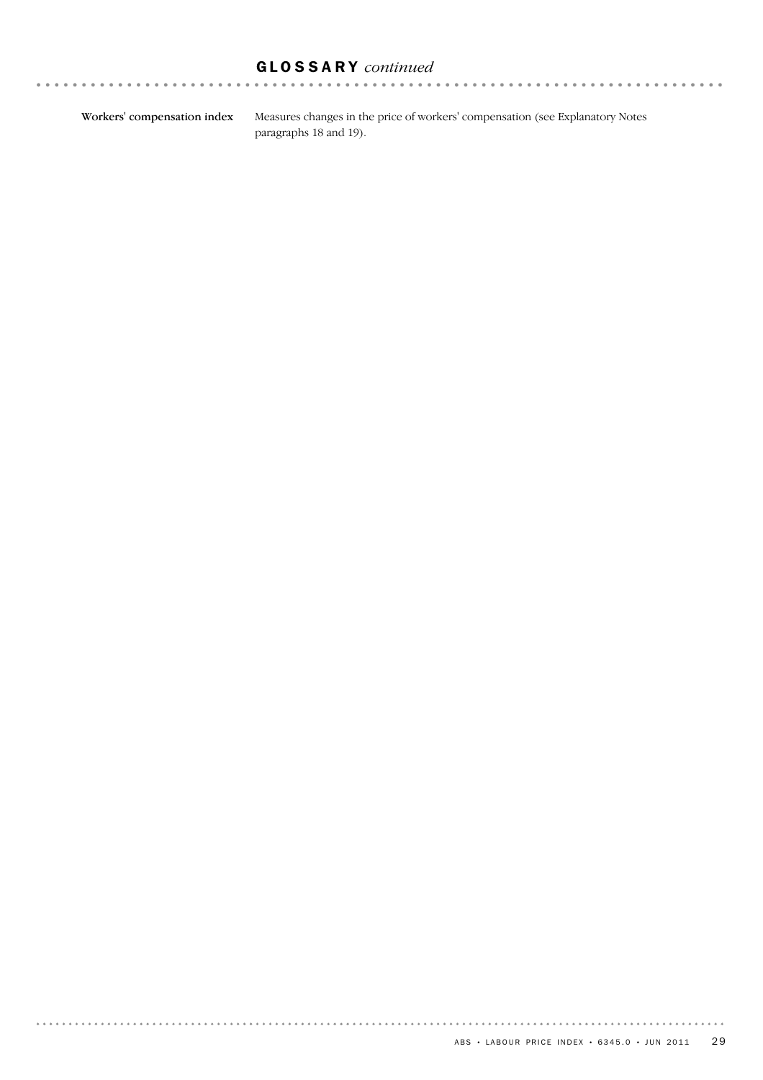# GLOSSARY *continued*

Workers' compensation index

. . . . . . . . . . . . . . . .

Measures changes in the price of workers' compensation (see Explanatory Notes paragraphs 18 and 19).